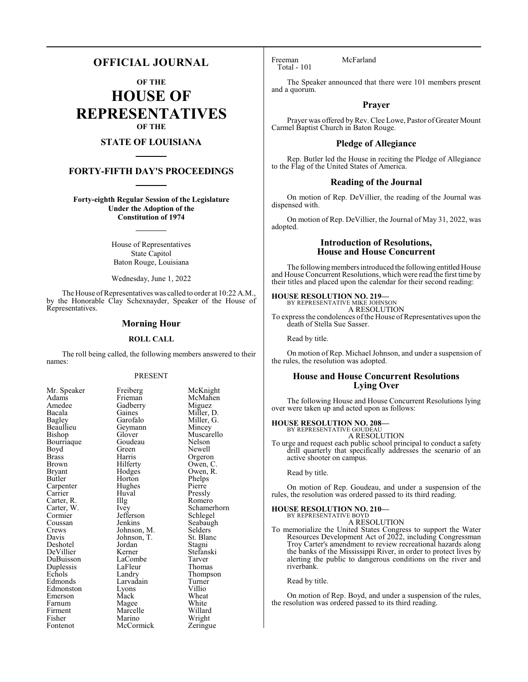# **OFFICIAL JOURNAL**

**OF THE**

**HOUSE OF REPRESENTATIVES OF THE**

# **STATE OF LOUISIANA**

# **FORTY-FIFTH DAY'S PROCEEDINGS**

**Forty-eighth Regular Session of the Legislature Under the Adoption of the Constitution of 1974**

> House of Representatives State Capitol Baton Rouge, Louisiana

> Wednesday, June 1, 2022

The House of Representatives was called to order at 10:22 A.M., by the Honorable Clay Schexnayder, Speaker of the House of Representatives.

#### **Morning Hour**

#### **ROLL CALL**

The roll being called, the following members answered to their names:

#### PRESENT

| Mr. Speaker | Freiberg    | McKnight    |
|-------------|-------------|-------------|
| Adams       | Frieman     | McMahen     |
| Amedee      | Gadberry    | Miguez      |
| Bacala      | Gaines      | Miller, D.  |
| Bagley      | Garofalo    | Miller, G.  |
| Beaullieu   | Geymann     | Mincey      |
| Bishop      | Glover      | Muscarello  |
| Bourriaque  | Goudeau     | Nelson      |
| Boyd        | Green       | Newell      |
| Brass       | Harris      | Orgeron     |
| Brown       | Hilferty    | Owen, C.    |
| Bryant      | Hodges      | Owen, R.    |
| Butler      | Horton      | Phelps      |
| Carpenter   | Hughes      | Pierre      |
| Carrier     | Huval       | Pressly     |
| Carter, R.  | Illg        | Romero      |
| Carter, W.  | Ivey        | Schamerhorn |
| Cormier     | Jefferson   | Schlegel    |
| Coussan     | Jenkins     | Seabaugh    |
| Crews       | Johnson, M. | Selders     |
| Davis       | Johnson, T. | St. Blanc   |
| Deshotel    | Jordan      | Stagni      |
| DeVillier   | Kerner      | Stefanski   |
| DuBuisson   | LaCombe     | Tarver      |
| Duplessis   | LaFleur     | Thomas      |
| Echols      | Landry      | Thompson    |
| Edmonds     | Larvadain   | Turner      |
| Edmonston   | Lyons       | Villio      |
| Emerson     | Mack        | Wheat       |
| Farnum      | Magee       | White       |
| Firment     | Marcelle    | Willard     |
| Fisher      | Marino      | Wright      |
| Fontenot    | McCormick   | Zeringue    |
|             |             |             |

Freeman McFarland Total - 101

The Speaker announced that there were 101 members present and a quorum.

### **Prayer**

Prayer was offered by Rev. Clee Lowe, Pastor of Greater Mount Carmel Baptist Church in Baton Rouge.

#### **Pledge of Allegiance**

Rep. Butler led the House in reciting the Pledge of Allegiance to the Flag of the United States of America.

#### **Reading of the Journal**

On motion of Rep. DeVillier, the reading of the Journal was dispensed with.

On motion of Rep. DeVillier, the Journal of May 31, 2022, was adopted.

# **Introduction of Resolutions, House and House Concurrent**

The following members introduced the following entitled House and House Concurrent Resolutions, which were read the first time by their titles and placed upon the calendar for their second reading:

# **HOUSE RESOLUTION NO. 219—** BY REPRESENTATIVE MIKE JOHNSON

A RESOLUTION

To express the condolences of the House of Representatives upon the death of Stella Sue Sasser.

Read by title.

On motion of Rep. Michael Johnson, and under a suspension of the rules, the resolution was adopted.

### **House and House Concurrent Resolutions Lying Over**

The following House and House Concurrent Resolutions lying over were taken up and acted upon as follows:

#### **HOUSE RESOLUTION NO. 208—** BY REPRESENTATIVE GOUDEAU

A RESOLUTION

To urge and request each public school principal to conduct a safety drill quarterly that specifically addresses the scenario of an active shooter on campus.

Read by title.

On motion of Rep. Goudeau, and under a suspension of the rules, the resolution was ordered passed to its third reading.

#### **HOUSE RESOLUTION NO. 210—**

BY REPRESENTATIVE BOYD A RESOLUTION

To memorialize the United States Congress to support the Water Resources Development Act of 2022, including Congressman Troy Carter's amendment to review recreational hazards along the banks of the Mississippi River, in order to protect lives by alerting the public to dangerous conditions on the river and riverbank.

Read by title.

On motion of Rep. Boyd, and under a suspension of the rules, the resolution was ordered passed to its third reading.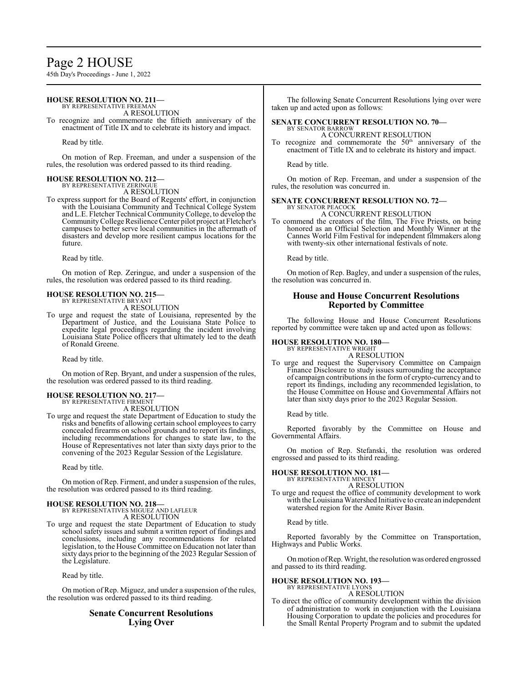# Page 2 HOUSE

45th Day's Proceedings - June 1, 2022

#### **HOUSE RESOLUTION NO. 211—** BY REPRESENTATIVE FREEMAN

A RESOLUTION

To recognize and commemorate the fiftieth anniversary of the enactment of Title IX and to celebrate its history and impact.

Read by title.

On motion of Rep. Freeman, and under a suspension of the rules, the resolution was ordered passed to its third reading.

#### **HOUSE RESOLUTION NO. 212—** BY REPRESENTATIVE ZERINGUE

A RESOLUTION

To express support for the Board of Regents' effort, in conjunction with the Louisiana Community and Technical College System and L.E. Fletcher Technical CommunityCollege, to develop the CommunityCollege Resilience Center pilot project at Fletcher's campuses to better serve local communities in the aftermath of disasters and develop more resilient campus locations for the future.

Read by title.

On motion of Rep. Zeringue, and under a suspension of the rules, the resolution was ordered passed to its third reading.

# **HOUSE RESOLUTION NO. 215—** BY REPRESENTATIVE BRYANT

A RESOLUTION

To urge and request the state of Louisiana, represented by the Department of Justice, and the Louisiana State Police to expedite legal proceedings regarding the incident involving Louisiana State Police officers that ultimately led to the death of Ronald Greene.

Read by title.

On motion of Rep. Bryant, and under a suspension of the rules, the resolution was ordered passed to its third reading.

#### **HOUSE RESOLUTION NO. 217—** BY REPRESENTATIVE FIRMENT

A RESOLUTION

To urge and request the state Department of Education to study the risks and benefits of allowing certain school employees to carry concealed firearms on school grounds and to report its findings, including recommendations for changes to state law, to the House of Representatives not later than sixty days prior to the convening of the 2023 Regular Session of the Legislature.

Read by title.

On motion of Rep. Firment, and under a suspension of the rules, the resolution was ordered passed to its third reading.

# **HOUSE RESOLUTION NO. 218—** BY REPRESENTATIVES MIGUEZ AND LAFLEUR

A RESOLUTION

To urge and request the state Department of Education to study school safety issues and submit a written report of findings and conclusions, including any recommendations for related legislation, to the House Committee on Education not later than sixty days prior to the beginning of the 2023 Regular Session of the Legislature.

Read by title.

On motion of Rep. Miguez, and under a suspension of the rules, the resolution was ordered passed to its third reading.

# **Senate Concurrent Resolutions Lying Over**

The following Senate Concurrent Resolutions lying over were taken up and acted upon as follows:

#### **SENATE CONCURRENT RESOLUTION NO. 70—** BY SENATOR BARROW

A CONCURRENT RESOLUTION To recognize and commemorate the  $50<sup>th</sup>$  anniversary of the enactment of Title IX and to celebrate its history and impact.

Read by title.

On motion of Rep. Freeman, and under a suspension of the rules, the resolution was concurred in.

# **SENATE CONCURRENT RESOLUTION NO. 72—** BY SENATOR PEACOCK

A CONCURRENT RESOLUTION

To commend the creators of the film, The Five Priests, on being honored as an Official Selection and Monthly Winner at the Cannes World Film Festival for independent filmmakers along with twenty-six other international festivals of note.

Read by title.

On motion of Rep. Bagley, and under a suspension of the rules, the resolution was concurred in.

# **House and House Concurrent Resolutions Reported by Committee**

The following House and House Concurrent Resolutions reported by committee were taken up and acted upon as follows:

#### **HOUSE RESOLUTION NO. 180—**

BY REPRESENTATIVE WRIGHT A RESOLUTION

To urge and request the Supervisory Committee on Campaign Finance Disclosure to study issues surrounding the acceptance of campaign contributions in the form of crypto-currency and to report its findings, including any recommended legislation, to the House Committee on House and Governmental Affairs not later than sixty days prior to the 2023 Regular Session.

Read by title.

Reported favorably by the Committee on House and Governmental Affairs.

On motion of Rep. Stefanski, the resolution was ordered engrossed and passed to its third reading.

#### **HOUSE RESOLUTION NO. 181—** BY REPRESENTATIVE MINCEY

A RESOLUTION

To urge and request the office of community development to work with theLouisiana Watershed Initiative to create an independent watershed region for the Amite River Basin.

Read by title.

Reported favorably by the Committee on Transportation, Highways and Public Works.

Onmotion ofRep. Wright, the resolution was ordered engrossed and passed to its third reading.

# **HOUSE RESOLUTION NO. 193—**

BY REPRESENTATIVE LYONS A RESOLUTION

To direct the office of community development within the division of administration to work in conjunction with the Louisiana Housing Corporation to update the policies and procedures for the Small Rental Property Program and to submit the updated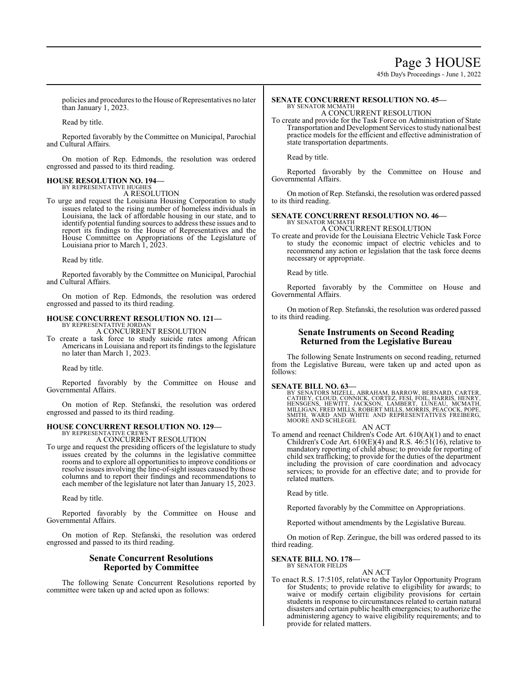45th Day's Proceedings - June 1, 2022

policies and procedures to the House of Representatives no later than January 1, 2023.

Read by title.

Reported favorably by the Committee on Municipal, Parochial and Cultural Affairs.

On motion of Rep. Edmonds, the resolution was ordered engrossed and passed to its third reading.

#### **HOUSE RESOLUTION NO. 194—** BY REPRESENTATIVE HUGHES

A RESOLUTION

To urge and request the Louisiana Housing Corporation to study issues related to the rising number of homeless individuals in Louisiana, the lack of affordable housing in our state, and to identify potential funding sources to address these issues and to report its findings to the House of Representatives and the House Committee on Appropriations of the Legislature of Louisiana prior to March 1, 2023.

Read by title.

Reported favorably by the Committee on Municipal, Parochial and Cultural Affairs.

On motion of Rep. Edmonds, the resolution was ordered engrossed and passed to its third reading.

#### **HOUSE CONCURRENT RESOLUTION NO. 121—**

BY REPRESENTATIVE JORDAN A CONCURRENT RESOLUTION

To create a task force to study suicide rates among African Americans in Louisiana and report its findings to the legislature no later than March 1, 2023.

Read by title.

Reported favorably by the Committee on House and Governmental Affairs.

On motion of Rep. Stefanski, the resolution was ordered engrossed and passed to its third reading.

#### **HOUSE CONCURRENT RESOLUTION NO. 129—**

BY REPRESENTATIVE CREWS A CONCURRENT RESOLUTION

To urge and request the presiding officers of the legislature to study issues created by the columns in the legislative committee rooms and to explore all opportunities to improve conditions or resolve issues involving the line-of-sight issues caused by those columns and to report their findings and recommendations to each member of the legislature not later than January 15, 2023.

Read by title.

Reported favorably by the Committee on House and Governmental Affairs.

On motion of Rep. Stefanski, the resolution was ordered engrossed and passed to its third reading.

### **Senate Concurrent Resolutions Reported by Committee**

The following Senate Concurrent Resolutions reported by committee were taken up and acted upon as follows:

#### **SENATE CONCURRENT RESOLUTION NO. 45—** BY SENATOR MCMATH

A CONCURRENT RESOLUTION

To create and provide for the Task Force on Administration of State Transportation and Development Services to study national best practice models for the efficient and effective administration of state transportation departments.

Read by title.

Reported favorably by the Committee on House and Governmental Affairs.

On motion of Rep. Stefanski, the resolution was ordered passed to its third reading.

#### **SENATE CONCURRENT RESOLUTION NO. 46—**

BY SENATOR MCMATH A CONCURRENT RESOLUTION

To create and provide for the Louisiana Electric Vehicle Task Force to study the economic impact of electric vehicles and to recommend any action or legislation that the task force deems necessary or appropriate.

Read by title.

Reported favorably by the Committee on House and Governmental Affairs.

On motion of Rep. Stefanski, the resolution was ordered passed to its third reading.

### **Senate Instruments on Second Reading Returned from the Legislative Bureau**

The following Senate Instruments on second reading, returned from the Legislative Bureau, were taken up and acted upon as follows:

**SENATE BILL NO. 63—**<br>BY SENATORS MIZELL, ABRAHAM, BARROW, BERNARD, CARTER,<br>CATHEY, CLOUD, CONNICK, CORTEZ, FESI, FOIL, HARRIS, HENRY,<br>HENSGENS, HEWITT, JACKSON, LAMBERT, LUNEAU, MCMATH,<br>MILLIGAN, FRED MILLS, ROBERT MILLS, SMITH, WARD AND WHITE AND REPRESENTATIVES FREIBERG, MOORE AND SCHLEGEL AN ACT

To amend and reenact Children's Code Art. 610(A)(1) and to enact Children's Code Art.  $610(E)(4)$  and R.S.  $46:51(16)$ , relative to mandatory reporting of child abuse; to provide for reporting of child sex trafficking; to provide for the duties of the department including the provision of care coordination and advocacy services; to provide for an effective date; and to provide for related matters.

Read by title.

Reported favorably by the Committee on Appropriations.

Reported without amendments by the Legislative Bureau.

On motion of Rep. Zeringue, the bill was ordered passed to its third reading.

#### **SENATE BILL NO. 178—** BY SENATOR FIELDS

AN ACT

To enact R.S. 17:5105, relative to the Taylor Opportunity Program for Students; to provide relative to eligibility for awards; to waive or modify certain eligibility provisions for certain students in response to circumstances related to certain natural disasters and certain public health emergencies; to authorize the administering agency to waive eligibility requirements; and to provide for related matters.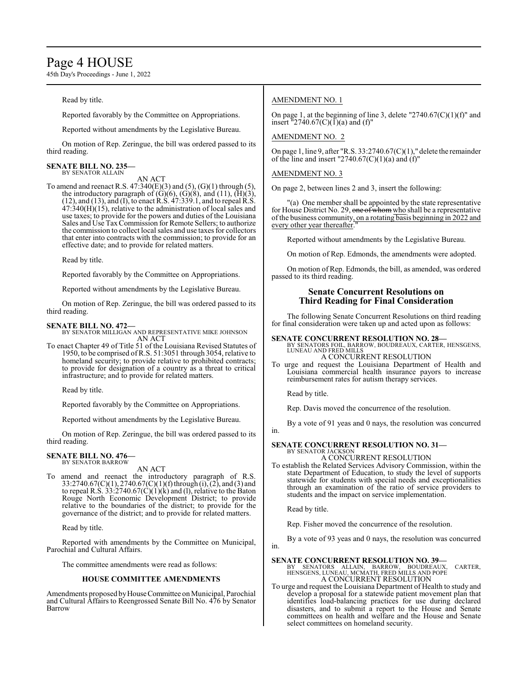# Page 4 HOUSE

45th Day's Proceedings - June 1, 2022

Read by title.

Reported favorably by the Committee on Appropriations.

Reported without amendments by the Legislative Bureau.

On motion of Rep. Zeringue, the bill was ordered passed to its third reading.

#### **SENATE BILL NO. 235—** BY SENATOR ALLAIN

AN ACT

To amend and reenact R.S.  $47:340(E)(3)$  and  $(5)$ ,  $(G)(1)$  through  $(5)$ , the introductory paragraph of  $(G)(6)$ ,  $(G)(8)$ , and  $(11)$ ,  $(\overline{H})(3)$ , (12), and (13), and (I), to enact R.S. 47:339.1, and to repeal R.S.  $47:340(H)(15)$ , relative to the administration of local sales and use taxes; to provide for the powers and duties of the Louisiana Sales and Use TaxCommission for Remote Sellers; to authorize the commission to collect local sales and use taxes for collectors that enter into contracts with the commission; to provide for an effective date; and to provide for related matters.

Read by title.

Reported favorably by the Committee on Appropriations.

Reported without amendments by the Legislative Bureau.

On motion of Rep. Zeringue, the bill was ordered passed to its third reading.

### **SENATE BILL NO. 472—**

BY SENATOR MILLIGAN AND REPRESENTATIVE MIKE JOHNSON AN ACT

To enact Chapter 49 of Title 51 of the Louisiana Revised Statutes of 1950, to be comprised of R.S. 51:3051 through 3054, relative to homeland security; to provide relative to prohibited contracts; to provide for designation of a country as a threat to critical infrastructure; and to provide for related matters.

Read by title.

Reported favorably by the Committee on Appropriations.

Reported without amendments by the Legislative Bureau.

On motion of Rep. Zeringue, the bill was ordered passed to its third reading.

#### **SENATE BILL NO. 476—** BY SENATOR BARROW

AN ACT

To amend and reenact the introductory paragraph of R.S. 33:2740.67(C)(1), 2740.67(C)(1)(f)through (i), (2), and (3) and to repeal R.S.  $33:2740.67(C)(1)(k)$  and (1), relative to the Baton Rouge North Economic Development District; to provide relative to the boundaries of the district; to provide for the governance of the district; and to provide for related matters.

Read by title.

Reported with amendments by the Committee on Municipal, Parochial and Cultural Affairs.

The committee amendments were read as follows:

#### **HOUSE COMMITTEE AMENDMENTS**

Amendments proposed byHouseCommittee on Municipal, Parochial and Cultural Affairs to Reengrossed Senate Bill No. 476 by Senator Barrow

### AMENDMENT NO. 1

On page 1, at the beginning of line 3, delete "2740.67 $(C)(1)(f)$ " and insert  $\frac{1}{2740.67(C)(1)}$ (a) and (f)"

AMENDMENT NO. 2

On page 1, line 9, after "R.S. 33:2740.67(C)(1)," delete the remainder of the line and insert "2740.67(C)(1)(a) and (f)"

#### AMENDMENT NO. 3

On page 2, between lines 2 and 3, insert the following:

"(a) One member shall be appointed by the state representative for House District No. 29, one of whom who shall be a representative ofthe business community, on a rotating basis beginning in 2022 and every other year thereafter.

Reported without amendments by the Legislative Bureau.

On motion of Rep. Edmonds, the amendments were adopted.

On motion of Rep. Edmonds, the bill, as amended, was ordered passed to its third reading.

# **Senate Concurrent Resolutions on Third Reading for Final Consideration**

The following Senate Concurrent Resolutions on third reading for final consideration were taken up and acted upon as follows:

**SENATE CONCURRENT RESOLUTION NO. 28—**<br>BY SENATORS FOIL, BARROW, BOUDREAUX, CARTER, HENSGENS,<br>LUNEAU AND FRED MILLS A CONCURRENT RESOLUTION

To urge and request the Louisiana Department of Health and Louisiana commercial health insurance payors to increase reimbursement rates for autism therapy services.

Read by title.

Rep. Davis moved the concurrence of the resolution.

By a vote of 91 yeas and 0 nays, the resolution was concurred in.

#### **SENATE CONCURRENT RESOLUTION NO. 31—** BY SENATOR JACKSON

A CONCURRENT RESOLUTION

To establish the Related Services Advisory Commission, within the state Department of Education, to study the level of supports statewide for students with special needs and exceptionalities through an examination of the ratio of service providers to students and the impact on service implementation.

Read by title.

Rep. Fisher moved the concurrence of the resolution.

By a vote of 93 yeas and 0 nays, the resolution was concurred in.

- **SENATE CONCURRENT RESOLUTION NO. 39—**<br>BY SENATORS ALLAIN, BARROW, BOUDREAUX, CARTER,<br>HENSGENS, LUNEAU, MCMATH, FRED MILLS AND POPE A CONCURRENT RESOLUTION
- To urge and request the Louisiana Department of Health to study and develop a proposal for a statewide patient movement plan that identifies load-balancing practices for use during declared disasters, and to submit a report to the House and Senate committees on health and welfare and the House and Senate select committees on homeland security.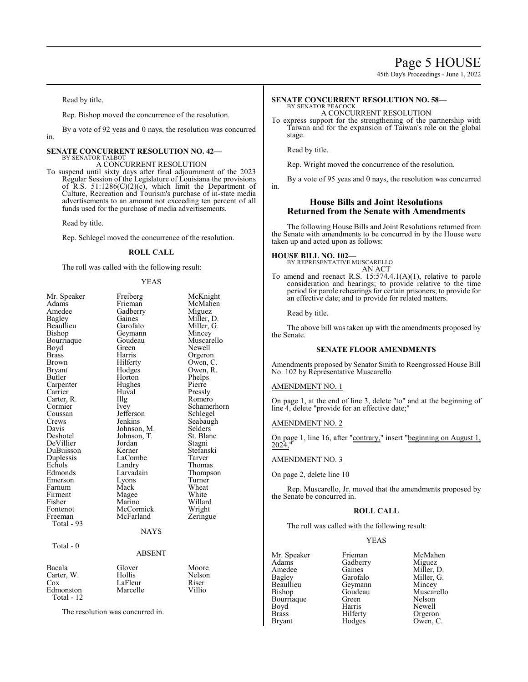45th Day's Proceedings - June 1, 2022

Read by title.

Rep. Bishop moved the concurrence of the resolution.

By a vote of 92 yeas and 0 nays, the resolution was concurred in.

#### **SENATE CONCURRENT RESOLUTION NO. 42—** BY SENATOR TALBOT

### A CONCURRENT RESOLUTION

To suspend until sixty days after final adjournment of the 2023 Regular Session of the Legislature of Louisiana the provisions of R.S.  $51:1286(C)(2)(c)$ , which limit the Department of Culture, Recreation and Tourism's purchase of in-state media advertisements to an amount not exceeding ten percent of all funds used for the purchase of media advertisements.

Read by title.

Rep. Schlegel moved the concurrence of the resolution.

#### **ROLL CALL**

The roll was called with the following result:

#### YEAS

| Mr. Speaker   | Freiberg      | McKnight    |
|---------------|---------------|-------------|
| Adams         | Frieman       | McMahen     |
| Amedee        | Gadberry      | Miguez      |
| Bagley        | Gaines        | Miller, D.  |
| Beaullieu     | Garofalo      | Miller, G.  |
| Bishop        | Geymann       | Mincey      |
| Bourriaque    | Goudeau       | Muscarello  |
| Boyd          | Green         | Newell      |
| Brass         | Harris        | Orgeron     |
| Brown         | Hilferty      | Owen, C.    |
| <b>Bryant</b> | Hodges        | Owen, R.    |
| Butler        | Horton        | Phelps      |
| Carpenter     | Hughes        | Pierre      |
| Carrier       | Huval         | Pressly     |
| Carter, R.    | Illg          | Romero      |
| Cormier       | Ivey          | Schamerhorn |
| Coussan       | Jefferson     | Schlegel    |
| Crews         | Jenkins       | Seabaugh    |
| Davis         | Johnson, M.   | Selders     |
| Deshotel      | Johnson, T.   | St. Blanc   |
| DeVillier     | Jordan        | Stagni      |
| DuBuisson     | Kerner        | Stefanski   |
| Duplessis     | LaCombe       | Tarver      |
| Echols        | Landry        | Thomas      |
| Edmonds       | Larvadain     | Thompson    |
| Emerson       | Lyons         | Turner      |
| Farnum        | Mack          | Wheat       |
| Firment       | Magee         | White       |
| Fisher        | Marino        | Willard     |
| Fontenot      | McCormick     | Wright      |
| Freeman       | McFarland     | Zeringue    |
| Total - 93    |               |             |
|               | <b>NAYS</b>   |             |
| Total $-0$    |               |             |
|               | <b>ABSENT</b> |             |
| Bacala        | Glover        | Moore       |
| Carter, W.    | Hollis        | Nelson      |
| $\cos$        | LaFleur       | Riser       |
| Edmonston     | Marcelle      | Villio      |
| Total - 12    |               |             |
|               |               |             |

The resolution was concurred in.

#### **SENATE CONCURRENT RESOLUTION NO. 58—** BY SENATOR PEACOCK

A CONCURRENT RESOLUTION

To express support for the strengthening of the partnership with Taiwan and for the expansion of Taiwan's role on the global stage.

Read by title.

Rep. Wright moved the concurrence of the resolution.

By a vote of 95 yeas and 0 nays, the resolution was concurred

in.

### **House Bills and Joint Resolutions Returned from the Senate with Amendments**

The following House Bills and Joint Resolutions returned from the Senate with amendments to be concurred in by the House were taken up and acted upon as follows:

# **HOUSE BILL NO. 102—**

BY REPRESENTATIVE MUSCARELLO AN ACT

To amend and reenact R.S. 15:574.4.1(A)(1), relative to parole consideration and hearings; to provide relative to the time period for parole rehearings for certain prisoners; to provide for an effective date; and to provide for related matters.

Read by title.

The above bill was taken up with the amendments proposed by the Senate.

#### **SENATE FLOOR AMENDMENTS**

Amendments proposed by Senator Smith to Reengrossed House Bill No. 102 by Representative Muscarello

#### AMENDMENT NO. 1

On page 1, at the end of line 3, delete "to" and at the beginning of line 4, delete "provide for an effective date;"

#### AMENDMENT NO. 2

On page 1, line 16, after "contrary," insert "beginning on August 1,  $2024$ 

#### AMENDMENT NO. 3

On page 2, delete line 10

Rep. Muscarello, Jr. moved that the amendments proposed by the Senate be concurred in.

#### **ROLL CALL**

The roll was called with the following result:

#### YEAS

Mr. Speaker Frieman McMahen<br>Adams Gadberry Miguez Adams Gadberry<br>Amedee Gaines Amedee Gaines Miller, D.<br>Bagley Garofalo Miller, G. Bagley Garofalo Miller, G. Beaullieu Geymann<br>Bishop Goudeau Bourriaque Green<br>Boyd Harris Boyd Harris Newell<br>Brass Hilferty Orgero Brass Hilferty Orgeron<br>Bryant Hodges Owen, C

Goudeau Muscarello<br>Green Nelson Hodges Owen, C.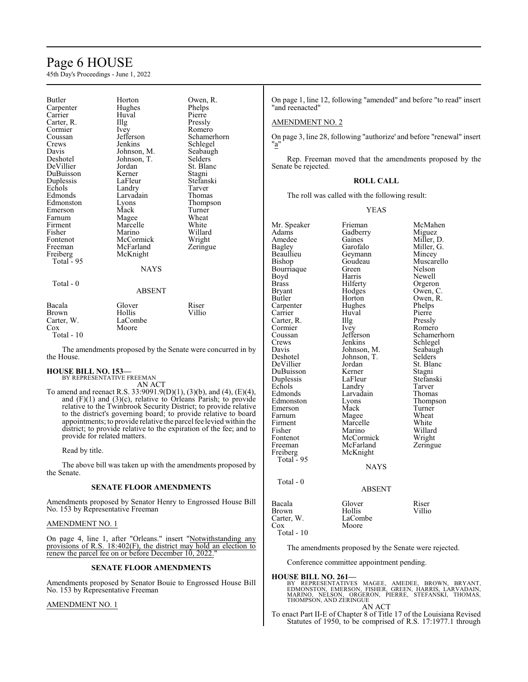# Page 6 HOUSE

45th Day's Proceedings - June 1, 2022

| Butler      | Horton        | Owen, R.    |
|-------------|---------------|-------------|
| Carpenter   | Hughes        | Phelps      |
| Carrier     | Huval         | Pierre      |
| Carter, R.  | Illg          | Pressly     |
| Cormier     | Ivey          | Romero      |
| Coussan     | Jefferson     | Schamerhorn |
| Crews       | Jenkins       | Schlegel    |
| Davis       | Johnson, M.   | Seabaugh    |
| Deshotel    | Johnson, T.   | Selders     |
| DeVillier   | Jordan        | St. Blanc   |
| DuBuisson   | Kerner        | Stagni      |
| Duplessis   | LaFleur       | Stefanski   |
| Echols      | Landry        | Tarver      |
| Edmonds     | Larvadain     | Thomas      |
| Edmonston   | Lyons         | Thompson    |
| Emerson     | Mack          | Turner      |
| Farnum      | Magee         | Wheat       |
| Firment     | Marcelle      | White       |
| Fisher      | Marino        | Willard     |
|             |               |             |
| Fontenot    | McCormick     | Wright      |
| Freeman     | McFarland     | Zeringue    |
| Freiberg    | McKnight      |             |
| Total - 95  |               |             |
|             | <b>NAYS</b>   |             |
| $Total - 0$ |               |             |
|             | <b>ABSENT</b> |             |
| Bacala      | Glover        | Riser       |
|             | Hollis        | Villio      |
| Brown       |               |             |
| Carter, W.  | LaCombe       |             |
| Cox         | Moore         |             |
| Total - 10  |               |             |

The amendments proposed by the Senate were concurred in by the House.

# **HOUSE BILL NO. 153—** BY REPRESENTATIVE FREEMAN

AN ACT

To amend and reenact R.S. 33:9091.9(D)(1), (3)(b), and (4), (E)(4), and (F)(1) and (3)(c), relative to Orleans Parish; to provide relative to the Twinbrook Security District; to provide relative to the district's governing board; to provide relative to board appointments; to provide relative the parcel fee levied within the district; to provide relative to the expiration of the fee; and to provide for related matters.

Read by title.

The above bill was taken up with the amendments proposed by the Senate.

#### **SENATE FLOOR AMENDMENTS**

Amendments proposed by Senator Henry to Engrossed House Bill No. 153 by Representative Freeman

#### AMENDMENT NO. 1

On page 4, line 1, after "Orleans." insert "Notwithstanding any provisions of R.S. 18:402(F), the district may hold an election to renew the parcel fee on or before December 10, 2022."

#### **SENATE FLOOR AMENDMENTS**

Amendments proposed by Senator Bouie to Engrossed House Bill No. 153 by Representative Freeman

#### AMENDMENT NO. 1

On page 1, line 12, following "amended" and before "to read" insert "and reenacted"

#### AMENDMENT NO. 2

On page 3, line 28, following "authorize' and before "renewal" insert "a"

Rep. Freeman moved that the amendments proposed by the Senate be rejected.

### **ROLL CALL**

The roll was called with the following result:

YEAS

| Mr. Speaker | Frieman       | McMahen     |
|-------------|---------------|-------------|
| Adams       | Gadberry      | Miguez      |
| Amedee      | Gaines        | Miller, D.  |
| Bagley      | Garofalo      | Miller, G.  |
| Beaullieu   | Geymann       | Mincey      |
| Bishop      | Goudeau       | Muscarello  |
| Bourriaque  | Green         | Nelson      |
| Boyd        | Harris        | Newell      |
| Brass       | Hilferty      | Orgeron     |
| Bryant      | Hodges        | Owen, C.    |
| Butler      | Horton        | Owen, R.    |
| Carpenter   | Hughes        | Phelps      |
| Carrier     | Huval         | Pierre      |
| Carter, R.  | Illg          | Pressly     |
| Cormier     | Ivey          | Romero      |
| Coussan     | Jefferson     | Schamerhorn |
| Crews       | Jenkins       | Schlegel    |
| Davis       | Johnson, M.   | Seabaugh    |
| Deshotel    | Johnson, T.   | Selders     |
| DeVillier   | Jordan        | St. Blanc   |
| DuBuisson   | Kerner        | Stagni      |
| Duplessis   | LaFleur       | Stefanski   |
| Echols      | Landry        | Tarver      |
| Edmonds     | Larvadain     | Thomas      |
| Edmonston   | Lyons         | Thompson    |
| Emerson     | Mack          | Turner      |
| Farnum      | Magee         | Wheat       |
| Firment     | Marcelle      | White       |
| Fisher      | Marino        | Willard     |
| Fontenot    | McCormick     | Wright      |
| Freeman     | McFarland     | Zeringue    |
| Freiberg    | McKnight      |             |
| Total - 95  |               |             |
|             | <b>NAYS</b>   |             |
|             |               |             |
| Total - 0   |               |             |
|             | <b>ABSENT</b> |             |
| Bacala      | Glover        | Riser       |
| Brown       | Hollis        | Villio      |
| Carter, W.  | LaCombe       |             |
| Cox         | Moore         |             |
|             |               |             |

The amendments proposed by the Senate were rejected.

Conference committee appointment pending.

#### **HOUSE BILL NO. 261—**

Total - 10

BY REPRESENTATIVES MAGEE, AMEDEE, BROWN, BRYANT,<br>EDMONSTON, EMERSON, FISHER, GREEN, HARRIS, LARVADAIN,<br>MARINO, NELSON, ORGERON, PIERRE, STEFANSKI, THOMAS,<br>THOMPSON,AND ZERINGUE AN ACT

To enact Part II-E of Chapter 8 of Title 17 of the Louisiana Revised Statutes of 1950, to be comprised of R.S. 17:1977.1 through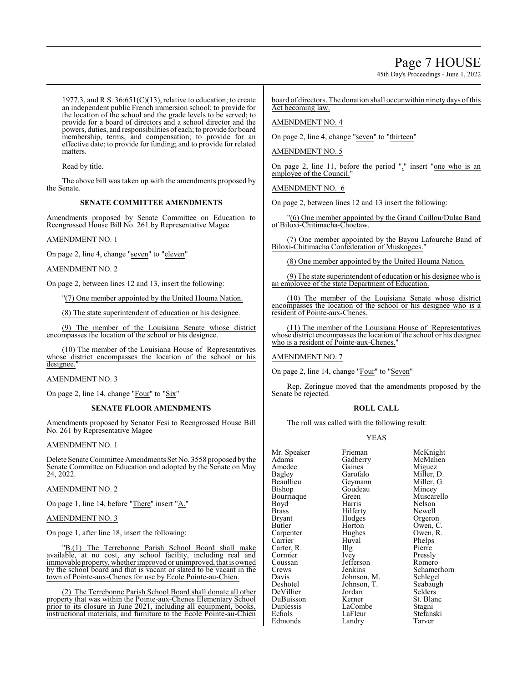45th Day's Proceedings - June 1, 2022

1977.3, and R.S.  $36:651(C)(13)$ , relative to education; to create an independent public French immersion school; to provide for the location of the school and the grade levels to be served; to provide for a board of directors and a school director and the powers, duties, and responsibilities of each; to provide for board membership, terms, and compensation; to provide for an effective date; to provide for funding; and to provide for related matters.

Read by title.

The above bill was taken up with the amendments proposed by the Senate.

### **SENATE COMMITTEE AMENDMENTS**

Amendments proposed by Senate Committee on Education to Reengrossed House Bill No. 261 by Representative Magee

### AMENDMENT NO. 1

On page 2, line 4, change "seven" to "eleven"

AMENDMENT NO. 2

On page 2, between lines 12 and 13, insert the following:

"(7) One member appointed by the United Houma Nation.

(8) The state superintendent of education or his designee.

(9) The member of the Louisiana Senate whose district encompasses the location of the school or his designee.

(10) The member of the Louisiana House of Representatives whose district encompasses the location of the school or his designee.

#### AMENDMENT NO. 3

On page 2, line 14, change "Four" to "Six"

### **SENATE FLOOR AMENDMENTS**

Amendments proposed by Senator Fesi to Reengrossed House Bill No. 261 by Representative Magee

#### AMENDMENT NO. 1

Delete Senate Committee Amendments Set No. 3558 proposed by the Senate Committee on Education and adopted by the Senate on May 24, 2022.

#### AMENDMENT NO. 2

On page 1, line 14, before "There" insert "A."

#### AMENDMENT NO. 3

On page 1, after line 18, insert the following:

"B.(1) The Terrebonne Parish School Board shall make available, at no cost, any school facility, including real and immovable property, whether improved or unimproved, that is owned by the school board and that is vacant or slated to be vacant in the town of Pointe-aux-Chenes for use by Ecole Pointe-au-Chien.

(2) The Terrebonne Parish School Board shall donate all other property that was within the Pointe-aux-Chenes Elementary School prior to its closure in June 2021, including all equipment, books, instructional materials, and furniture to the Ecole Pointe-au-Chien

board of directors. The donation shall occur within ninety days ofthis Act becoming law.

### AMENDMENT NO. 4

On page 2, line 4, change "seven" to "thirteen"

### AMENDMENT NO. 5

On page 2, line 11, before the period "." insert "one who is an employee of the Council."

AMENDMENT NO. 6

On page 2, between lines 12 and 13 insert the following:

"(6) One member appointed by the Grand Caillou/Dulac Band of Biloxi-Chitimacha-Choctaw.

(7) One member appointed by the Bayou Lafourche Band of Biloxi-Chitimacha Confederation of Muskogees."

(8) One member appointed by the United Houma Nation.

(9) The state superintendent of education or his designee who is an employee of the state Department of Education.

(10) The member of the Louisiana Senate whose district encompasses the location of the school or his designee who is a resident of Pointe-aux-Chenes.

(11) The member of the Louisiana House of Representatives whose district encompasses the location of the school or his designee who is a resident of Pointe-aux-Chenes.

AMENDMENT NO. 7

On page 2, line 14, change "Four" to "Seven"

Rep. Zeringue moved that the amendments proposed by the Senate be rejected.

### **ROLL CALL**

The roll was called with the following result:

Landry

#### YEAS

Mr. Speaker Frieman McKnight<br>Adams Gadberry McMahen Amedee Gaines<br>Bagley Garofalo Bagley Garofalo Miller, D. Beaullieu Geymann Miller, G. Bourriaque Green<br>Boyd Harris Boyd Harris Nelson Brass Hilferty<br>Bryant Hodges Bryant Hodges Orgeron Carpenter Hughe<br>Carrier Huval Carter, R. Illg Pierre<br>
Pierre Pressly<br>
Pressly Cormier Ivey Pressly<br>
Coussan Iefferson Romero Coussan Jefferson<br>Crews Jenkins Crews Jenkins Schamerhorn<br>
Davis Johnson, M. Schlegel Davis Johnson, M. Schlegel Deshotel Johnson, T.<br>DeVillier Jordan DuBuisson Kerner St. Bla<br>
Duplessis LaCombe Stagni Duplessis LaCombe<br>
Echols LaFleur Echols LaFleur Stefanski<br>Edmonds Landry Tarver

Gadberry McMah<br>Gaines Miguez Goudeau Mincey<br>
Green Muscarello Horton Owen, C.<br>Hughes Owen, R. Huval Phelps<br>Illg Pierre Jordan Selders<br>Kerner St. Blanc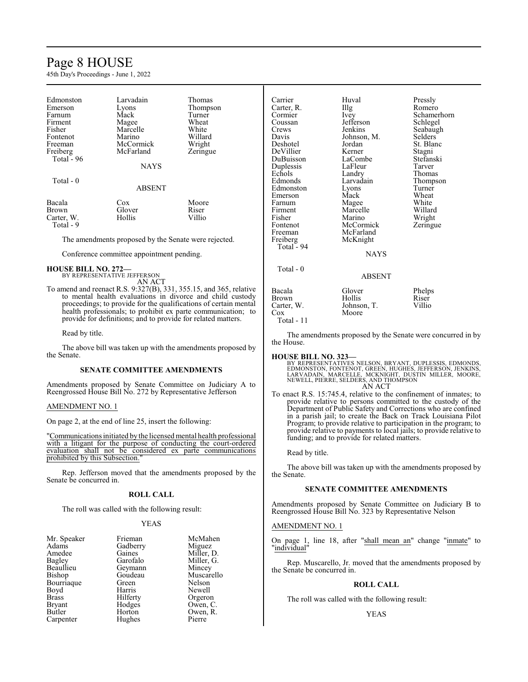# Page 8 HOUSE

45th Day's Proceedings - June 1, 2022

| Edmonston<br>Emerson<br>Farnum<br>Firment<br>Fisher<br>Fontenot<br>Freeman<br>Freiberg<br>Total $-96$<br>Total $-0$ | Larvadain<br>Lyons<br>Mack<br>Magee<br>Marcelle<br>Marino<br>McCormick<br>McFarland<br><b>NAYS</b><br><b>ABSENT</b> | Thomas<br>Thompson<br>Turner<br>Wheat<br>White<br>Willard<br>Wright<br>Zeringue |
|---------------------------------------------------------------------------------------------------------------------|---------------------------------------------------------------------------------------------------------------------|---------------------------------------------------------------------------------|
| Bacala                                                                                                              | Cox                                                                                                                 | Moore                                                                           |
| Brown                                                                                                               | Glover                                                                                                              | Riser                                                                           |
| Carter, W.                                                                                                          | Hollis                                                                                                              | Villio                                                                          |

# Total - 9

The amendments proposed by the Senate were rejected.

Conference committee appointment pending.

**HOUSE BILL NO. 272—** BY REPRESENTATIVE JEFFERSON AN ACT

To amend and reenact R.S. 9:327(B), 331, 355.15, and 365, relative to mental health evaluations in divorce and child custody proceedings; to provide for the qualifications of certain mental health professionals; to prohibit ex parte communication; to provide for definitions; and to provide for related matters.

Read by title.

The above bill was taken up with the amendments proposed by the Senate.

#### **SENATE COMMITTEE AMENDMENTS**

Amendments proposed by Senate Committee on Judiciary A to Reengrossed House Bill No. 272 by Representative Jefferson

#### AMENDMENT NO. 1

On page 2, at the end of line 25, insert the following:

"Communications initiated by the licensed mental health professional with a litigant for the purpose of conducting the court-ordered evaluation shall not be considered ex parte communications prohibited by this Subsection.

Rep. Jefferson moved that the amendments proposed by the Senate be concurred in.

#### **ROLL CALL**

The roll was called with the following result:

#### YEAS

| Mr. Speaker   | Frieman  | McMahen    |
|---------------|----------|------------|
| Adams         | Gadberry | Miguez     |
| Amedee        | Gaines   | Miller, D. |
| Bagley        | Garofalo | Miller, G. |
| Beaullieu     | Geymann  | Mincey     |
| Bishop        | Goudeau  | Muscarello |
| Bourriaque    | Green    | Nelson     |
| Boyd          | Harris   | Newell     |
| <b>Brass</b>  | Hilferty | Orgeron    |
| <b>Bryant</b> | Hodges   | Owen, C.   |
| Butler        | Horton   | Owen, R.   |
| Carpenter     | Hughes   | Pierre     |
|               |          |            |

| Carrier    | Huval         | Pressly     |
|------------|---------------|-------------|
| Carter, R. | Illg          | Romero      |
| Cormier    | Ivey          | Schamerhorn |
| Coussan    | Jefferson     | Schlegel    |
| Crews      | Jenkins       | Seabaugh    |
| Davis      | Johnson, M.   | Selders     |
| Deshotel   | Jordan        | St. Blanc   |
| DeVillier  | Kerner        | Stagni      |
| DuBuisson  | LaCombe       | Stefanski   |
| Duplessis  | LaFleur       | Tarver      |
| Echols     | Landry        | Thomas      |
| Edmonds    | Larvadain     | Thompson    |
| Edmonston  | Lyons         | Turner      |
| Emerson    | Mack          | Wheat       |
| Farnum     | Magee         | White       |
| Firment    | Marcelle      | Willard     |
| Fisher     | Marino        | Wright      |
| Fontenot   | McCormick     | Zeringue    |
| Freeman    | McFarland     |             |
| Freiberg   | McKnight      |             |
| Total - 94 |               |             |
|            | <b>NAYS</b>   |             |
| Total - 0  |               |             |
|            | <b>ABSENT</b> |             |
| Bacala     | Glover        | Phelps      |
| Brown      | Hollis        | Riser       |
| Carter, W. | Johnson, T.   | Villio      |
| Cox        | Moore         |             |

Total - 11

The amendments proposed by the Senate were concurred in by the House.

#### **HOUSE BILL NO. 323—**

BY REPRESENTATIVES NELSON, BRYANT, DUPLESSIS, EDMONDS,<br>EDMONSTON, FONTENOT, GREEN, HUGHES, JEFFERSON, JENKINS,<br>LARVADAIN, MARCELLE, MCKNIGHT, DUSTIN MILLER, MOORE,<br>NEWELL, PIERRE, SELDERS, AND THOMPSON AN ACT

To enact R.S. 15:745.4, relative to the confinement of inmates; to provide relative to persons committed to the custody of the Department of Public Safety and Corrections who are confined in a parish jail; to create the Back on Track Louisiana Pilot Program; to provide relative to participation in the program; to provide relative to payments to local jails; to provide relative to funding; and to provide for related matters.

Read by title.

The above bill was taken up with the amendments proposed by the Senate.

### **SENATE COMMITTEE AMENDMENTS**

Amendments proposed by Senate Committee on Judiciary B to Reengrossed House Bill No. 323 by Representative Nelson

#### AMENDMENT NO. 1

On page 1, line 18, after "shall mean an" change "inmate" to "individual"

Rep. Muscarello, Jr. moved that the amendments proposed by the Senate be concurred in.

#### **ROLL CALL**

The roll was called with the following result:

#### YEAS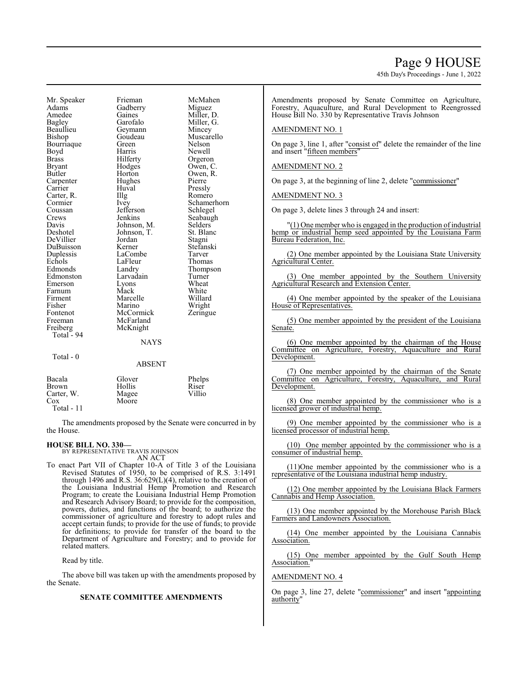45th Day's Proceedings - June 1, 2022

Mr. Speaker Frieman McMahen<br>Adams Gadberry Miguez Adams Gadberry<br>Amedee Gaines Amedee Gaines Miller, D.<br>Bagley Garofalo Miller, G. Bagley Garofalo Miller, G.<br>Beaullieu Geymann Mincey Beaullieu Geymann<br>Bishop Goudeau Bourriaque Green Nelson<br>Boyd Harris Newell Boyd Harris Newell Brass Filerty Orgeron<br>Bryant Hodges Owen, C Bryant Hodges Owen, C.<br>Butler Horton Owen, R. Carpenter Hughe<br>Carrier Huval Carter, R. Illg<br>Cormier Ivev Cormier Ivey Schamerhorn<br>
Coussan Iefferson Schlegel Coussan Jefferson Schlegel<br>Crews Jenkins Seabaugl Crews Jenkins Seabaugh<br>
Davis Johnson, M. Selders Davis Johnson, M. Selders Johnson, T. Selders DeVillier Jordan Stagni DuBuisson Kerner Stefans<br>
Duplessis LaCombe Tarver Duplessis LaCombe Tarver<br>
Echols LaFleur Thomas Echols LaFleur<br>Edmonds Landry Edmonds Landry Thompson<br>
Edmonston Larvadain Turner Emerson Lyons Wheat Farnum Mack White<br>Firment Marcelle Willard Firment Marcelle<br>Fisher Marino Fisher Marino Wright<br>
Fontenot McCormick Zeringue Fontenot McCormick<br>Freeman McFarland Freeman McFarland<br>Freiberg McKnight Total - 94 Total - 0

Horton Owen, R.<br>Hughes Pierre Huval Pressly<br>
Illg Romero Johnson, T. St. Blanch<br>Jordan Stagni Larvadain Turner<br>Lyons Wheat McKnight NAYS

Muscarello

| Bacala       | Glover | Phelps |
|--------------|--------|--------|
| <b>Brown</b> | Hollis | Riser  |
| Carter, W.   | Magee  | Villio |
| Cox          | Moore  |        |

Total - 11

The amendments proposed by the Senate were concurred in by the House.

ABSENT

# **HOUSE BILL NO. 330—** BY REPRESENTATIVE TRAVIS JOHNSON

AN ACT

To enact Part VII of Chapter 10-A of Title 3 of the Louisiana Revised Statutes of 1950, to be comprised of R.S. 3:1491 through 1496 and R.S. 36:629(L)(4), relative to the creation of the Louisiana Industrial Hemp Promotion and Research Program; to create the Louisiana Industrial Hemp Promotion and Research Advisory Board; to provide for the composition, powers, duties, and functions of the board; to authorize the commissioner of agriculture and forestry to adopt rules and accept certain funds; to provide for the use of funds; to provide for definitions; to provide for transfer of the board to the Department of Agriculture and Forestry; and to provide for related matters.

Read by title.

The above bill was taken up with the amendments proposed by the Senate.

#### **SENATE COMMITTEE AMENDMENTS**

Amendments proposed by Senate Committee on Agriculture, Forestry, Aquaculture, and Rural Development to Reengrossed House Bill No. 330 by Representative Travis Johnson

#### AMENDMENT NO. 1

On page 3, line 1, after "consist of" delete the remainder of the line and insert "fifteen members"

### AMENDMENT NO. 2

On page 3, at the beginning of line 2, delete "commissioner"

AMENDMENT NO. 3

On page 3, delete lines 3 through 24 and insert:

 $''(1)$  One member who is engaged in the production of industrial hemp or industrial hemp seed appointed by the Louisiana Farm Bureau Federation, Inc.

(2) One member appointed by the Louisiana State University Agricultural Center.

(3) One member appointed by the Southern University Agricultural Research and Extension Center.

(4) One member appointed by the speaker of the Louisiana House of Representatives.

(5) One member appointed by the president of the Louisiana Senate.

(6) One member appointed by the chairman of the House Committee on Agriculture, Forestry, Aquaculture and Rural Development.

(7) One member appointed by the chairman of the Senate Committee on Agriculture, Forestry, Aquaculture, and Rural Development.

(8) One member appointed by the commissioner who is a licensed grower of industrial hemp.

(9) One member appointed by the commissioner who is a licensed processor of industrial hemp.

(10) One member appointed by the commissioner who is a consumer of industrial hemp.

(11)One member appointed by the commissioner who is a representative of the Louisiana industrial hemp industry.

(12) One member appointed by the Louisiana Black Farmers Cannabis and Hemp Association.

(13) One member appointed by the Morehouse Parish Black Farmers and Landowners Association.

(14) One member appointed by the Louisiana Cannabis Association.

(15) One member appointed by the Gulf South Hemp Association.

#### AMENDMENT NO. 4

On page 3, line 27, delete "commissioner" and insert "appointing authority"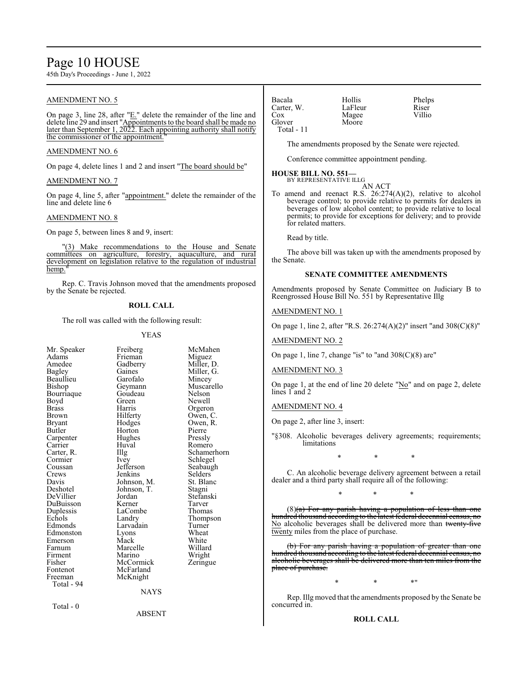# Page 10 HOUSE

45th Day's Proceedings - June 1, 2022

### AMENDMENT NO. 5

On page 3, line 28, after "E." delete the remainder of the line and delete line 29 and insert "Appointments to the board shall be made no later than September 1, 2022. Each appointing authority shall notify the commissioner of the appointment.

#### AMENDMENT NO. 6

On page 4, delete lines 1 and 2 and insert "The board should be"

#### AMENDMENT NO. 7

On page 4, line 5, after "appointment." delete the remainder of the line and delete line 6

#### AMENDMENT NO. 8

On page 5, between lines 8 and 9, insert:

"(3) Make recommendations to the House and Senate committees on agriculture, forestry, aquaculture, and rural development on legislation relative to the regulation of industrial hemp.

Rep. C. Travis Johnson moved that the amendments proposed by the Senate be rejected.

#### **ROLL CALL**

The roll was called with the following result:

#### YEAS

| Mr. Speaker<br>Adams | Freiberg<br>Frieman | McMahen<br>Miguez |
|----------------------|---------------------|-------------------|
| Amedee               | Gadberry            | Miller, D.        |
| Bagley               | Gaines              | Miller, G.        |
| Beaullieu            | Garofalo            | Mincey            |
| Bishop               | Geymann             | Muscarello        |
| Bourriaque           | Goudeau             | Nelson            |
| Boyd                 | Green               | Newell            |
| Brass                | Harris              | Orgeron           |
| Brown                | Hilferty            | Owen, C.          |
| Bryant               | Hodges              | Owen, R.          |
| Butler               | Horton              | Pierre            |
| Carpenter            | Hughes              | Pressly           |
| Carrier              | Huval               | Romero            |
| Carter, R.           | Illg                | Schamerhorn       |
| Cormier              | Ivey                | Schlegel          |
| Coussan              | Jefferson           | Seabaugh          |
| Crews                | Jenkins             | Selders           |
| Davis                | Johnson, M.         | St. Blanc         |
| Deshotel             | Johnson, T.         | Stagni            |
| DeVillier            | Jordan              | Stefanski         |
| DuBuisson            | Kerner              | Tarver            |
| Duplessis            | LaCombe             | Thomas            |
| Echols               | Landry              | Thompson          |
| Edmonds              | Larvadain           | Turner            |
| Edmonston            | Lyons               | Wheat             |
| Emerson              | Mack                | White             |
| Farnum               | Marcelle            | Willard           |
| Firment              | Marino              | Wright            |
| Fisher               | McCormick           | Zeringue          |
| Fontenot             | McFarland           |                   |
| Freeman              | McKnight            |                   |
| Total - 94           |                     |                   |
|                      | <b>NAYS</b>         |                   |
| Total - 0            |                     |                   |

Bacala Hollis Phelps Carter, W. LaFleur Riser<br>Cox Magee Villio Cox Magee<br>Glover Moore Moore Total - 11

The amendments proposed by the Senate were rejected.

Conference committee appointment pending.

# **HOUSE BILL NO. 551—** BY REPRESENTATIVE ILLG

AN ACT

To amend and reenact R.S. 26:274(A)(2), relative to alcohol beverage control; to provide relative to permits for dealers in beverages of low alcohol content; to provide relative to local permits; to provide for exceptions for delivery; and to provide for related matters.

Read by title.

The above bill was taken up with the amendments proposed by the Senate.

#### **SENATE COMMITTEE AMENDMENTS**

Amendments proposed by Senate Committee on Judiciary B to Reengrossed House Bill No. 551 by Representative Illg

### AMENDMENT NO. 1

On page 1, line 2, after "R.S. 26:274(A)(2)" insert "and 308(C)(8)"

## AMENDMENT NO. 2

On page 1, line 7, change "is" to "and 308(C)(8) are"

#### AMENDMENT NO. 3

On page 1, at the end of line 20 delete "No" and on page 2, delete lines 1 and 2

#### AMENDMENT NO. 4

On page 2, after line 3, insert:

"§308. Alcoholic beverages delivery agreements; requirements; limitations

\* \* \*

C. An alcoholic beverage delivery agreement between a retail dealer and a third party shall require all of the following:

\* \* \*

(8)(a) For any parish having a population of less than one hundred thousand according to the latest federal decennial census, no No alcoholic beverages shall be delivered more than twenty-five twenty miles from the place of purchase.

(b) For any parish having a population of greater than one hundred thousand according to the latest federal decennial census, no alcoholic beverages shall be delivered more than ten miles from the place of purchase.

\* \* \* \* \* <mark>\*</mark>

Rep. Illg moved that the amendments proposed by the Senate be concurred in.

#### **ROLL CALL**

ABSENT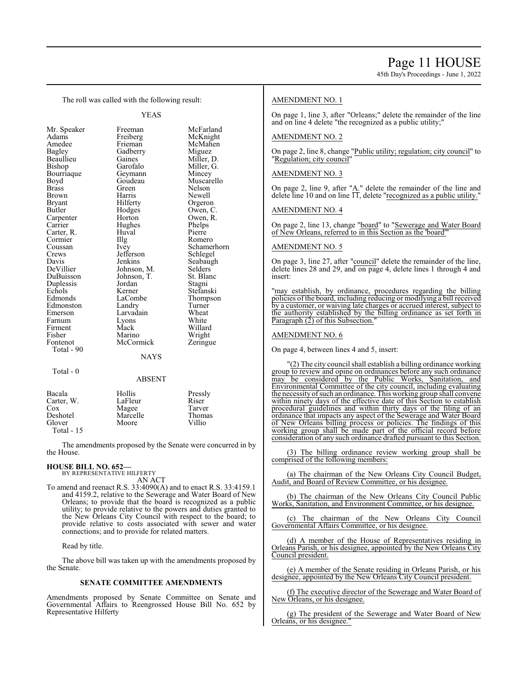45th Day's Proceedings - June 1, 2022

The roll was called with the following result:

YEAS

| Mr. Speaker  | Freeman       | McFarland   |
|--------------|---------------|-------------|
| Adams        | Freiberg      | McKnight    |
| Amedee       | Frieman       | McMahen     |
| Bagley       | Gadberry      | Miguez      |
| Beaullieu    | Gaines        | Miller, D.  |
| Bishop       | Garofalo      | Miller, G.  |
| Bourriaque   | Geymann       | Mincey      |
| Boyd         | Goudeau       | Muscarello  |
| <b>Brass</b> | Green         | Nelson      |
| Brown        | Harris        | Newell      |
| Bryant       | Hilferty      | Orgeron     |
| Butler       | Hodges        | Owen, C.    |
| Carpenter    | Horton        | Owen, R.    |
| Carrier      | Hughes        | Phelps      |
| Carter, R.   | Huval         | Pierre      |
| Cormier      | Illg          | Romero      |
| Coussan      | Ivey          | Schamerhorn |
| Crews        | Jefferson     | Schlegel    |
| Davis        | Jenkins       | Seabaugh    |
| DeVillier    | Johnson, M.   | Selders     |
| DuBuisson    | Johnson, T.   | St. Blanc   |
| Duplessis    | Jordan        | Stagni      |
| Echols       | Kerner        | Stefanski   |
| Edmonds      | LaCombe       | Thompson    |
| Edmonston    | Landry        | Turner      |
| Emerson      | Larvadain     | Wheat       |
| Farnum       | Lyons         | White       |
| Firment      | Mack          | Willard     |
| Fisher       | Marino        | Wright      |
| Fontenot     | McCormick     | Zeringue    |
| Total - 90   |               |             |
|              | NAYS          |             |
| Total - 0    |               |             |
|              | <b>ABSENT</b> |             |
| Bacala       | Hollis        | Pressly     |
| Carter, W.   | LaFleur       | Riser       |
|              |               |             |

Cox Magee Tarver<br>Deshotel Marcelle Thomas Deshotel Marcelle Thom<br>Glover Moore Villio Moore Total - 15

The amendments proposed by the Senate were concurred in by the House.

# **HOUSE BILL NO. 652—** BY REPRESENTATIVE HILFERTY

AN ACT To amend and reenact R.S. 33:4090(A) and to enact R.S. 33:4159.1 and 4159.2, relative to the Sewerage and Water Board of New Orleans; to provide that the board is recognized as a public utility; to provide relative to the powers and duties granted to the New Orleans City Council with respect to the board; to provide relative to costs associated with sewer and water connections; and to provide for related matters.

Read by title.

The above bill was taken up with the amendments proposed by the Senate.

### **SENATE COMMITTEE AMENDMENTS**

Amendments proposed by Senate Committee on Senate and Governmental Affairs to Reengrossed House Bill No. 652 by Representative Hilferty

### AMENDMENT NO. 1

On page 1, line 3, after "Orleans;" delete the remainder of the line and on line 4 delete "the recognized as a public utility;"

#### AMENDMENT NO. 2

On page 2, line 8, change "Public utility; regulation; city council" to "Regulation; city council"

#### AMENDMENT NO. 3

On page 2, line 9, after "A." delete the remainder of the line and delete line 10 and on line  $\Pi$ , delete "recognized as a public utility."

#### AMENDMENT NO. 4

On page 2, line 13, change "board" to "Sewerage and Water Board of New Orleans, referred to in this Section as the 'board'"

#### AMENDMENT NO. 5

On page 3, line 27, after "council" delete the remainder of the line, delete lines 28 and 29, and on page 4, delete lines 1 through 4 and insert:

"may establish, by ordinance, procedures regarding the billing policies of the board, including reducing or modifying a bill received by a customer, or waiving late charges or accrued interest, subject to the authority established by the billing ordinance as set forth in Paragraph (2) of this Subsection."

#### AMENDMENT NO. 6

On page 4, between lines 4 and 5, insert:

"(2) The city council shall establish a billing ordinance working group to review and opine on ordinances before any such ordinance may be considered by the Public Works, Sanitation, and Environmental Committee of the city council, including evaluating the necessityofsuch an ordinance. This working group shall convene within ninety days of the effective date of this Section to establish procedural guidelines and within thirty days of the filing of an ordinance that impacts any aspect of the Sewerage and Water Board of New Orleans billing process or policies. The findings of this working group shall be made part of the official record before consideration of any such ordinance drafted pursuant to this Section.

(3) The billing ordinance review working group shall be comprised of the following members:

(a) The chairman of the New Orleans City Council Budget, Audit, and Board of Review Committee, or his designee.

(b) The chairman of the New Orleans City Council Public Works, Sanitation, and Environment Committee, or his designee.

(c) The chairman of the New Orleans City Council Governmental Affairs Committee, or his designee.

(d) A member of the House of Representatives residing in Orleans Parish, or his designee, appointed by the New Orleans City Council president.

(e) A member of the Senate residing in Orleans Parish, or his designee, appointed by the New Orleans City Council president.

(f) The executive director of the Sewerage and Water Board of New Orleans, or his designee.

(g) The president of the Sewerage and Water Board of New Orleans, or his designee.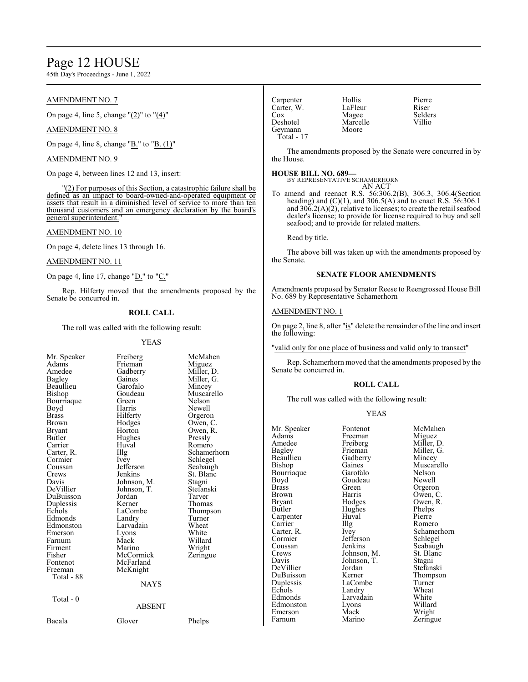# Page 12 HOUSE

45th Day's Proceedings - June 1, 2022

### AMENDMENT NO. 7

On page 4, line 5, change "(2)" to "(4)"

## AMENDMENT NO. 8

On page 4, line 8, change "B." to "B. (1)"

#### AMENDMENT NO. 9

On page 4, between lines 12 and 13, insert:

"(2) For purposes of this Section, a catastrophic failure shall be defined as an impact to board-owned-and-operated equipment or assets that result in a diminished level of service to more than ten thousand customers and an emergency declaration by the board's general superintendent."

#### AMENDMENT NO. 10

On page 4, delete lines 13 through 16.

#### AMENDMENT NO. 11

On page 4, line 17, change " $D$ ." to " $C$ ."

Rep. Hilferty moved that the amendments proposed by the Senate be concurred in.

### **ROLL CALL**

The roll was called with the following result:

#### YEAS

Freiberg McMahen<br>Frieman Miguez

Miller, G.<br>Mincey

Owen, R.<br>Pressly

Schlegel<br>Seabaugh

St. Blanc<br>Stagni

Thompson<br>Turner

Willard<br>Wright

| Mr. Speaker<br>Adams<br>Amedee<br>Bagley<br>Beaullieu<br>Bishop<br>Bourriaque<br>Boyd<br><b>Brass</b><br><b>Brown</b><br>Bryant<br>Butler<br>Carrier<br>Carter, R.<br>Cormier<br>Coussan<br>Crews<br>Davis<br>DeVillier<br>DuBuisson<br>Duplessis<br>Echols | Freiberg<br>Frieman<br>Gadberry<br>Gaines<br>Garofalo<br>Goudeau<br>Green<br>Harris<br>Hilferty<br>Hodges<br>Horton<br>Hughes<br>Huval<br>Illg<br>Ivey<br>Jefferson<br>Jenkins<br>Johnson, M.<br>Johnson, T.<br>Jordan<br>Kerner<br>LaCombe | McMal<br>Miguez<br>Miller,<br>Miller,<br>Mincey<br>Muscar<br>Nelson<br>Newell<br>Orgero<br>Owen,<br>Owen,<br>Pressly<br>Romer<br>Scham<br>Schleg<br>Seabau<br>St. Blai<br>Stagni<br>Stefans<br>Tarver<br>Thoma |
|-------------------------------------------------------------------------------------------------------------------------------------------------------------------------------------------------------------------------------------------------------------|---------------------------------------------------------------------------------------------------------------------------------------------------------------------------------------------------------------------------------------------|----------------------------------------------------------------------------------------------------------------------------------------------------------------------------------------------------------------|
|                                                                                                                                                                                                                                                             |                                                                                                                                                                                                                                             | Thomp                                                                                                                                                                                                          |
| Edmonds<br>Edmonston                                                                                                                                                                                                                                        | Landry<br>Larvadain                                                                                                                                                                                                                         | Turner<br>Wheat                                                                                                                                                                                                |
| Emerson                                                                                                                                                                                                                                                     | Lyons                                                                                                                                                                                                                                       | White                                                                                                                                                                                                          |
| Farnum                                                                                                                                                                                                                                                      | Mack                                                                                                                                                                                                                                        | Willard                                                                                                                                                                                                        |
| Firment<br>Fisher<br>Fontenot<br>Freeman                                                                                                                                                                                                                    | Marino<br>McCormick<br>McFarland<br>McKnight                                                                                                                                                                                                | Wright<br>Zering                                                                                                                                                                                               |
| Total - 88                                                                                                                                                                                                                                                  | <b>NAYS</b>                                                                                                                                                                                                                                 |                                                                                                                                                                                                                |
| Total - 0                                                                                                                                                                                                                                                   | ABSENT                                                                                                                                                                                                                                      |                                                                                                                                                                                                                |

Frieman<br>Gadberry Gadberry Miller, D.<br>Gaines Miller, G. Garofalo<br>Goudeau Goudeau Muscarello<br>Green Nelson Harris Newell<br>Hilferty Orgeror Hilferty Orgeron<br>Hodges Owen, C Hodges Owen, C.<br>Horton Owen, R. Hughes<br>Huval Huval Romero<br>Illg Schamer Illg Schamerhorn<br>Ivev Schlegel Jefferson<br>Jenkins Johnson, M. Stagni<br>Johnson, T. Stefanski Johnson, T. Stefans<br>Iordan Tarver Kerner Thomas<br>LaCombe Thomps Landry Turner<br>
Larvadain Wheat Larvadain Wheat<br>
Lyons White Lyons<br>Mack Marino Wright<br>
McCormick Zeringue **McCormick** McFarland McKnight

#### **NAYS**

Bacala Glover Phelps

| Carpenter  | Hollis   | Pierro |
|------------|----------|--------|
| Carter, W. | LaFleur  | Riser  |
| Cox        | Magee    | Selde  |
| Deshotel   | Marcelle | Villio |
| Geymann    | Moore    |        |
| Total - 17 |          |        |

ollis Pierre<br>Eleur Riser agee Selders<br>arcelle Villio

The amendments proposed by the Senate were concurred in by the House.

**HOUSE BILL NO. 689—** BY REPRESENTATIVE SCHAMERHORN AN ACT

To amend and reenact R.S. 56:306.2(B), 306.3, 306.4(Section heading) and  $(C)(1)$ , and 306.5(A) and to enact R.S. 56:306.1 and  $30\overline{6}$ .2(A)(2), relative to licenses; to create the retail seafood dealer's license; to provide for license required to buy and sell seafood; and to provide for related matters.

Read by title.

The above bill was taken up with the amendments proposed by the Senate.

#### **SENATE FLOOR AMENDMENTS**

Amendments proposed by Senator Reese to Reengrossed House Bill No. 689 by Representative Schamerhorn

# AMENDMENT NO. 1

On page 2, line 8, after "is" delete the remainder of the line and insert the following:

"valid only for one place of business and valid only to transact"

Rep. Schamerhorn moved that the amendments proposed by the Senate be concurred in.

## **ROLL CALL**

The roll was called with the following result:

#### YEAS

| Mr. Speaker   | Fontenot    | McMahen     |
|---------------|-------------|-------------|
| Adams         | Freeman     | Miguez      |
| Amedee        | Freiberg    | Miller, D.  |
| <b>Bagley</b> | Frieman     | Miller, G.  |
| Beaullieu     | Gadberry    | Mincey      |
| Bishop        | Gaines      | Muscarello  |
| Bourriaque    | Garofalo    | Nelson      |
| Boyd          | Goudeau     | Newell      |
| <b>Brass</b>  | Green       | Orgeron     |
| Brown         | Harris      | Owen, C.    |
| Bryant        | Hodges      | Owen, R.    |
| Butler        | Hughes      | Phelps      |
| Carpenter     | Huval       | Pierre      |
| Carrier       | Illg        | Romero      |
| Carter, R.    | Ivey        | Schamerhorn |
| Cormier       | Jefferson   | Schlegel    |
| Coussan       | Jenkins     | Seabaugh    |
| Crews         | Johnson, M. | St. Blanc   |
| Davis         | Johnson, T. | Stagni      |
| DeVillier     | Jordan      | Stefanski   |
| DuBuisson     | Kerner      | Thompson    |
| Duplessis     | LaCombe     | Turner      |
| Echols        | Landry      | Wheat       |
| Edmonds       | Larvadain   | White       |
| Edmonston     | Lyons       | Willard     |
| Emerson       | Mack        | Wright      |
| Farnum        | Marino      | Zeringue    |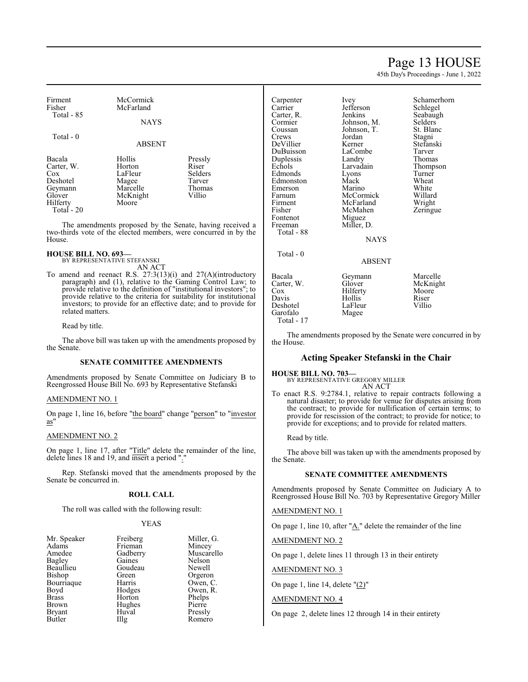# Page 13 HOUSE

45th Day's Proceedings - June 1, 2022

| Firment<br>Fisher    | McCormick<br>McFarland |                  |
|----------------------|------------------------|------------------|
| Total $-85$          | <b>NAYS</b>            |                  |
| Total - 0            | <b>ABSENT</b>          |                  |
| Bacala<br>Carter, W. | Hollis<br>Horton       | Pressly<br>Riser |

|            |          | -------        |
|------------|----------|----------------|
| Carter, W. | Horton   | Riser          |
| Cox        | LaFleur  | <b>Selders</b> |
| Deshotel   | Magee    | Tarver         |
| Geymann    | Marcelle | Thomas         |
| Glover     | McKnight | Villio         |
| Hilferty   | Moore    |                |
| Total - 20 |          |                |

The amendments proposed by the Senate, having received a two-thirds vote of the elected members, were concurred in by the House.

#### **HOUSE BILL NO. 693—** BY REPRESENTATIVE STEFANSKI

AN ACT To amend and reenact R.S. 27:3(13)(i) and 27(A)(introductory paragraph) and (1), relative to the Gaming Control Law; to provide relative to the definition of "institutional investors"; to provide relative to the criteria for suitability for institutional investors; to provide for an effective date; and to provide for

related matters. Read by title.

The above bill was taken up with the amendments proposed by the Senate.

#### **SENATE COMMITTEE AMENDMENTS**

Amendments proposed by Senate Committee on Judiciary B to Reengrossed House Bill No. 693 by Representative Stefanski

#### AMENDMENT NO. 1

On page 1, line 16, before "the board" change "person" to "investor as"

# AMENDMENT NO. 2

On page 1, line 17, after "Title" delete the remainder of the line, delete lines 18 and 19, and insert a period ".'

Rep. Stefanski moved that the amendments proposed by the Senate be concurred in.

#### **ROLL CALL**

The roll was called with the following result:

#### YEAS

| Mr. Speaker   | Freiberg |
|---------------|----------|
| Adams         | Frieman  |
| Amedee        | Gadberry |
| Bagley        | Gaines   |
| Beaullieu     | Goudeau  |
| Bishop        | Green    |
| Bourriaque    | Harris   |
| Boyd          | Hodges   |
| <b>Brass</b>  | Horton   |
| <b>Brown</b>  | Hughes   |
| <b>Bryant</b> | Huval    |
| <b>Rutler</b> | Шo       |

Miller, G. Mincey Muscarello Nelson Newell Orgeron Owen, C. Owen, R. Phelps Pierre Pressly Romero

| Carpenter  | Ivey          | Schamerhorn |
|------------|---------------|-------------|
| Carrier    | Jefferson     | Schlegel    |
| Carter, R. | Jenkins       | Seabaugh    |
| Cormier    | Johnson, M.   | Selders     |
| Coussan    | Johnson, T.   | St. Blanc   |
| Crews      | Jordan        | Stagni      |
| DeVillier  | Kerner        | Stefanski   |
| DuBuisson  | LaCombe       | Tarver      |
| Duplessis  | Landry        | Thomas      |
| Echols     | Larvadain     | Thompson    |
| Edmonds    | Lyons         | Turner      |
| Edmonston  | Mack          | Wheat       |
| Emerson    | Marino        | White       |
| Farnum     | McCormick     | Willard     |
| Firment    | McFarland     | Wright      |
| Fisher     | McMahen       | Zeringue    |
| Fontenot   | Miguez        |             |
| Freeman    | Miller, D.    |             |
| Total - 88 |               |             |
|            | <b>NAYS</b>   |             |
| Total - 0  |               |             |
|            | <b>ABSENT</b> |             |
| Bacala     | Geymann       | Marcelle    |
| Carter, W. | Glover        | McKnight    |
| Cox        | Hilferty      | Moore       |
| Davis      | Hollis        | Riser       |
| Deshotel   | LaFleur       | Villio      |
| Garofalo   | Magee         |             |
| Total - 17 |               |             |

The amendments proposed by the Senate were concurred in by the House.

# **Acting Speaker Stefanski in the Chair**

**HOUSE BILL NO. 703—** BY REPRESENTATIVE GREGORY MILLER

AN ACT

To enact R.S. 9:2784.1, relative to repair contracts following a natural disaster; to provide for venue for disputes arising from the contract; to provide for nullification of certain terms; to provide for rescission of the contract; to provide for notice; to provide for exceptions; and to provide for related matters.

Read by title.

The above bill was taken up with the amendments proposed by the Senate.

#### **SENATE COMMITTEE AMENDMENTS**

Amendments proposed by Senate Committee on Judiciary A to Reengrossed House Bill No. 703 by Representative Gregory Miller

AMENDMENT NO. 1

On page 1, line 10, after " $\underline{A}$ ." delete the remainder of the line

AMENDMENT NO. 2

On page 1, delete lines 11 through 13 in their entirety

#### AMENDMENT NO. 3

On page 1, line 14, delete "(2)"

#### AMENDMENT NO. 4

On page 2, delete lines 12 through 14 in their entirety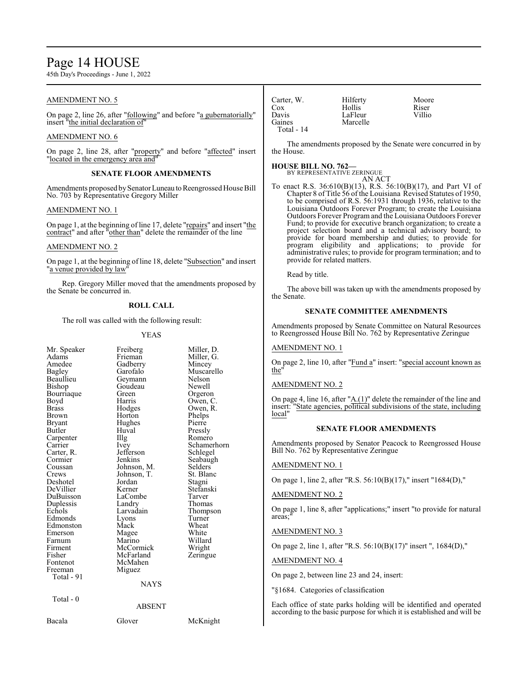# Page 14 HOUSE

45th Day's Proceedings - June 1, 2022

## AMENDMENT NO. 5

On page 2, line 26, after "following" and before "a gubernatorially" insert "the initial declaration of"

#### AMENDMENT NO. 6

On page 2, line 28, after "property" and before "affected" insert "located in the emergency area and"

#### **SENATE FLOOR AMENDMENTS**

Amendments proposed by Senator Luneau to Reengrossed House Bill No. 703 by Representative Gregory Miller

#### AMENDMENT NO. 1

On page 1, at the beginning of line 17, delete "repairs" and insert "the contract" and after "other than" delete the remainder of the line

### AMENDMENT NO. 2

On page 1, at the beginning of line 18, delete "Subsection" and insert "a venue provided by law

Rep. Gregory Miller moved that the amendments proposed by the Senate be concurred in.

### **ROLL CALL**

The roll was called with the following result:

#### YEAS

| Mr. Speaker<br>Adams<br>Amedee<br>Bagley<br>Beaullieu<br>Bishop<br>Bourriaque<br>Boyd<br>Brass<br>Brown<br><b>Bryant</b><br>Butler<br>Carpenter<br>Carrier<br>Carter, R.<br>Cormier<br>Coussan<br>Crews<br>Deshotel<br>DeVillier<br>DuBuisson<br>Duplessis<br>Echols<br>Edmonds<br>Edmonston<br>Emerson<br>Farnum<br>Firment<br>Fisher<br>Fontenot<br>Freeman<br>Total - 91 | Freiberg<br>Frieman<br>Gadberry<br>Garofalo<br>Geymann<br>Goudeau<br>Green<br>Harris<br>Hodges<br>Horton<br>Hughes<br>Huval<br>Illg<br><i>lvey</i><br>Jefferson<br>Jenkins<br>Johnson, M.<br>Johnson, T.<br>Jordan<br>Kerner<br>LaCombe<br>Landry<br>Larvadain<br>Lyons<br>Mack<br>Magee<br>Marino<br>McCormick<br>McFarland<br>McMahen<br>Miguez<br><b>NAYS</b> | Miller, D.<br>Miller, G.<br>Mincey<br>Muscarello<br>Nelson<br>Newell<br>Orgeron<br>Owen, C.<br>Owen, R.<br>Phelps<br>Pierre<br>Pressly<br>Romero<br>Schamerhorn<br>Schlegel<br>Seabaugh<br>Selders<br>St. Blanc<br>Stagni<br>Stefanski<br>Tarver<br>Thomas<br>Thompson<br>Turner<br>Wheat<br>White<br>Willard<br>Wright<br>Zeringue |
|-----------------------------------------------------------------------------------------------------------------------------------------------------------------------------------------------------------------------------------------------------------------------------------------------------------------------------------------------------------------------------|------------------------------------------------------------------------------------------------------------------------------------------------------------------------------------------------------------------------------------------------------------------------------------------------------------------------------------------------------------------|-------------------------------------------------------------------------------------------------------------------------------------------------------------------------------------------------------------------------------------------------------------------------------------------------------------------------------------|
|                                                                                                                                                                                                                                                                                                                                                                             |                                                                                                                                                                                                                                                                                                                                                                  |                                                                                                                                                                                                                                                                                                                                     |
| $Total - 0$                                                                                                                                                                                                                                                                                                                                                                 | <b>ABSENT</b>                                                                                                                                                                                                                                                                                                                                                    |                                                                                                                                                                                                                                                                                                                                     |
| Bacala                                                                                                                                                                                                                                                                                                                                                                      | Glover                                                                                                                                                                                                                                                                                                                                                           | McKnight                                                                                                                                                                                                                                                                                                                            |

| Carter, W.   | Hilferty | Moore  |
|--------------|----------|--------|
| Cox          | Hollis   | Riser  |
| Davis        | LaFleur  | Villio |
| Gaines       | Marcelle |        |
| Total - $14$ |          |        |

The amendments proposed by the Senate were concurred in by the House.

# **HOUSE BILL NO. 762—**

BY REPRESENTATIVE ZERINGUE AN ACT

To enact R.S. 36:610(B)(13), R.S. 56:10(B)(17), and Part VI of Chapter 8 of Title 56 of the Louisiana Revised Statutes of 1950, to be comprised of R.S. 56:1931 through 1936, relative to the Louisiana Outdoors Forever Program; to create the Louisiana Outdoors Forever Programand the Louisiana Outdoors Forever Fund; to provide for executive branch organization; to create a project selection board and a technical advisory board; to provide for board membership and duties; to provide for program eligibility and applications; to provide for administrative rules; to provide for program termination; and to provide for related matters.

Read by title.

The above bill was taken up with the amendments proposed by the Senate.

# **SENATE COMMITTEE AMENDMENTS**

Amendments proposed by Senate Committee on Natural Resources to Reengrossed House Bill No. 762 by Representative Zeringue

#### AMENDMENT NO. 1

On page 2, line 10, after "Fund a" insert: "special account known as the"

#### AMENDMENT NO. 2

On page 4, line 16, after "A.(1)" delete the remainder of the line and insert: "State agencies, political subdivisions of the state, including local"

#### **SENATE FLOOR AMENDMENTS**

Amendments proposed by Senator Peacock to Reengrossed House Bill No. 762 by Representative Zeringue

### AMENDMENT NO. 1

On page 1, line 2, after "R.S. 56:10(B)(17)," insert "1684(D),"

#### AMENDMENT NO. 2

On page 1, line 8, after "applications;" insert "to provide for natural areas;"

#### AMENDMENT NO. 3

On page 2, line 1, after "R.S. 56:10(B)(17)" insert ", 1684(D),"

### AMENDMENT NO. 4

On page 2, between line 23 and 24, insert:

"§1684. Categories of classification

Each office of state parks holding will be identified and operated according to the basic purpose for which it is established and will be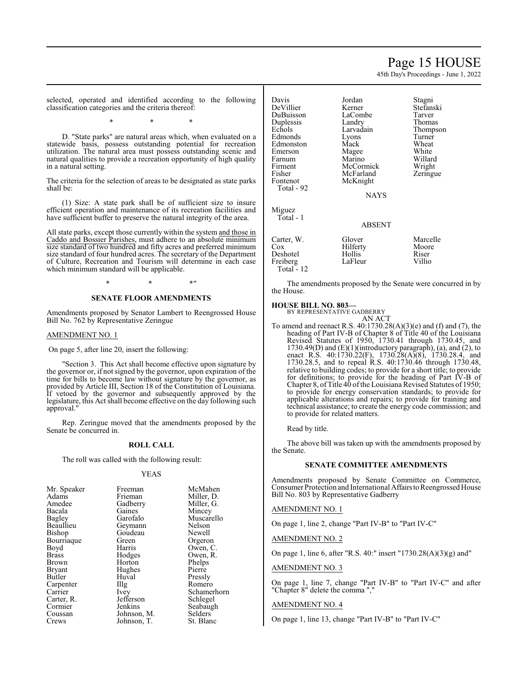# Page 15 HOUSE

45th Day's Proceedings - June 1, 2022

Stefanski<br>Tarver

Thompson<br>Turner

Willard<br>Wright

Zeringue

selected, operated and identified according to the following classification categories and the criteria thereof:

\* \* \*

D. "State parks" are natural areas which, when evaluated on a statewide basis, possess outstanding potential for recreation utilization. The natural area must possess outstanding scenic and natural qualities to provide a recreation opportunity of high quality in a natural setting.

The criteria for the selection of areas to be designated as state parks shall be:

(1) Size: A state park shall be of sufficient size to insure efficient operation and maintenance of its recreation facilities and have sufficient buffer to preserve the natural integrity of the area.

All state parks, except those currently within the system and those in Caddo and Bossier Parishes, must adhere to an absolute minimum size standard of two hundred and fifty acres and preferred minimum size standard of four hundred acres. The secretary of the Department of Culture, Recreation and Tourism will determine in each case which minimum standard will be applicable.

 $*$  \*  $*$  \*

# **SENATE FLOOR AMENDMENTS**

Amendments proposed by Senator Lambert to Reengrossed House Bill No. 762 by Representative Zeringue

#### AMENDMENT NO. 1

On page 5, after line 20, insert the following:

"Section 3. This Act shall become effective upon signature by the governor or, if not signed by the governor, upon expiration of the time for bills to become law without signature by the governor, as provided by Article III, Section 18 of the Constitution of Louisiana. If vetoed by the governor and subsequently approved by the legislature, this Act shall become effective on the day following such approval.

Rep. Zeringue moved that the amendments proposed by the Senate be concurred in.

#### **ROLL CALL**

The roll was called with the following result:

#### YEAS

| Mr. Speaker   | Freeman           | McMahen     |
|---------------|-------------------|-------------|
| Adams         | Frieman           | Miller, D.  |
| Amedee        | Gadberry          | Miller, G.  |
| Bacala        | Gaines            | Mincey      |
| Bagley        | Garofalo          | Muscarello  |
| Beaullieu     | Geymann           | Nelson      |
| Bishop        | Goudeau           | Newell      |
| Bourriaque    | Green             | Orgeron     |
| Boyd          | Harris            | Owen, C.    |
| Brass         | Hodges            | Owen, R.    |
| Brown         | Horton            | Phelps      |
| <b>Bryant</b> | Hughes            | Pierre      |
| Butler        | Huval             | Pressly     |
| Carpenter     | $\prod_{i=1}^{n}$ | Romero      |
| Carrier       | Ivey              | Schamerhorn |
| Carter, R.    | Jefferson         | Schlegel    |
| Cormier       | Jenkins           | Seabaugh    |
| Coussan       | Johnson, M.       | Selders     |
| Crews         | Johnson, T.       | St. Blanc   |

| Davis      | Jordan        | Stagni         |
|------------|---------------|----------------|
| DeVillier  | Kerner        | <b>Stefans</b> |
| DuBuisson  | LaCombe       | Tarver         |
| Duplessis  | Landry        | Thoma          |
| Echols     | Larvadain     | Thomp          |
| Edmonds    | Lyons         | Turner         |
| Edmonston  | Mack          | Wheat          |
| Emerson    | Magee         | White          |
| Farnum     | Marino        | Willar         |
| Firment    | McCormick     | Wright         |
| Fisher     | McFarland     | Zering         |
| Fontenot   | McKnight      |                |
| Total - 92 |               |                |
|            | <b>NAYS</b>   |                |
| Miguez     |               |                |
| Total - 1  |               |                |
|            | <b>ABSENT</b> |                |
|            |               |                |

|                   | .        |          |
|-------------------|----------|----------|
| Carter, W.        | Glover   | Marcelle |
| Cox               | Hilferty | Moore    |
| Deshotel          | Hollis   | Riser    |
| Freiberg          | LaFleur  | Villio   |
| <b>Total - 12</b> |          |          |

The amendments proposed by the Senate were concurred in by the House.

# **HOUSE BILL NO. 803—** BY REPRESENTATIVE GADBERRY

AN ACT

To amend and reenact R.S. 40:1730.28(A)(3)(e) and (f) and (7), the heading of Part IV-B of Chapter 8 of Title 40 of the Louisiana Revised Statutes of 1950, 1730.41 through 1730.45, and  $1730.49(D)$  and  $(E)(1)$ (introductory paragraph), (a), and (2), to enact R.S. 40:1730.22(F), 1730.28(A)(8), 1730.28.4, and 1730.28.5, and to repeal R.S. 40:1730.46 through 1730.48, relative to building codes; to provide for a short title; to provide for definitions; to provide for the heading of Part IV-B of Chapter 8, of Title 40 of the Louisiana Revised Statutes of 1950; to provide for energy conservation standards; to provide for applicable alterations and repairs; to provide for training and technical assistance; to create the energy code commission; and to provide for related matters.

Read by title.

The above bill was taken up with the amendments proposed by the Senate.

#### **SENATE COMMITTEE AMENDMENTS**

Amendments proposed by Senate Committee on Commerce, Consumer Protection and International Affairs to Reengrossed House Bill No. 803 by Representative Gadberry

#### AMENDMENT NO. 1

On page 1, line 2, change "Part IV-B" to "Part IV-C"

AMENDMENT NO. 2

On page 1, line 6, after "R.S. 40:" insert "1730.28(A)(3)(g) and"

#### AMENDMENT NO. 3

On page 1, line 7, change "Part IV-B" to "Part IV-C" and after "Chapter 8" delete the comma ","

#### AMENDMENT NO. 4

On page 1, line 13, change "Part IV-B" to "Part IV-C"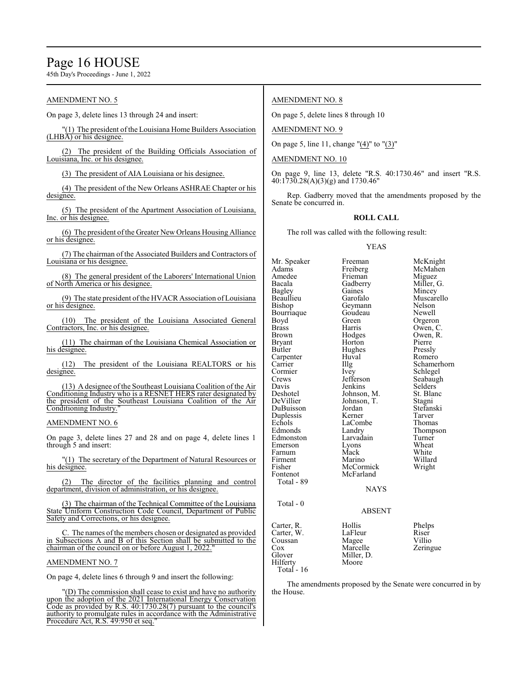# Page 16 HOUSE

45th Day's Proceedings - June 1, 2022

## AMENDMENT NO. 5

On page 3, delete lines 13 through 24 and insert:

"(1) The president of the Louisiana Home Builders Association  $(LHBA)$  or his designee.

(2) The president of the Building Officials Association of Louisiana, Inc. or his designee.

(3) The president of AIA Louisiana or his designee.

(4) The president of the New Orleans ASHRAE Chapter or his designee.

(5) The president of the Apartment Association of Louisiana, Inc. or his designee.

(6) The president of the Greater New Orleans Housing Alliance or his designee.

(7) The chairman of the Associated Builders and Contractors of Louisiana or his designee.

(8) The general president of the Laborers' International Union of North America or his designee.

(9) The state president ofthe HVACR Association of Louisiana or his designee.

(10) The president of the Louisiana Associated General Contractors, Inc. or his designee.

(11) The chairman of the Louisiana Chemical Association or his designee.

(12) The president of the Louisiana REALTORS or his designee.

(13) A designee of the Southeast Louisiana Coalition of the Air Conditioning Industry who is a RESNET HERS rater designated by the president of the Southeast Louisiana Coalition of the Air Conditioning Industry.

#### AMENDMENT NO. 6

On page 3, delete lines 27 and 28 and on page 4, delete lines 1 through 5 and insert:

"(1) The secretary of the Department of Natural Resources or his designee.

(2) The director of the facilities planning and control department, division of administration, or his designee.

(3) The chairman of the Technical Committee of the Louisiana State Uniform Construction Code Council, Department of Public Safety and Corrections, or his designee.

C. The names of the members chosen or designated as provided in Subsections A and B of this Section shall be submitted to the chairman of the council on or before August 1, 2022.

### AMENDMENT NO. 7

On page 4, delete lines 6 through 9 and insert the following:

"(D) The commission shall cease to exist and have no authority upon the adoption of the 2021 International Energy Conservation Code as provided by R.S. 40:1730.28(7) pursuant to the council's authority to promulgate rules in accordance with the Administrative Procedure Act, R.S. 49:950 et seq.

### AMENDMENT NO. 8

On page 5, delete lines 8 through 10

AMENDMENT NO. 9

On page 5, line 11, change "(4)" to "(3)"

#### AMENDMENT NO. 10

On page 9, line 13, delete "R.S. 40:1730.46" and insert "R.S. 40:1730.28(A)(3)(g) and 1730.46"

Rep. Gadberry moved that the amendments proposed by the Senate be concurred in.

#### **ROLL CALL**

The roll was called with the following result:

#### YEAS

Mr. Speaker Freeman McKnight<br>
Adams Freiberg McMahen Adams Freiberg McMahen<br>Amedee Frieman Miguez Amedee Frieman<br>Bacala Gadberry Bacala Gadberry Miller, G. Bagley Gaines Mincey<br>Beaullieu Garofalo Muscare Beaullieu Garofalo Muscarello<br>Bishop Geymann Nelson Bourriaque Goude<br>Boyd Green Boyd Green Orgeron<br>Brass Harris Owen, C Brass Harris Owen, C.<br>Brown Hodges Owen, R. Brown Hodges Owen, R.<br>Bryant Horton Pierre Bryant Horton Pierre<br>Butler Hughes Pressly Carpenter Huv<br>Carrier Hllg Cormier Ivey Schlegel<br>Crews Jefferson Seabaugl Crews Jefferson Seabaugh<br>
Davis Jenkins Selders Davis Jenkins Selders<br>Deshotel Johnson, M. St. Blanc Deshotel Johnson, M. St. Blanck St. Blanck Johnson, T. Stagni DuBuisson Jordan Stefans<br>Duplessis Kerner Tarver Duplessis Kerner Tarver<br>
Echols LaCombe Thomas Echols LaCombe<br>Edmonds Landry Edmonston Larvadain Turner<br>
Emerson Lyons Wheat Emerson Lyons Wheat<br>
Farnum Mack White Farnum Mack<br>Firment Marino Firment Marino Willard<br>Fisher McCormick Wright Fisher McCormick<br>
Fontenot McFarland McFarland Total - 89 NAYS Total - 0 Carter, R. Hollis Phelps Carter, W. LaFleur Riser<br>Coussan Magee Villio Coussan Magee<br>Cox Marcelle Cox Marcelle Zeringue<br>Glover Miller, D. Miller, D.<br>Moore Hilferty Total - 16

Geymann Nelson<br>Goudeau Newell Hughes Pressly<br>Huval Romero Schamerhorn Johnson, T. Stagni<br>Jordan Stefanski Landry Thompson<br>Larvadain Turner

# ABSENT

The amendments proposed by the Senate were concurred in by the House.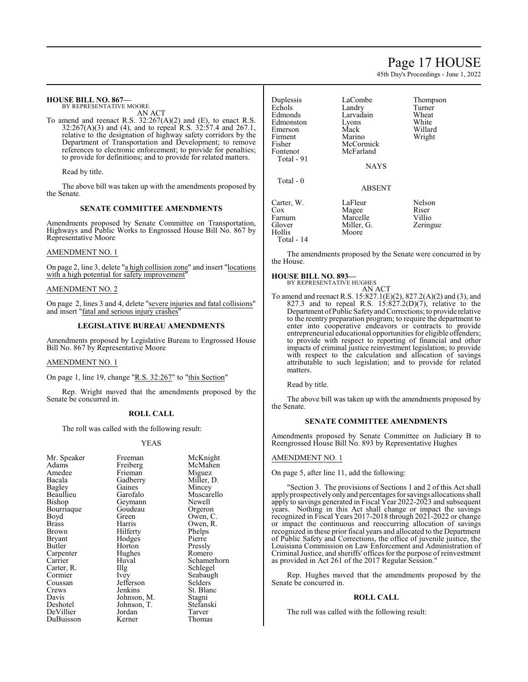# Page 17 HOUSE

45th Day's Proceedings - June 1, 2022

| <b>HOUSE BILL NO. 867-</b><br>BY REPRESENTATIVE MOORE<br>AN ACT<br>To amend and reenact R.S. $32:267(A)(2)$ and (E), to enact R.S.<br>$32:267(A)(3)$ and (4), and to repeal R.S. $32:57.4$ and 267.1,<br>relative to the designation of highway safety corridors by the<br>Department of Transportation and Development; to remove<br>references to electronic enforcement; to provide for penalties;<br>to provide for definitions; and to provide for related matters.<br>Read by title.<br>The above bill was taken up with the amendments proposed by<br>the Senate. | Duplessis<br>Echols<br>Edmonds<br>Edmonston<br>Emerson<br>Firment<br>Fisher<br>Fontenot<br>Total - 91<br>Total - 0 | LaCombe<br>Landry<br>Larvadain<br>Lyons<br>Mack<br>Marino<br>McCormick<br>McFarland<br><b>NAYS</b><br><b>ABSENT</b> | Thompson<br>Turner<br>Wheat<br>White<br>Willard<br>Wright  |
|--------------------------------------------------------------------------------------------------------------------------------------------------------------------------------------------------------------------------------------------------------------------------------------------------------------------------------------------------------------------------------------------------------------------------------------------------------------------------------------------------------------------------------------------------------------------------|--------------------------------------------------------------------------------------------------------------------|---------------------------------------------------------------------------------------------------------------------|------------------------------------------------------------|
| <b>SENATE COMMITTEE AMENDMENTS</b><br>Amendments proposed by Senate Committee on Transportation,<br>Highways and Public Works to Engrossed House Bill No. 867 by<br>Representative Moore                                                                                                                                                                                                                                                                                                                                                                                 | Carter, W.<br>$\cos$<br>Farnum<br>Glover<br><b>Hollis</b><br>Total - $14$                                          | LaFleur<br>Magee<br>Marcelle<br>Miller, G.<br>Moore                                                                 | <b>Nelson</b><br>Riser<br>Villio<br>Zeringue               |
| <b>AMENDMENT NO. 1</b><br>On page 2, line 3, delete "a high collision zone" and insert "locations"<br>with a high potential for safety improvement"<br><b>AMENDMENT NO. 2</b>                                                                                                                                                                                                                                                                                                                                                                                            | the House.<br><b>HOUSE BILL NO. 893-</b><br>BY REPRESENTATIVE HUGHES                                               | AN ACT                                                                                                              | The amendments proposed by the Senate were concurred in by |

On page 2, lines 3 and 4, delete "severe injuries and fatal collisions" and insert "fatal and serious injury crashes"

### **LEGISLATIVE BUREAU AMENDMENTS**

Amendments proposed by Legislative Bureau to Engrossed House Bill No. 867 by Representative Moore

#### AMENDMENT NO. 1

On page 1, line 19, change "R.S. 32:267" to "this Section"

Rep. Wright moved that the amendments proposed by the Senate be concurred in.

#### **ROLL CALL**

The roll was called with the following result:

#### YEAS

| Mr. Speaker | Freeman     | McKnight    |
|-------------|-------------|-------------|
| Adams       | Freiberg    | McMahen     |
| Amedee      | Frieman     | Miguez      |
| Bacala      | Gadberry    | Miller, D.  |
| Bagley      | Gaines      | Mincey      |
| Beaullieu   | Garofalo    | Muscarello  |
| Bishop      | Geymann     | Newell      |
| Bourriaque  | Goudeau     | Orgeron     |
| Boyd        | Green       | Owen, C.    |
| Brass       | Harris      | Owen, R.    |
| Brown       | Hilferty    | Phelps      |
| Bryant      | Hodges      | Pierre      |
| Butler      | Horton      | Pressly     |
| Carpenter   | Hughes      | Romero      |
| Carrier     | Huval       | Schamerhorn |
| Carter, R.  | Illg        | Schlegel    |
| Cormier     | Ivey        | Seabaugh    |
| Coussan     | Jefferson   | Selders     |
| Crews       | Jenkins     | St. Blanc   |
| Davis       | Johnson, M. | Stagni      |
| Deshotel    | Johnson, T. | Stefanski   |
| DeVillier   | Jordan      | Tarver      |
| DuBuisson   | Kerner      | Thomas      |

AN ACT To amend and reenact R.S. 15:827.1(E)(2), 827.2(A)(2) and (3), and 827.3 and to repeal R.S.  $15:827.2(D)(7)$ , relative to the Department ofPublic SafetyandCorrections; to provide relative to the reentry preparation program; to require the department to enter into cooperative endeavors or contracts to provide entrepreneurial educational opportunities for eligible offenders; to provide with respect to reporting of financial and other impacts of criminal justice reinvestment legislation; to provide with respect to the calculation and allocation of savings attributable to such legislation; and to provide for related matters.

Read by title.

The above bill was taken up with the amendments proposed by the Senate.

#### **SENATE COMMITTEE AMENDMENTS**

Amendments proposed by Senate Committee on Judiciary B to Reengrossed House Bill No. 893 by Representative Hughes

#### AMENDMENT NO. 1

On page 5, after line 11, add the following:

"Section 3. The provisions of Sections 1 and 2 of this Act shall apply prospectively only and percentages for savings allocations shall apply to savings generated in Fiscal Year 2022-2023 and subsequent years. Nothing in this Act shall change or impact the savings recognized in Fiscal Years 2017-2018 through 2021-2022 or change or impact the continuous and reoccurring allocation of savings recognized in these prior fiscal years and allocated to the Department of Public Safety and Corrections, the office of juvenile justice, the Louisiana Commission on Law Enforcement and Administration of Criminal Justice, and sheriffs' offices for the purpose of reinvestment as provided in Act 261 of the 2017 Regular Session."

Rep. Hughes moved that the amendments proposed by the Senate be concurred in.

#### **ROLL CALL**

The roll was called with the following result: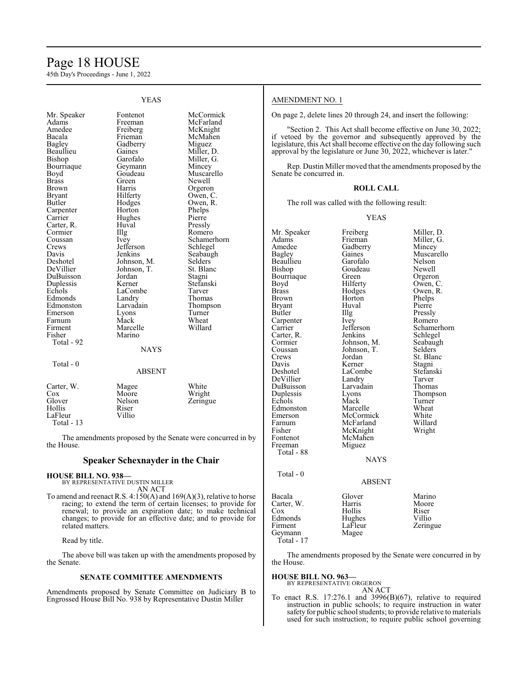# Page 18 HOUSE

45th Day's Proceedings - June 1, 2022

| YEAS                                                                                                                                                                                                                                                                                                                                                                                               |                                                                                                                                                                                                                                                                                                                                                                   |                                                                                                                                                                                                                                                                                                                                                       |  |
|----------------------------------------------------------------------------------------------------------------------------------------------------------------------------------------------------------------------------------------------------------------------------------------------------------------------------------------------------------------------------------------------------|-------------------------------------------------------------------------------------------------------------------------------------------------------------------------------------------------------------------------------------------------------------------------------------------------------------------------------------------------------------------|-------------------------------------------------------------------------------------------------------------------------------------------------------------------------------------------------------------------------------------------------------------------------------------------------------------------------------------------------------|--|
| Mr. Speaker<br>Adams<br>Amedee<br>Bacala<br>Bagley<br>Beaullieu<br>Bishop<br>Bourriaque<br>Boyd<br><b>Brass</b><br><b>Brown</b><br><b>Bryant</b><br>Butler<br>Carpenter<br>Carrier<br>Carter, R.<br>Cormier<br>Coussan<br>Crews<br>Davis<br>Deshotel<br>DeVillier<br>DuBuisson<br>Duplessis<br>Echols<br>Edmonds<br>Edmonston<br>Emerson<br>Farnum<br>Firment<br>Fisher<br>Total - 92<br>Total - 0 | Fontenot<br>Freeman<br>Freiberg<br>Frieman<br>Gadberry<br>Gaines<br>Garofalo<br>Geymann<br>Goudeau<br>Green<br>Harris<br>Hilferty<br>Hodges<br>Horton<br>Hughes<br>Huval<br>Illg<br><i>lvey</i><br>Jefferson<br>Jenkins<br>Johnson, M.<br>Johnson, T.<br>Jordan<br>Kerner<br>LaCombe<br>Landry<br>Larvadain<br>Lyons<br>Mack<br>Marcelle<br>Marino<br><b>NAYS</b> | McCormick<br>McFarland<br>McKnight<br>McMahen<br>Miguez<br>Miller, D.<br>Miller, G.<br>Mincey<br>Muscarello<br>Newell<br>Orgeron<br>Owen, C.<br>Owen, R.<br>Phelps<br>Pierre<br>Pressly<br>Romero<br>Schamerhorn<br>Schlegel<br>Seabaugh<br>Selders<br>St. Blanc<br>Stagni<br>Stefanski<br>Tarver<br>Thomas<br>Thompson<br>Turner<br>Wheat<br>Willard |  |
|                                                                                                                                                                                                                                                                                                                                                                                                    | <b>ABSENT</b>                                                                                                                                                                                                                                                                                                                                                     |                                                                                                                                                                                                                                                                                                                                                       |  |
| Carter, W.<br>Cox<br>Glover<br>Hollis<br>LaFleur<br>Total $-13$                                                                                                                                                                                                                                                                                                                                    | Magee<br>Moore<br>Nelson<br>Riser<br>Villio                                                                                                                                                                                                                                                                                                                       | White<br>Wright<br>Zeringue                                                                                                                                                                                                                                                                                                                           |  |

The amendments proposed by the Senate were concurred in by the House.

### **Speaker Schexnayder in the Chair**

# **HOUSE BILL NO. 938—** BY REPRESENTATIVE DUSTIN MILLER

AN ACT

To amend and reenact R.S. 4:150(A) and 169(A)(3), relative to horse racing; to extend the term of certain licenses; to provide for renewal; to provide an expiration date; to make technical changes; to provide for an effective date; and to provide for related matters.

Read by title.

The above bill was taken up with the amendments proposed by the Senate.

#### **SENATE COMMITTEE AMENDMENTS**

Amendments proposed by Senate Committee on Judiciary B to Engrossed House Bill No. 938 by Representative Dustin Miller

# AMENDMENT NO. 1

On page 2, delete lines 20 through 24, and insert the following:

"Section 2. This Act shall become effective on June 30, 2022; if vetoed by the governor and subsequently approved by the legislature, this Act shall become effective on the day following such approval by the legislature or June 30, 2022, whichever is later."

Rep. Dustin Miller moved that the amendments proposed by the Senate be concurred in.

#### **ROLL CALL**

The roll was called with the following result:

YEAS

| Mr. Speaker<br>Adams<br>Amedee<br>Bagley<br>Beaullieu<br>Bishop<br>Bourriaque<br>Boyd<br><b>Brass</b><br>Brown<br>Bryant<br>Butler<br>Carpenter<br>Carrier<br>Carter, R.<br>Cormier<br>Coussan<br>Crews<br>Davis<br>Deshotel<br>DeVillier<br>DuBuisson<br>Duplessis<br>Echols<br>Edmonston<br>Emerson<br>Farnum<br>Fisher<br>Fontenot<br>Freeman<br>Total - 88<br>Total - 0 | Freiberg<br>Frieman<br>Gadberry<br>Gaines<br>Garofalo<br>Goudeau<br>Green<br>Hilferty<br>Hodges<br>Horton<br>Huval<br>Illg<br>Ivey<br>Jefferson<br>Jenkins<br>Johnson, M.<br>Johnson, T.<br>Jordan<br>Kerner<br>LaCombe<br>Landry<br>Larvadain<br>Lyons<br>Mack<br>Marcelle<br>McCormick<br>McFarland<br>McKnight<br>McMahen<br>Miguez<br><b>NAYS</b><br><b>ABSENT</b> | Miller, D.<br>Miller, G.<br>Mincey<br>Muscarello<br>Nelson<br>Newell<br>Orgeron<br>Owen, C.<br>Owen, R.<br>Phelps<br>Pierre<br>Pressly<br>Romero<br>Schamerhorn<br>Schlegel<br>Seabaugh<br>Selders<br>St. Blanc<br>Stagni<br>Stefanski<br>Tarver<br>Thomas<br>Thompson<br>Turner<br>Wheat<br>White<br>Willard<br>Wright |
|-----------------------------------------------------------------------------------------------------------------------------------------------------------------------------------------------------------------------------------------------------------------------------------------------------------------------------------------------------------------------------|------------------------------------------------------------------------------------------------------------------------------------------------------------------------------------------------------------------------------------------------------------------------------------------------------------------------------------------------------------------------|-------------------------------------------------------------------------------------------------------------------------------------------------------------------------------------------------------------------------------------------------------------------------------------------------------------------------|
|                                                                                                                                                                                                                                                                                                                                                                             |                                                                                                                                                                                                                                                                                                                                                                        |                                                                                                                                                                                                                                                                                                                         |
|                                                                                                                                                                                                                                                                                                                                                                             |                                                                                                                                                                                                                                                                                                                                                                        |                                                                                                                                                                                                                                                                                                                         |
| Bacala<br>Carter, W.<br>Cox<br>Edmonds<br>Firment<br>Geymann<br>Total - 17                                                                                                                                                                                                                                                                                                  | Glover<br>Harris<br>Hollis<br>Hughes<br>LaFleur<br>Magee                                                                                                                                                                                                                                                                                                               | Marino<br>Moore<br>Riser<br>Villio<br>Zeringue                                                                                                                                                                                                                                                                          |

The amendments proposed by the Senate were concurred in by the House.

#### **HOUSE BILL NO. 963—**

BY REPRESENTATIVE ORGERON AN ACT

To enact R.S. 17:276.1 and 3996(B)(67), relative to required instruction in public schools; to require instruction in water safety for public school students; to provide relative to materials used for such instruction; to require public school governing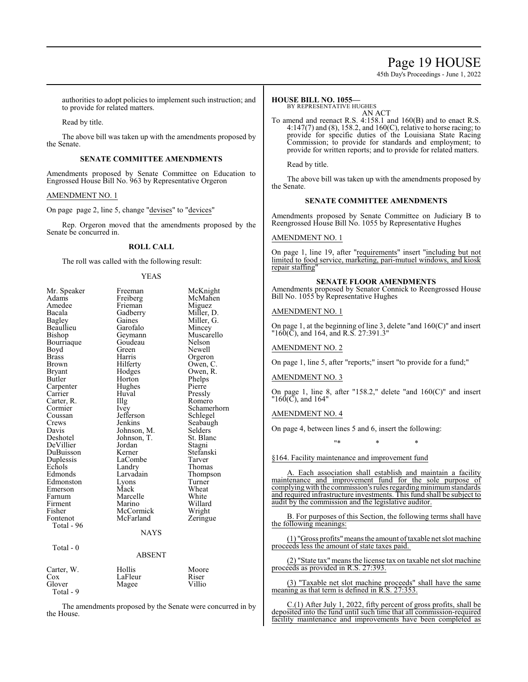# Page 19 HOUSE

45th Day's Proceedings - June 1, 2022

authorities to adopt policies to implement such instruction; and to provide for related matters.

Read by title.

The above bill was taken up with the amendments proposed by the Senate.

#### **SENATE COMMITTEE AMENDMENTS**

Amendments proposed by Senate Committee on Education to Engrossed House Bill No. 963 by Representative Orgeron

#### AMENDMENT NO. 1

On page page 2, line 5, change "devises" to "devices"

Rep. Orgeron moved that the amendments proposed by the Senate be concurred in.

# **ROLL CALL**

The roll was called with the following result:

#### YEAS

| Mr. Speaker  | Freeman       | McKnight    |
|--------------|---------------|-------------|
| Adams        | Freiberg      | McMahen     |
| Amedee       | Frieman       | Miguez      |
| Bacala       | Gadberry      | Miller, D.  |
| Bagley       | Gaines        | Miller, G.  |
| Beaullieu    | Garofalo      | Mincey      |
| Bishop       | Geymann       | Muscarello  |
| Bourriaque   | Goudeau       | Nelson      |
| Boyd         | Green         | Newell      |
| <b>Brass</b> | Harris        | Orgeron     |
| <b>Brown</b> | Hilferty      | Owen, C.    |
| Bryant       | Hodges        | Owen, R.    |
| Butler       | Horton        | Phelps      |
| Carpenter    | Hughes        | Pierre      |
| Carrier      | Huval         | Pressly     |
| Carter, R.   | Illg          | Romero      |
| Cormier      | Ivey          | Schamerhorn |
| Coussan      | Jefferson     | Schlegel    |
| Crews        | Jenkins       | Seabaugh    |
| Davis        | Johnson, M.   | Selders     |
| Deshotel     | Johnson, T.   | St. Blanc   |
| DeVillier    | Jordan        | Stagni      |
| DuBuisson    | Kerner        | Stefanski   |
| Duplessis    | LaCombe       | Tarver      |
| Echols       | Landry        | Thomas      |
| Edmonds      | Larvadain     | Thompson    |
| Edmonston    | Lyons         | Turner      |
| Emerson      | Mack          | Wheat       |
| Farnum       | Marcelle      | White       |
| Firment      | Marino        | Willard     |
| Fisher       | McCormick     | Wright      |
| Fontenot     | McFarland     | Zeringue    |
| Total - 96   |               |             |
|              | <b>NAYS</b>   |             |
| Total - 0    |               |             |
|              | <b>ABSENT</b> |             |
| Carter, W.   | Hollis        | Moore       |
| Cox          | LaFleur       | Riser       |
| Glover       | Magee         | Villio      |

The amendments proposed by the Senate were concurred in by the House.

Total - 9

#### **HOUSE BILL NO. 1055—**

BY REPRESENTATIVE HUGHES

AN ACT To amend and reenact R.S. 4:158.1 and 160(B) and to enact R.S. 4:147(7) and (8), 158.2, and 160(C), relative to horse racing; to provide for specific duties of the Louisiana State Racing Commission; to provide for standards and employment; to provide for written reports; and to provide for related matters.

Read by title.

The above bill was taken up with the amendments proposed by the Senate.

### **SENATE COMMITTEE AMENDMENTS**

Amendments proposed by Senate Committee on Judiciary B to Reengrossed House Bill No. 1055 by Representative Hughes

#### AMENDMENT NO. 1

On page 1, line 19, after "requirements" insert "including but not limited to food service, marketing, pari-mutuel windows, and kiosk repair staffing"

#### **SENATE FLOOR AMENDMENTS**

Amendments proposed by Senator Connick to Reengrossed House Bill No. 1055 by Representative Hughes

### AMENDMENT NO. 1

On page 1, at the beginning of line 3, delete "and  $160(C)$ " and insert "160(C), and 164, and R.S. 27:391.3"

AMENDMENT NO. 2

On page 1, line 5, after "reports;" insert "to provide for a fund;"

#### AMENDMENT NO. 3

On page 1, line 8, after "158.2," delete "and 160(C)" and insert  $"160(\overline{C})$ , and  $164"$ 

### AMENDMENT NO. 4

On page 4, between lines 5 and 6, insert the following:

§164. Facility maintenance and improvement fund

A. Each association shall establish and maintain a facility maintenance and improvement fund for the sole purpose of complying with the commission's rules regarding minimum standards and required infrastructure investments. This fund shall be subject to audit by the commission and the legislative auditor.

\* \* \* \*

B. For purposes of this Section, the following terms shall have the following meanings:

(1) "Gross profits"meansthe amount oftaxable net slot machine proceeds less the amount of state taxes paid.

(2) "State tax" means the license tax on taxable net slot machine proceeds as provided in R.S. 27:393.

(3) "Taxable net slot machine proceeds" shall have the same meaning as that term is defined in R.S. 27:353.

C.(1) After July 1, 2022, fifty percent of gross profits, shall be deposited into the fund until such time that all commission-required facility maintenance and improvements have been completed as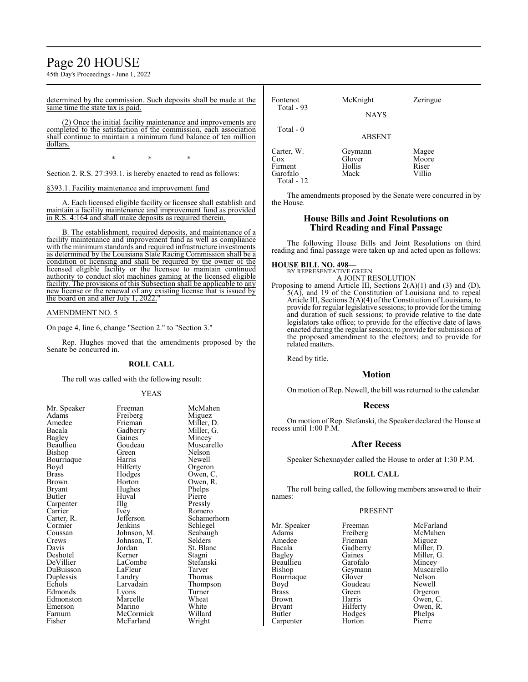# Page 20 HOUSE

45th Day's Proceedings - June 1, 2022

determined by the commission. Such deposits shall be made at the same time the state tax is paid.

(2) Once the initial facility maintenance and improvements are completed to the satisfaction of the commission, each association shall continue to maintain a minimum fund balance of ten million dollars.

\* \* \*

Section 2. R.S. 27:393.1. is hereby enacted to read as follows:

§393.1. Facility maintenance and improvement fund

A. Each licensed eligible facility or licensee shall establish and maintain a facility maintenance and improvement fund as provided in  $R.S.$  4:164 and shall make deposits as required therein. 4:164 and shall make deposits as required therein.

B. The establishment, required deposits, and maintenance of a facility maintenance and improvement fund as well as compliance with the minimum standards and required infrastructure investments as determined by the Louisiana State Racing Commission shall be a condition of licensing and shall be required by the owner of the licensed eligible facility or the licensee to maintain continued authority to conduct slot machines gaming at the licensed eligible facility. The provisions of this Subsection shall be applicable to any new license or the renewal of any existing license that is issued by the board on and after July 1, 2022."

#### AMENDMENT NO. 5

On page 4, line 6, change "Section 2." to "Section 3."

Rep. Hughes moved that the amendments proposed by the Senate be concurred in.

#### **ROLL CALL**

The roll was called with the following result:

Hughes<br>Huyal

LaFleur<br>Landry

#### YEAS

| <b>NII.</b> Spearer |
|---------------------|
| Adams               |
| Amedee              |
| Bacala              |
| <b>Bagley</b>       |
| Beaullieu           |
| Bishop              |
| Bourriaque          |
| Boyd                |
| <b>Brass</b>        |
| Brown               |
| <b>Bryant</b>       |
| Butler              |
| Carpenter           |
| Carrier             |
| Carter, R.          |
| Cormier             |
| Coussan             |
| Crews               |
| Davis               |
| Deshotel            |
| DeVillier           |
| DuBuisson           |
| Duplessis           |
| Echols              |
| Edmonds             |
| Edmonston           |
| Emerson             |
| Farnum              |
| Fisher              |

Mr. Speaker Freeman McMahen<br>Adams Freiberg Miguez Freiberg<br>Frieman Frieman Miller, D.<br>Gadberry Miller, G. Gadberry Miller, G.<br>Gaines Mincey Gaines Mincey<br>Goudeau Muscare Goudeau Muscarello<br>Green Nelson Green Nelson<br>Harris Newell Harris Newell<br>Hilferty Orgeror Hilferty Orgeron<br>Hodges Owen, C Hodges Owen, C.<br>Horton Owen, R. Owen, R.<br>Phelps Huval Pierre<br>Illg Pressly The Pressly<br>
Ivey Romero Ivey Romero<br>Jefferson Schamer Jefferson Schamerhorn<br>Jenkins Schlegel Jenkins Schlegel<br>
Iohnson M Seabaugh Seabaugh<br>Selders Johnson, T.<br>Jordan St. Blanc<br>Stagni Kerner Stagni<br>LaCombe Stefanski LaCombe Stefans<br>LaFleur Tarver Landry Thomas<br>
Larvadain Thombs Thompson<br>Turner Lyons Turner<br>Marcelle Wheat Marcelle Wheat<br>
Marino White Marino White<br>
McCormick Willard McCormick Willard<br>
McFarland Wright McFarland

Fontenot McKnight Zeringue Total - 93 NAYS Total - 0 ABSENT Carter, W. Geymann Magee<br>
Cox Glover Moore Glover Moore<br>
Hollis Riser Firment Hollis Riser Garofalo Total - 12

The amendments proposed by the Senate were concurred in by the House.

### **House Bills and Joint Resolutions on Third Reading and Final Passage**

The following House Bills and Joint Resolutions on third reading and final passage were taken up and acted upon as follows:

## **HOUSE BILL NO. 498—**

BY REPRESENTATIVE GREEN A JOINT RESOLUTION

Proposing to amend Article III, Sections 2(A)(1) and (3) and (D), 5(A), and 19 of the Constitution of Louisiana and to repeal Article III, Sections 2(A)(4) of the Constitution of Louisiana, to provide for regular legislative sessions; to provide for the timing and duration of such sessions; to provide relative to the date legislators take office; to provide for the effective date of laws enacted during the regular session; to provide for submission of the proposed amendment to the electors; and to provide for related matters.

Read by title.

## **Motion**

On motion of Rep. Newell, the bill was returned to the calendar.

#### **Recess**

On motion of Rep. Stefanski, the Speaker declared the House at recess until 1:00 P.M.

#### **After Recess**

Speaker Schexnayder called the House to order at 1:30 P.M.

#### **ROLL CALL**

The roll being called, the following members answered to their names:

#### PRESENT

Mr. Speaker Freeman McFarland<br>
Adams Freiberg McMahen Adams Freiberg McMah<br>Amedee Frieman Miguez Amedee Frieman<br>Bacala Gadberry Bacala Gadberry Miller, D.<br>Bagley Gaines Miller, G. Bagley Gaines Miller, G.<br>Beaullieu Garofalo Mincey Beaullieu Garofalo<br>Bishop Geymann Bourriaque Glover Nelson<br>Boyd Goudeau Newell Boyd Goudeau<br>Brass Green Brass Green Orgeron<br>Brown Harris Owen, C Brown Harris Owen, C. Bryant Hilferty Owen, R.<br>Butler Hodges Phelps Carpenter

Geymann Muscarello<br>Glover Nelson Hodges Phelps<br>
Horton Pierre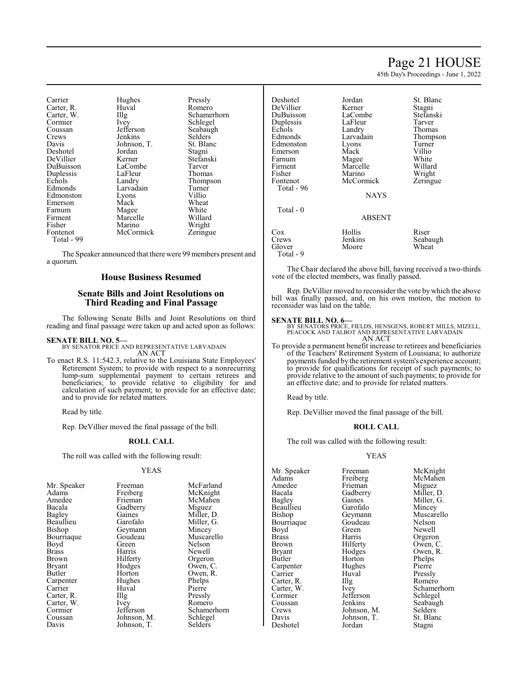# Page 21 HOUSE

45th Day's Proceedings - June 1, 2022

St. Blanc

| Carrier    | Hughes            | Pressly     |
|------------|-------------------|-------------|
| Carter, R. | Huval             | Romero      |
| Carter, W. | $\prod_{i=1}^{n}$ | Schamerhorn |
| Cormier    | Ivey              | Schlegel    |
| Coussan    | Jefferson         | Seabaugh    |
| Crews      | Jenkins           | Selders     |
| Davis      | Johnson, T.       | St. Blanc   |
| Deshotel   | Jordan            | Stagni      |
| DeVillier  | Kerner            | Stefanski   |
| DuBuisson  | LaCombe           | Tarver      |
| Duplessis  | LaFleur           | Thomas      |
| Echols     | Landry            | Thompson    |
| Edmonds    | Larvadain         | Turner      |
| Edmonston  | Lyons             | Villio      |
| Emerson    | Mack              | Wheat       |
| Farnum     | Magee             | White       |
| Firment    | Marcelle          | Willard     |
| Fisher     | Marino            | Wright      |
| Fontenot   | McCormick         | Zeringue    |
| Total - 99 |                   |             |

The Speaker announced that there were 99 members present and a quorum.

### **House Business Resumed**

### **Senate Bills and Joint Resolutions on Third Reading and Final Passage**

The following Senate Bills and Joint Resolutions on third reading and final passage were taken up and acted upon as follows:

#### **SENATE BILL NO. 5—**

BY SENATOR PRICE AND REPRESENTATIVE LARVADAIN AN ACT

To enact R.S. 11:542.3, relative to the Louisiana State Employees' Retirement System; to provide with respect to a nonrecurring lump-sum supplemental payment to certain retirees and beneficiaries; to provide relative to eligibility for and calculation of such payment; to provide for an effective date; and to provide for related matters.

Read by title.

Rep. DeVillier moved the final passage of the bill.

# **ROLL CALL**

The roll was called with the following result:

#### YEAS

| Mr. Speaker   | Freeman     | McFarl  |
|---------------|-------------|---------|
| Adams         | Freiberg    | McKni   |
| Amedee        | Frieman     | McMal   |
| Bacala        | Gadberry    | Miguez  |
| Bagley        | Gaines      | Miller, |
| Beaullieu     | Garofalo    | Miller, |
| <b>Bishop</b> | Geymann     | Mincey  |
| Bourriaque    | Goudeau     | Muscar  |
| Boyd          | Green       | Nelson  |
| <b>Brass</b>  | Harris      | Newell  |
| Brown         | Hilferty    | Orgero  |
| <b>Bryant</b> | Hodges      | Owen,   |
| Butler        | Horton      | Owen,   |
| Carpenter     | Hughes      | Phelps  |
| Carrier       | Huval       | Pierre  |
| Carter, R.    | Illg        | Pressly |
| Carter, W.    | Ivey        | Romer   |
| Cormier       | Jefferson   | Scham   |
| Coussan       | Johnson, M. | Schlege |
| Davis         | Johnson, T. | Selders |
|               |             |         |

McFarland McKnight McMahen Miguez Miller, D. Miller, G. Mincey Muscarello<br>Nelson Newell Orgeron Owen, C. Owen, R. Phelps Pierre Pressly Romero Schamerhorn Schlegel Selders

| Deshotel   | Jordan        | St. Bla |
|------------|---------------|---------|
| DeVillier  | Kerner        | Stagni  |
| DuBuisson  | LaCombe       | Stefan: |
| Duplessis  | LaFleur       | Tarver  |
| Echols     | Landry        | Thoma   |
| Edmonds    | Larvadain     | Thomp   |
| Edmonston  | Lyons         | Turner  |
| Emerson    | Mack          | Villio  |
| Farnum     | Magee         | White   |
| Firment    | Marcelle      | Willar  |
| Fisher     | Marino        | Wright  |
| Fontenot   | McCormick     | Zering  |
| Total - 96 |               |         |
|            | <b>NAYS</b>   |         |
| Total $-0$ |               |         |
|            | <b>ABSENT</b> |         |
|            |               |         |

e Stagni<br>Reference Stefanski Tarver Thomas in Thompson Villio White Willard Fisher Marino Wright Zeringue

#### **BSENT**

| Cox<br>Crews | Hollis<br>Jenkins | Riser<br>Seabaugh |
|--------------|-------------------|-------------------|
| Glover       | Moore             | Wheat             |
| Total - 9    |                   |                   |

The Chair declared the above bill, having received a two-thirds vote of the elected members, was finally passed.

Rep. DeVillier moved to reconsider the vote bywhich the above bill was finally passed, and, on his own motion, the motion to reconsider was laid on the table.

#### **SENATE BILL NO. 6—**

BY SENATORS PRICE, FIELDS, HENSGENS, ROBERT MILLS, MIZELL, PEACOCK AND TALBOT AND REPRESENTATIVE LARVADAIN AN ACT

To provide a permanent benefit increase to retirees and beneficiaries of the Teachers' Retirement System of Louisiana; to authorize payments funded by the retirement system's experience account; to provide for qualifications for receipt of such payments; to provide relative to the amount of such payments; to provide for an effective date; and to provide for related matters.

Read by title.

Rep. DeVillier moved the final passage of the bill.

#### **ROLL CALL**

The roll was called with the following result:

#### YEAS

Adams Freiberg McMah<br>Amedee Frieman Miguez Amedee Frieman<br>Bacala Gadberry Beaullieu Garofalo<br>Bishop Geymann Bourriaque Goude<br>Boyd Green Boyd Green Newell<br>Brass Harris Orgerol Brass Harris Orgeron<br>Brown Hilferty Owen, C Brown Hilferty Owen, C.<br>Bryant Hodges Owen, R. Bryant Hodges Owen, R.<br>Butler Horton Phelps Carpenter Hughes Pierre<br>Carrier Huval Presslv Carrier Huval Pressly<br>Carter, R. Illg Romero Carter, R. Illg<br>Carter, W. Ivey Cormier Jefferson<br>Coussan Jenkins Crews Johnson, M. Selders<br>Davis Johnson, T. St. Blanc Deshotel

Mr. Speaker Freeman McKnight<br>
Adams Freiberg McMahen Bacala Gadberry Miller, D.<br>Bagley Gaines Miller, G. Gaines Miller, G.<br>Garofalo Mincey Geymann Muscarello<br>Goudeau Nelson Horton Phelps<br>Hughes Pierre Carter, W. Ivey Schamerhorn<br>
Cormier Jefferson Schlegel Coussan Jenkins Seabaugh<br>Crews Johnson, M. Selders Johnson, T. St. Bla<br>Jordan Stagni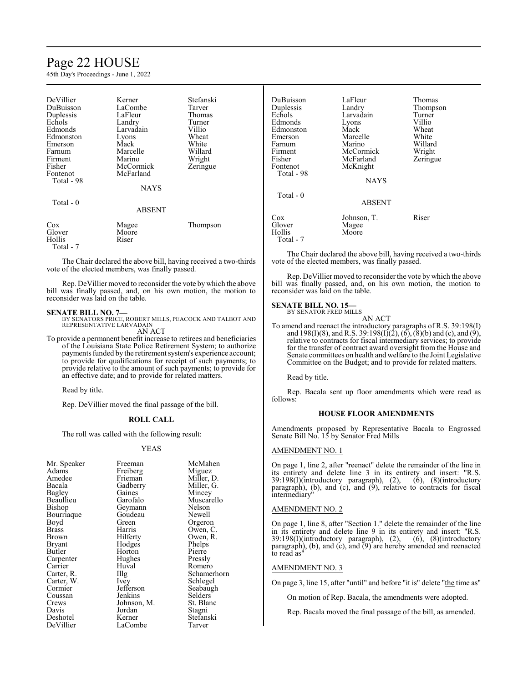# Page 22 HOUSE

45th Day's Proceedings - June 1, 2022

| DeVillier<br>DuBuisson<br>Duplessis<br>Echols<br>Edmonds<br>Edmonston<br>Emerson<br>Farnum<br>Firment<br>Fisher<br>Fontenot<br>Total - 98<br>Total - 0 | Kerner<br>LaCombe<br>LaFleur<br>Landry<br>Larvadain<br>Lyons<br>Mack<br>Marcelle<br>Marino<br>McCormick<br>McFarland<br><b>NAYS</b><br><b>ABSENT</b> | Stefanski<br>Tarver<br>Thomas<br>Turner<br>Villio<br>Wheat<br>White<br>Willard<br>Wright<br>Zeringue |
|--------------------------------------------------------------------------------------------------------------------------------------------------------|------------------------------------------------------------------------------------------------------------------------------------------------------|------------------------------------------------------------------------------------------------------|
| Cox<br>Glover<br>Hollis                                                                                                                                | Magee<br>Moore<br>Riser                                                                                                                              | Thompson                                                                                             |

Total - 7

The Chair declared the above bill, having received a two-thirds vote of the elected members, was finally passed.

Rep. DeVillier moved to reconsider the vote by which the above bill was finally passed, and, on his own motion, the motion to reconsider was laid on the table.

**SENATE BILL NO. 7—**<br>BY SENATORS PRICE, ROBERT MILLS, PEACOCK AND TALBOT AND<br>REPRESENTATIVE LARVADAIN AN ACT

To provide a permanent benefit increase to retirees and beneficiaries of the Louisiana State Police Retirement System; to authorize payments funded by the retirement system's experience account; to provide for qualifications for receipt of such payments; to provide relative to the amount of such payments; to provide for an effective date; and to provide for related matters.

Read by title.

Rep. DeVillier moved the final passage of the bill.

### **ROLL CALL**

The roll was called with the following result:

#### YEAS

| Mr. Speaker<br>Adams<br>Amedee<br>Bacala<br>Bagley<br>Beaullieu<br>Bishop<br>Bourriaque<br>Boyd<br>Brass<br>Brown<br>Bryant<br>Butler<br>Carpenter<br>Carrier<br>Carter, R.<br>Carter, W.<br>Cormier<br>Coussan | Freeman<br>Freiberg<br>Frieman<br>Gadberry<br>Gaines<br>Garofalo<br>Geymann<br>Goudeau<br>Green<br>Harris<br>Hilferty<br>Hodges<br>Horton<br>Hughes<br>Huval<br>Illg<br>Ivey<br>Jefferson<br>Jenkins | McMahen<br>Miguez<br>Miller, D.<br>Miller, G.<br>Mincey<br>Muscarello<br>Nelson<br>Newell<br>Orgeron<br>Owen, C.<br>Owen, R.<br>Phelps<br>Pierre<br>Pressly<br>Romero<br>Schamerhorn<br>Schlegel<br>Seabaugh<br>Selders |
|-----------------------------------------------------------------------------------------------------------------------------------------------------------------------------------------------------------------|------------------------------------------------------------------------------------------------------------------------------------------------------------------------------------------------------|-------------------------------------------------------------------------------------------------------------------------------------------------------------------------------------------------------------------------|
|                                                                                                                                                                                                                 |                                                                                                                                                                                                      |                                                                                                                                                                                                                         |
| Crews                                                                                                                                                                                                           | Johnson, M.                                                                                                                                                                                          | St. Blanc                                                                                                                                                                                                               |
| Davis<br>Deshotel                                                                                                                                                                                               | Jordan<br>Kerner                                                                                                                                                                                     | Stagni<br>Stefanski                                                                                                                                                                                                     |
| DeVillier                                                                                                                                                                                                       | LaCombe                                                                                                                                                                                              | Tarver                                                                                                                                                                                                                  |
|                                                                                                                                                                                                                 |                                                                                                                                                                                                      |                                                                                                                                                                                                                         |

| DuBuisson<br>Duplessis<br>Echols<br>Edmonds<br>Edmonston<br>Emerson<br>Farnum<br>Firment<br>Fisher<br>Fontenot<br>Total - 98 | LaFleur<br>Landry<br>Larvadain<br>Lyons<br>Mack<br>Marcelle<br>Marino<br>McCormick<br>McFarland<br>McKnight<br><b>NAYS</b> | Thomas<br>Thompson<br>Turner<br>Villio<br>Wheat<br>White<br>Willard<br>Wright<br>Zeringue |
|------------------------------------------------------------------------------------------------------------------------------|----------------------------------------------------------------------------------------------------------------------------|-------------------------------------------------------------------------------------------|
| Total $-0$                                                                                                                   | <b>ABSENT</b>                                                                                                              |                                                                                           |
| Cox<br>Glover<br>Hollis<br>Total - 7                                                                                         | Johnson, T.<br>Magee<br>Moore                                                                                              | Riser                                                                                     |

The Chair declared the above bill, having received a two-thirds vote of the elected members, was finally passed.

Rep. DeVillier moved to reconsider the vote by which the above bill was finally passed, and, on his own motion, the motion to reconsider was laid on the table.

# **SENATE BILL NO. 15—** BY SENATOR FRED MILLS

AN ACT

To amend and reenact the introductory paragraphs of R.S. 39:198(I) and 198(I)(8), and R.S. 39:198(I)(2), (6), (8)(b) and (c), and (9), relative to contracts for fiscal intermediary services; to provide for the transfer of contract award oversight from the House and Senate committees on health and welfare to the Joint Legislative Committee on the Budget; and to provide for related matters.

Read by title.

Rep. Bacala sent up floor amendments which were read as follows:

#### **HOUSE FLOOR AMENDMENTS**

Amendments proposed by Representative Bacala to Engrossed Senate Bill No. 15 by Senator Fred Mills

### AMENDMENT NO. 1

On page 1, line 2, after "reenact" delete the remainder of the line in its entirety and delete line 3 in its entirety and insert: "R.S. 39:198(I)(introductory paragraph), (2), (6), (8)(introductory paragraph), (b), and (c), and (9), relative to contracts for fiscal intermediary"

### AMENDMENT NO. 2

On page 1, line 8, after "Section 1." delete the remainder of the line in its entirety and delete line 9 in its entirety and insert: "R.S. 39:198(I)(introductory paragraph), (2), (6), (8)(introductory paragraph), (b), and (c), and (9) are hereby amended and reenacted to read as"

#### AMENDMENT NO. 3

On page 3, line 15, after "until" and before "it is" delete "the time as"

On motion of Rep. Bacala, the amendments were adopted.

Rep. Bacala moved the final passage of the bill, as amended.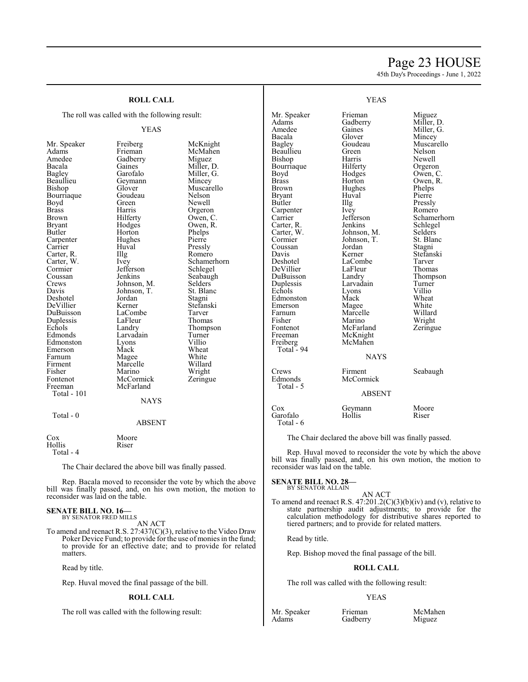# Page 23 HOUSE

45th Day's Proceedings - June 1, 2022

# **ROLL CALL**

The roll was called with the following result:

#### YEAS

Mr. Speaker Freiberg McKnight<br>Adams Frieman McMahen Amedee Gadberry<br>Bacala Gaines Beaullieu Geymann<br>Bishop Glover Bourriaque Goude<br>Boyd Green Carter, R. Illg<br>Carter, W. Ivey Davis Johnson, T.<br>Deshotel Jordan Duplessis LaFleur<br>Echols Landry Fontenot McCormick<br>Freeman McFarland Total - 101

# Adams Frieman McMahen<br>Amedee Gadberry Miguez Bacala Gaines Miller, D.<br>Bagley Garofalo Miller, G. Bagley Garofalo Miller, G.<br>Beaullieu Geymann Mincey Glover Muscarello<br>Goudeau Nelson Newell Brass Harris Orgeron<br>Brown Hilferty Owen, C Brown Hilferty Owen, C.<br>Bryant Hodges Owen, R. Bryant Hodges Owen, R.<br>Butler Horton Phelps Horton Phelps<br>Hughes Pierre Carpenter Hughes Pierre<br>Carrier Huval Pressly Carrier Huval Pressly<br>Carter, R. Illg Romero Carter, W. Ivey Schamerhorn Cormier Jefferson Schlegel<br>Coussan Jenkins Seabaugl Coussan Jenkins Seabaugh<br>Crews Johnson, M. Selders Crews Johnson, M. Selders Davis Johnson, T. St. Blanc Jordan Stagni<br>Kerner Stefanski DeVillier Kerner Stefans<br>DuBuisson LaCombe Tarver DuBuisson LaCombe Tarver<br>
Duplessis LaFleur Thomas Echols Landry Thompson<br>Edmonds Larvadain Turner Larvadain Turner<br>Lyons Villio Edmonston Lyons Villio Emerson Mack Wheat<br>
Farnum Magee White Farnum Magee White<br>Firment Marcelle Willard Marcelle Fisher Marino Wright<br>Fontenot McCormick Zeringue McFarland **NAYS**

#### Total - 0

ABSENT

| Cox       | Moore |
|-----------|-------|
| Hollis    | Riser |
| Total - 4 |       |

The Chair declared the above bill was finally passed.

Rep. Bacala moved to reconsider the vote by which the above bill was finally passed, and, on his own motion, the motion to reconsider was laid on the table.

#### **SENATE BILL NO. 16—** BY SENATOR FRED MILLS

AN ACT

To amend and reenact R.S. 27:437(C)(3), relative to the Video Draw Poker Device Fund; to provide for the use of monies in the fund; to provide for an effective date; and to provide for related matters.

Read by title.

Rep. Huval moved the final passage of the bill.

#### **ROLL CALL**

The roll was called with the following result:

Mr. Speaker Frieman<br>Adams Gadberr Amedee<br>Bacala Bacala Glover<br>Bagley Goudea Beaullieu Green<br>Bishop Harris Bishop Harris<br>Bourriaque Hilferty Bourriaque<br>Boyd Boyd Hodges<br>Brass Horton Brass Horton<br>Brown Hughes Bryant Huv<br>Butler Hllg Butler Illg Pressly Carpenter Ivey<br>Carrier Ieffe Carter, R.<br>Carter, W. Carter, W. Johnson, M.<br>Cormier Johnson, T. Coussan<br>Davis Davis Kerner<br>Deshotel LaCom DeVillier LaFleur<br>DuBuisson Landry DuBuisson Landry<br>
Duplessis Larvadain Duplessis Larvad<br>
Echols Lyons Echols Lyons<br>Edmonston Mack Edmonston<br>Emerson Emerson Magee<br>Farnum Marcel Farnum Marcelle<br>Fisher Marino Fisher Marino<br>Fontenot McFarla Fontenot McFarland<br>Freeman McKnight Freiberg McMahen Total - 94

Total - 5

Garofalo Total - 6

#### YEAS

| Frieman<br>Gadberry<br>Gaines<br>Glover<br>Goudeau<br>Green<br>Harris<br>Hilferty<br>Hodges<br>Horton<br>Hughes<br>Huval<br>Illg<br>Ivey<br>Jefferson<br>Jenkins<br>Johnson, M.<br>Johnson, T.<br>Jordan<br>Kerner<br>LaCombe<br>LaFleur<br>Landry<br>Larvadain<br>Lyons<br>Mack<br>Magee<br>Marcelle<br>Marino<br>McFarland<br>McKnight | Miguez<br>Miller, D.<br>Miller, G.<br>Mincey<br>Muscarello<br>Nelson<br>Newell<br>Orgeron<br>Owen, C.<br>Owen, R.<br>Phelps<br>Pierre<br>Pressly<br>Romero<br>Schamerhorn<br>Schlegel<br>Selders<br>St. Blanc<br>Stagni<br>Stefanski<br>Tarver<br>Thomas<br>Thompson<br>Turner<br>Villio<br>Wheat<br>White<br>Willard<br>Wright<br>Zeringue |
|------------------------------------------------------------------------------------------------------------------------------------------------------------------------------------------------------------------------------------------------------------------------------------------------------------------------------------------|---------------------------------------------------------------------------------------------------------------------------------------------------------------------------------------------------------------------------------------------------------------------------------------------------------------------------------------------|
|                                                                                                                                                                                                                                                                                                                                          |                                                                                                                                                                                                                                                                                                                                             |
| McMahen                                                                                                                                                                                                                                                                                                                                  |                                                                                                                                                                                                                                                                                                                                             |
|                                                                                                                                                                                                                                                                                                                                          |                                                                                                                                                                                                                                                                                                                                             |
| <b>NAYS</b>                                                                                                                                                                                                                                                                                                                              |                                                                                                                                                                                                                                                                                                                                             |
| Firment                                                                                                                                                                                                                                                                                                                                  | Seabaugh                                                                                                                                                                                                                                                                                                                                    |

Crews Firment<br>Edmonds McCorn McCormick

ABSENT

# Cox Geymann Moore<br>Garofalo Hollis Riser

The Chair declared the above bill was finally passed.

Rep. Huval moved to reconsider the vote by which the above bill was finally passed, and, on his own motion, the motion to reconsider was laid on the table.

#### **SENATE BILL NO. 28—**

BY SENATOR ALLAIN

AN ACT To amend and reenact R.S. 47:201.2(C)(3)(b)(iv) and (v), relative to state partnership audit adjustments; to provide for the calculation methodology for distributive shares reported to tiered partners; and to provide for related matters.

Read by title.

Rep. Bishop moved the final passage of the bill.

#### **ROLL CALL**

The roll was called with the following result:

Gadberry

#### YEAS

Mr. Speaker Frieman McMahen<br>Adams Gadberry Miguez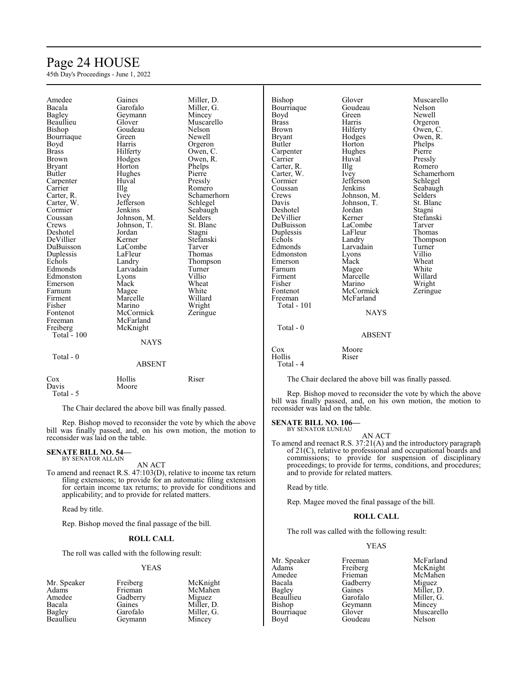# Page 24 HOUSE

45th Day's Proceedings - June 1, 2022

| Amedee<br>Bacala<br><b>Bagley</b><br>Beaullieu<br>Bishop<br>Bourriaque<br>Boyd<br><b>Brass</b><br>Brown<br><b>Bryant</b><br>Butler<br>Carpenter<br>Carrier<br>Carter, R.<br>Carter, W.<br>Cormier<br>Coussan<br>Crews<br>Deshotel<br>DeVillier<br>DuBuisson<br>Duplessis<br>Echols<br>Edmonds<br>Edmonston<br>Emerson<br>Farnum<br>Firment<br>Fisher<br>Fontenot<br>Freeman<br>Freiberg | Gaines<br>Garofalo<br>Geymann<br>Glover<br>Goudeau<br>Green<br>Harris<br>Hilferty<br>Hodges<br>Horton<br>Hughes<br>Huval<br>Illg<br>Ivey<br>Jefferson<br>Jenkins<br>Johnson, M.<br>Johnson, T.<br>Jordan<br>Kerner<br>LaCombe<br>LaFleur<br>Landry<br>Larvadain<br>Lyons<br>Mack<br>Magee<br>Marcelle<br>Marino<br>McCormick<br>McFarland<br>McKnight | Miller, D.<br>Miller, G.<br>Mincey<br>Muscarello<br>Nelson<br>Newell<br>Orgeron<br>Owen, C.<br>Owen, R.<br>Phelps<br>Pierre<br>Pressly<br>Romero<br>Schamerhorn<br>Schlegel<br>Seabaugh<br>Selders<br>St. Blanc<br>Stagni<br>Stefanski<br>Tarver<br>Thomas<br>Thompson<br>Turner<br>Villio<br>Wheat<br>White<br>Willard<br>Wright<br>Zeringue | Bishop<br>Bourriaque<br>Boyd<br><b>Brass</b><br><b>Brown</b><br><b>Bryant</b><br>Butler<br>Carpenter<br>Carrier<br>Carter, R.<br>Carter, W.<br>Cormier<br>Coussan<br>Crews<br>Davis<br>Deshotel<br>DeVillier<br>DuBuisson<br>Duplessis<br>Echols<br>Edmonds<br>Edmonston<br>Emerson<br>Farnum<br>Firment<br>Fisher<br>Fontenot<br>Freeman<br>Total - 101<br>Total - 0 | Glover<br>Goudeau<br>Green<br>Harris<br>Hilferty<br>Hodges<br>Horton<br>Hughes<br>Huval<br>Illg<br>Ivey<br>Jefferson<br>Jenkins<br>Johnson, M.<br>Johnson, T.<br>Jordan<br>Kerner<br>LaCombe<br>LaFleur<br>Landry<br>Larvadain<br>Lyons<br>Mack<br>Magee<br>Marcelle<br>Marino<br>McCormick<br>McFarland<br><b>NAYS</b> | Muscarello<br>Nelson<br>Newell<br>Orgeron<br>Owen, C.<br>Owen, R.<br>Phelps<br>Pierre<br>Pressly<br>Romero<br>Schamerhorn<br>Schlegel<br>Seabaugh<br>Selders<br>St. Blanc<br>Stagni<br>Stefanski<br>Tarver<br>Thomas<br>Thompson<br>Turner<br>Villio<br>Wheat<br>White<br>Willard<br>Wright<br>Zeringue |
|-----------------------------------------------------------------------------------------------------------------------------------------------------------------------------------------------------------------------------------------------------------------------------------------------------------------------------------------------------------------------------------------|-------------------------------------------------------------------------------------------------------------------------------------------------------------------------------------------------------------------------------------------------------------------------------------------------------------------------------------------------------|-----------------------------------------------------------------------------------------------------------------------------------------------------------------------------------------------------------------------------------------------------------------------------------------------------------------------------------------------|-----------------------------------------------------------------------------------------------------------------------------------------------------------------------------------------------------------------------------------------------------------------------------------------------------------------------------------------------------------------------|-------------------------------------------------------------------------------------------------------------------------------------------------------------------------------------------------------------------------------------------------------------------------------------------------------------------------|---------------------------------------------------------------------------------------------------------------------------------------------------------------------------------------------------------------------------------------------------------------------------------------------------------|
| <b>Total</b> - 100                                                                                                                                                                                                                                                                                                                                                                      | <b>NAYS</b>                                                                                                                                                                                                                                                                                                                                           |                                                                                                                                                                                                                                                                                                                                               |                                                                                                                                                                                                                                                                                                                                                                       | <b>ABSENT</b>                                                                                                                                                                                                                                                                                                           |                                                                                                                                                                                                                                                                                                         |
| Total - 0                                                                                                                                                                                                                                                                                                                                                                               | <b>ABSENT</b>                                                                                                                                                                                                                                                                                                                                         |                                                                                                                                                                                                                                                                                                                                               | Cox<br>Hollis<br>Total - 4                                                                                                                                                                                                                                                                                                                                            | Moore<br>Riser                                                                                                                                                                                                                                                                                                          |                                                                                                                                                                                                                                                                                                         |
| Cox<br>Davis<br>Total - 5                                                                                                                                                                                                                                                                                                                                                               | Hollis<br>Moore                                                                                                                                                                                                                                                                                                                                       | Riser                                                                                                                                                                                                                                                                                                                                         |                                                                                                                                                                                                                                                                                                                                                                       | The Chair declared the above bill was finally passed.                                                                                                                                                                                                                                                                   | Rep. Bishop moved to reconsider the vote by which the above<br>bill was finally passed, and, on his own motion, the motion to                                                                                                                                                                           |

The Chair declared the above bill was finally passed.

Rep. Bishop moved to reconsider the vote by which the above bill was finally passed, and, on his own motion, the motion to reconsider was laid on the table.

#### **SENATE BILL NO. 54—**

BY SENATOR ALLAIN

AN ACT

To amend and reenact R.S. 47:103(D), relative to income tax return filing extensions; to provide for an automatic filing extension for certain income tax returns; to provide for conditions and applicability; and to provide for related matters.

Read by title.

Rep. Bishop moved the final passage of the bill.

# **ROLL CALL**

The roll was called with the following result:

#### YEAS

| Mr. Speaker | Freiberg | McKnight   |
|-------------|----------|------------|
| Adams       | Frieman  | McMahen    |
| Amedee      | Gadberry | Miguez     |
| Bacala      | Gaines   | Miller. D. |
| Bagley      | Garofalo | Miller, G. |
| Beaullieu   | Geymann  | Mincey     |

**SENATE BILL NO. 106—**

BY SENATOR LUNEAU

reconsider was laid on the table.

AN ACT To amend and reenact R.S. 37:21(A) and the introductory paragraph of 21(C), relative to professional and occupational boards and commissions; to provide for suspension of disciplinary proceedings; to provide for terms, conditions, and procedures; and to provide for related matters.

Read by title.

Rep. Magee moved the final passage of the bill.

### **ROLL CALL**

The roll was called with the following result:

Goudeau

### YEAS

Mr. Speaker Freeman McFarland<br>Adams Freiberg McKnight Adams Freiberg McKnight<br>
Amedee Frieman McMahen Amedee Frieman McMahen<br>Bacala Gadberry Miguez Bacala Gadberry<br>Bagley Gaines Bagley Gaines Miller, D.<br>Beaullieu Garofalo Miller, G. Beaullieu Garofalo Miller, G.<br>Bishop Geymann Mincey Bourriaque Glover Muscar<br>Boyd Goudeau Nelson

Geymann Mincey<br>Glover Muscarello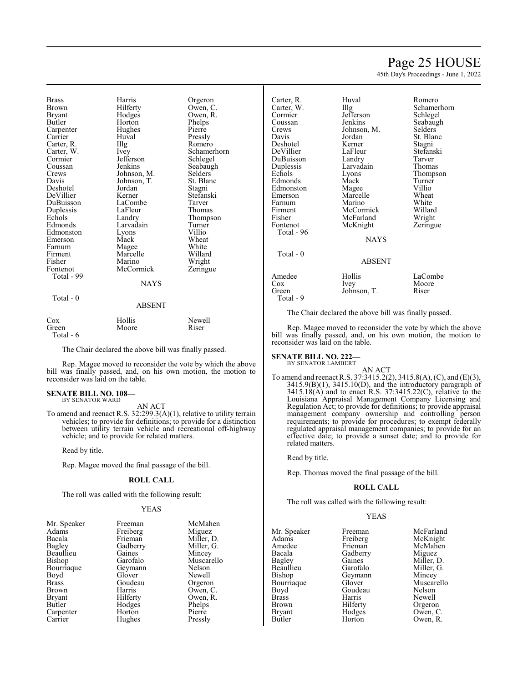# Page 25 HOUSE

45th Day's Proceedings - June 1, 2022

| <b>Brass</b><br>Brown<br>Bryant<br>Butler<br>Carpenter<br>Carrier<br>Carter, R.<br>Carter, W.<br>Cormier<br>Coussan<br>Crews<br>Davis<br>Deshotel<br>DeVillier<br>DuBuisson<br>Duplessis<br>Echols<br>Edmonds<br>Edmonston<br>Emerson<br>Farnum<br>Firment<br>Fisher<br>Fontenot<br>Total - 99 | Harris<br>Hilferty<br>Hodges<br>Horton<br>Hughes<br>Huval<br>Illg<br>Ivey<br>Jefferson<br>Jenkins<br>Johnson, M.<br>Johnson, T.<br>Jordan<br>Kerner<br>LaCombe<br>LaFleur<br>Landry<br>Larvadain<br>Lyons<br>Mack<br>Magee<br>Marcelle<br>Marino<br>McCormick<br>NAYS | Orgeron<br>Owen, C.<br>Owen, R.<br>Phelps<br>Pierre<br>Pressly<br>Romero<br>Schamerhorn<br>Schlegel<br>Seabaugh<br>Selders<br>St. Blanc<br>Stagni<br>Stefanski<br>Tarver<br>Thomas<br>Thompson<br>Turner<br>Villio<br>Wheat<br>White<br>Willard<br>Wright<br>Zeringue |
|------------------------------------------------------------------------------------------------------------------------------------------------------------------------------------------------------------------------------------------------------------------------------------------------|-----------------------------------------------------------------------------------------------------------------------------------------------------------------------------------------------------------------------------------------------------------------------|-----------------------------------------------------------------------------------------------------------------------------------------------------------------------------------------------------------------------------------------------------------------------|
|                                                                                                                                                                                                                                                                                                |                                                                                                                                                                                                                                                                       |                                                                                                                                                                                                                                                                       |
| Total - 0                                                                                                                                                                                                                                                                                      | ABSENT                                                                                                                                                                                                                                                                |                                                                                                                                                                                                                                                                       |
| $\Gamma_{\alpha x}$                                                                                                                                                                                                                                                                            | $H_0H_{1a}$                                                                                                                                                                                                                                                           | $N_{\alpha}$ $\sim$ 11                                                                                                                                                                                                                                                |

| Cox       | Hollis | Newell |
|-----------|--------|--------|
| Green     | Moore  | Riser  |
| Total - 6 |        |        |

The Chair declared the above bill was finally passed.

Rep. Magee moved to reconsider the vote by which the above bill was finally passed, and, on his own motion, the motion to reconsider was laid on the table.

#### **SENATE BILL NO. 108—** BY SENATOR WARD

AN ACT

To amend and reenact R.S. 32:299.3(A)(1), relative to utility terrain vehicles; to provide for definitions; to provide for a distinction between utility terrain vehicle and recreational off-highway vehicle; and to provide for related matters.

Read by title.

Rep. Magee moved the final passage of the bill.

#### **ROLL CALL**

The roll was called with the following result:

#### YEAS

| Mr. Speaker  | Freeman  | McMahen    |
|--------------|----------|------------|
| Adams        | Freiberg | Miguez     |
| Bacala       | Frieman  | Miller, D. |
| Bagley       | Gadberry | Miller, G. |
| Beaullieu    | Gaines   | Mincey     |
| Bishop       | Garofalo | Muscarello |
| Bourriaque   | Geymann  | Nelson     |
| Boyd         | Glover   | Newell     |
| <b>Brass</b> | Goudeau  | Orgeron    |
| Brown        | Harris   | Owen, C.   |
| Bryant       | Hilferty | Owen, R.   |
| Butler       | Hodges   | Phelps     |
| Carpenter    | Horton   | Pierre     |
| Carrier      | Hughes   | Pressly    |
|              |          |            |

| Carter, R.<br>Carter, W.<br>Cormier<br>Coussan<br>Crews<br>Davis<br>Deshotel<br>DeVillier<br>DuBuisson<br>Duplessis<br>Echols<br>Edmonds<br>Edmonston<br>Emerson<br>Farnum<br>Firment<br>Fisher<br>Fontenot | Huval<br>$\prod$ llg<br>Jefferson<br>Jenkins<br>Johnson, M.<br>Jordan<br>Kerner<br>LaFleur<br>Landry<br>Larvadain<br>Lyons<br>Mack<br>Magee<br>Marcelle<br>Marino<br>McCormick<br>McFarland<br>McKnight | Romero<br>Schamerhorn<br>Schlegel<br>Seabaugh<br>Selders<br>St. Blanc<br>Stagni<br>Stefanski<br>Tarver<br>Thomas<br>Thompson<br>Turner<br>Villio<br>Wheat<br>White<br>Willard<br>Wright |
|-------------------------------------------------------------------------------------------------------------------------------------------------------------------------------------------------------------|---------------------------------------------------------------------------------------------------------------------------------------------------------------------------------------------------------|-----------------------------------------------------------------------------------------------------------------------------------------------------------------------------------------|
| Total - 96                                                                                                                                                                                                  | NAYS                                                                                                                                                                                                    | Zeringue                                                                                                                                                                                |
| Total - 0                                                                                                                                                                                                   | <b>ABSENT</b>                                                                                                                                                                                           |                                                                                                                                                                                         |
| Amedee<br>Cox<br>Green                                                                                                                                                                                      | Hollis<br><i>lvey</i><br>Johnson. T.                                                                                                                                                                    | LaCombe<br>Moore<br>Riser                                                                                                                                                               |

#### Total - 9

The Chair declared the above bill was finally passed.

Rep. Magee moved to reconsider the vote by which the above bill was finally passed, and, on his own motion, the motion to reconsider was laid on the table.

#### **SENATE BILL NO. 222—** BY SENATOR LAMBERT

AN ACT To amend and reenact R.S. 37:3415.2(2), 3415.8(A), (C), and (E)(3), 3415.9(B)(1), 3415.10(D), and the introductory paragraph of 3415.18(A) and to enact R.S. 37:3415.22(C), relative to the Louisiana Appraisal Management Company Licensing and Regulation Act; to provide for definitions; to provide appraisal management company ownership and controlling person requirements; to provide for procedures; to exempt federally regulated appraisal management companies; to provide for an effective date; to provide a sunset date; and to provide for related matters.

Read by title.

Rep. Thomas moved the final passage of the bill.

#### **ROLL CALL**

The roll was called with the following result:

#### YEAS

| Mr. Speaker               | Freeman   | McFarland    |
|---------------------------|-----------|--------------|
| Adams                     | Freiberg  | McKnight     |
| Amedee                    | Frieman   | McMahen      |
| Bacala                    | Gadberry  | Miguez       |
| Bagley                    | Gaines    | Miller, D.   |
| Beaullieu                 | Garofalo  | Miller, G.   |
| Bishop                    | Geymann   | Mincey       |
| Bourriaque                | Glover    | Muscarello   |
| Boyd                      | Goudeau   | Nelson       |
| <b>Brass</b>              | Harris    | Newell       |
| <b>Brown</b>              | Hilferty  | Orgeron      |
| <b>Bryant</b>             | Hodges    | Owen, C.     |
| $\mathbf{D}$ $\mathbf{I}$ | <b>TT</b> | $\sim$<br>T. |

Bryant Hodges Owen, C.<br>Butler Horton Owen, R. Owen, R.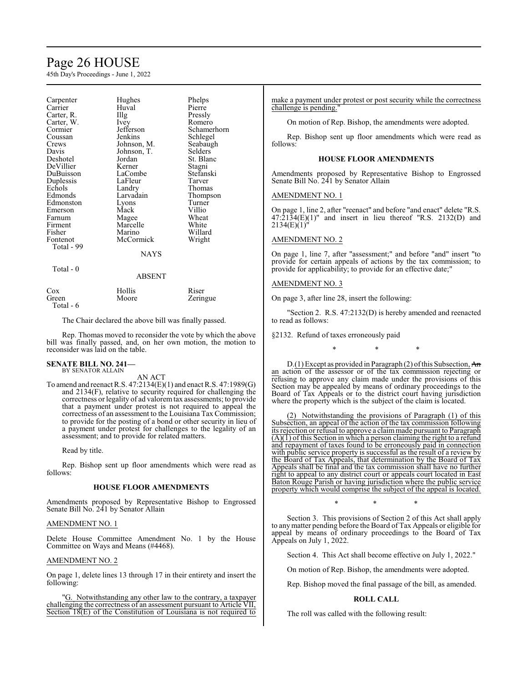# Page 26 HOUSE

45th Day's Proceedings - June 1, 2022

| Carpenter<br>Carrier<br>Carter, R.<br>Carter, W.<br>Cormier<br>Coussan<br>Crews<br>Davis<br>Deshotel<br>DeVillier<br>DuBuisson<br>Duplessis<br>Echols<br>Edmonds<br>Edmonston<br>Emerson<br>Farnum<br>Firment<br>Fisher<br>Fontenot<br>Total - 99 | Hughes<br>Huval<br>Illg<br><i>lvey</i><br>Jefferson<br>Jenkins<br>Johnson, M.<br>Johnson, T.<br>Jordan<br>Kerner<br>LaCombe<br>LaFleur<br>Landry<br>Larvadain<br>Lyons<br>Mack<br>Magee<br>Marcelle<br>Marino<br>McCormick<br><b>NAYS</b> | Phelps<br>Pierre<br>Pressly<br>Romero<br>Schamerhorn<br>Schlegel<br>Seabaugh<br>Selders<br>St. Blanc<br>Stagni<br>Stefanski<br>Tarver<br>Thomas<br>Thompson<br>Turner<br>Villio<br>Wheat<br>White<br>Willard<br>Wright |
|---------------------------------------------------------------------------------------------------------------------------------------------------------------------------------------------------------------------------------------------------|-------------------------------------------------------------------------------------------------------------------------------------------------------------------------------------------------------------------------------------------|------------------------------------------------------------------------------------------------------------------------------------------------------------------------------------------------------------------------|
| Total - 0                                                                                                                                                                                                                                         | ABSENT                                                                                                                                                                                                                                    |                                                                                                                                                                                                                        |
|                                                                                                                                                                                                                                                   |                                                                                                                                                                                                                                           |                                                                                                                                                                                                                        |
| Cox<br>Green)                                                                                                                                                                                                                                     | Hollis<br>Moore                                                                                                                                                                                                                           | Riser<br>Zeringue                                                                                                                                                                                                      |

The Chair declared the above bill was finally passed.

Rep. Thomas moved to reconsider the vote by which the above bill was finally passed, and, on her own motion, the motion to reconsider was laid on the table.

# **SENATE BILL NO. 241—** BY SENATOR ALLAIN

Total - 6

AN ACT

To amend and reenact R.S. 47:2134(E)(1) and enact R.S. 47:1989(G) and 2134(F), relative to security required for challenging the correctness or legality of ad valoremtax assessments; to provide that a payment under protest is not required to appeal the correctness of an assessment to the Louisiana Tax Commission; to provide for the posting of a bond or other security in lieu of a payment under protest for challenges to the legality of an assessment; and to provide for related matters.

Read by title.

Rep. Bishop sent up floor amendments which were read as follows:

#### **HOUSE FLOOR AMENDMENTS**

Amendments proposed by Representative Bishop to Engrossed Senate Bill No. 241 by Senator Allain

#### AMENDMENT NO. 1

Delete House Committee Amendment No. 1 by the House Committee on Ways and Means (#4468).

#### AMENDMENT NO. 2

On page 1, delete lines 13 through 17 in their entirety and insert the following:

"G. Notwithstanding any other law to the contrary, a taxpayer challenging the correctness of an assessment pursuant to Article VII, Section 18(E) of the Constitution of Louisiana is not required to make a payment under protest or post security while the correctness challenge is pending.

On motion of Rep. Bishop, the amendments were adopted.

Rep. Bishop sent up floor amendments which were read as follows:

#### **HOUSE FLOOR AMENDMENTS**

Amendments proposed by Representative Bishop to Engrossed Senate Bill No. 241 by Senator Allain

#### AMENDMENT NO. 1

On page 1, line 2, after "reenact" and before "and enact" delete "R.S.  $47:\overline{2}1\overline{3}4(E)(1)$ " and insert in lieu thereof "R.S. 2132(D) and  $2134(E)(1)$ 

#### AMENDMENT NO. 2

On page 1, line 7, after "assessment;" and before "and" insert "to provide for certain appeals of actions by the tax commission; to provide for applicability; to provide for an effective date;"

#### AMENDMENT NO. 3

On page 3, after line 28, insert the following:

"Section 2. R.S. 47:2132(D) is hereby amended and reenacted to read as follows:

§2132. Refund of taxes erroneously paid

\* \* \*

D.(1) Except as provided in Paragraph (2) of this Subsection, An an action of the assessor or of the tax commission rejecting or refusing to approve any claim made under the provisions of this Section may be appealed by means of ordinary proceedings to the Board of Tax Appeals or to the district court having jurisdiction where the property which is the subject of the claim is located.

(2) Notwithstanding the provisions of Paragraph (1) of this Subsection, an appeal of the action of the tax commission following its rejection or refusal to approve a claimmade pursuant to Paragraph  $(A)(1)$  of this Section in which a person claiming the right to a refund and repayment of taxes found to be erroneously paid in connection with public service property is successful as the result of a review by the Board of Tax Appeals, that determination by the Board of Tax Appeals shall be final and the tax commission shall have no further right to appeal to any district court or appeals court located in East Baton Rouge Parish or having jurisdiction where the public service property which would comprise the subject of the appeal is located.

\* \* \*

Section 3. This provisions of Section 2 of this Act shall apply to anymatter pending before the Board of Tax Appeals or eligible for appeal by means of ordinary proceedings to the Board of Tax Appeals on July 1, 2022.

Section 4. This Act shall become effective on July 1, 2022."

On motion of Rep. Bishop, the amendments were adopted.

Rep. Bishop moved the final passage of the bill, as amended.

#### **ROLL CALL**

The roll was called with the following result: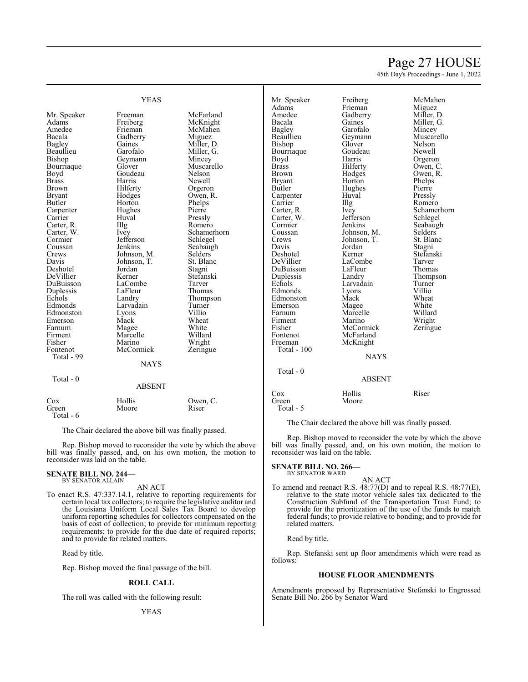# Page 27 HOUSE

45th Day's Proceedings - June 1, 2022

|               | <b>YEAS</b>       |                | Mr. Speaker<br>Adams | Freiberg<br>Frieman | McMahen<br>Miguez |
|---------------|-------------------|----------------|----------------------|---------------------|-------------------|
| Mr. Speaker   | Freeman           | McFarland      | Amedee               | Gadberry            | Miller, D.        |
| Adams         | Freiberg          | McKnight       | Bacala               | Gaines              | Miller, G.        |
| Amedee        | Frieman           | McMahen        |                      | Garofalo            |                   |
|               |                   |                | Bagley               |                     | Mincey            |
| Bacala        | Gadberry          | Miguez         | Beaullieu            | Geymann             | Muscarello        |
| <b>Bagley</b> | Gaines            | Miller, D.     | Bishop               | Glover              | Nelson            |
| Beaullieu     | Garofalo          | Miller, G.     | Bourriaque           | Goudeau             | Newell            |
| Bishop        | Geymann           | Mincey         | Boyd                 | Harris              | Orgeron           |
| Bourriaque    | Glover            | Muscarello     | <b>Brass</b>         | Hilferty            | Owen, C.          |
| Boyd          | Goudeau           | Nelson         | <b>Brown</b>         | Hodges              | Owen, R.          |
| <b>Brass</b>  | Harris            | Newell         | <b>Bryant</b>        | Horton              | Phelps            |
| <b>Brown</b>  | Hilferty          | Orgeron        | Butler               | Hughes              | Pierre            |
| <b>Bryant</b> | Hodges            | Owen, R.       | Carpenter            | Huval               | Pressly           |
| Butler        | Horton            | Phelps         | Carrier              | Illg                | Romero            |
| Carpenter     | Hughes            | Pierre         | Carter, R.           | Ivey                | Schamerhorn       |
| Carrier       | Huval             | Pressly        | Carter, W.           | Jefferson           | Schlegel          |
| Carter, R.    | Illg              | Romero         | Cormier              | Jenkins             | Seabaugh          |
| Carter, W.    | Ivey              | Schamerhorn    | Coussan              | Johnson, M.         | Selders           |
| Cormier       | Jefferson         | Schlegel       | Crews                | Johnson, T.         | St. Blanc         |
| Coussan       | Jenkins           | Seabaugh       | Davis                | Jordan              | Stagni            |
| Crews         | Johnson, M.       | <b>Selders</b> | Deshotel             | Kerner              | Stefanski         |
| Davis         | Johnson, T.       | St. Blanc      | DeVillier            | LaCombe             | Tarver            |
| Deshotel      | Jordan            | Stagni         | DuBuisson            | LaFleur             | Thomas            |
| DeVillier     | Kerner            | Stefanski      | Duplessis            | Landry              | Thompson          |
| DuBuisson     | LaCombe           | Tarver         | Echols               | Larvadain           | Turner            |
| Duplessis     | LaFleur           | Thomas         | Edmonds              | Lyons               | Villio            |
| Echols        | Landry            | Thompson       | Edmonston            | Mack                | Wheat             |
| Edmonds       | Larvadain         | Turner         | Emerson              | Magee               | White             |
| Edmonston     | Lyons             | Villio         | Farnum               | Marcelle            | Willard           |
| Emerson       | Mack              | Wheat          | Firment              | Marino              | Wright            |
| Farnum        |                   | White          | Fisher               | McCormick           | Zeringue          |
|               | Magee<br>Marcelle | Willard        | Fontenot             | McFarland           |                   |
| Firment       |                   |                |                      |                     |                   |
| Fisher        | Marino            | Wright         | Freeman              | McKnight            |                   |
| Fontenot      | McCormick         | Zeringue       | Total - 100          |                     |                   |
| Total - 99    |                   |                |                      | <b>NAYS</b>         |                   |
|               | <b>NAYS</b>       |                |                      |                     |                   |
|               |                   |                | Total - 0            |                     |                   |
| Total - 0     |                   |                |                      | <b>ABSENT</b>       |                   |
|               | <b>ABSENT</b>     |                |                      |                     |                   |
|               |                   |                | Cox                  | Hollis              | Riser             |
| Cox           | Hollis            | Owen, C.       | Green                | Moore               |                   |
| Green         | Moore             | Riser          | Total - 5            |                     |                   |

The Chair declared the above bill was finally passed.

Rep. Bishop moved to reconsider the vote by which the above bill was finally passed, and, on his own motion, the motion to reconsider was laid on the table.

# **SENATE BILL NO. 266—** BY SENATOR WARD

AN ACT To amend and reenact R.S. 48:77(D) and to repeal R.S. 48:77(E), relative to the state motor vehicle sales tax dedicated to the Construction Subfund of the Transportation Trust Fund; to provide for the prioritization of the use of the funds to match federal funds; to provide relative to bonding; and to provide for related matters.

Read by title.

Rep. Stefanski sent up floor amendments which were read as follows:

### **HOUSE FLOOR AMENDMENTS**

Amendments proposed by Representative Stefanski to Engrossed Senate Bill No. 266 by Senator Ward

To enact R.S. 47:337.14.1, relative to reporting requirements for certain local tax collectors; to require the legislative auditor and the Louisiana Uniform Local Sales Tax Board to develop uniform reporting schedules for collectors compensated on the basis of cost of collection; to provide for minimum reporting requirements; to provide for the due date of required reports; and to provide for related matters.

AN ACT

The Chair declared the above bill was finally passed.

Rep. Bishop moved to reconsider the vote by which the above bill was finally passed, and, on his own motion, the motion to

Read by title.

reconsider was laid on the table. **SENATE BILL NO. 244—** BY SENATOR ALLAIN

Total - 6

Rep. Bishop moved the final passage of the bill.

#### **ROLL CALL**

The roll was called with the following result: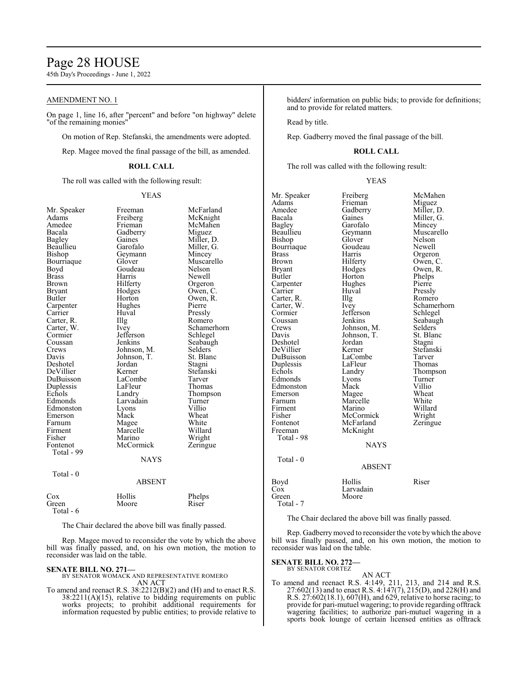# Page 28 HOUSE

45th Day's Proceedings - June 1, 2022

### AMENDMENT NO. 1

On page 1, line 16, after "percent" and before "on highway" delete "of the remaining monies"

On motion of Rep. Stefanski, the amendments were adopted.

Rep. Magee moved the final passage of the bill, as amended.

#### **ROLL CALL**

The roll was called with the following result:

#### YEAS

| Mr. Speaker   | Freeman       | McFarland   |
|---------------|---------------|-------------|
| Adams         | Freiberg      | McKnight    |
| Amedee        | Frieman       | McMahen     |
| Bacala        | Gadberry      | Miguez      |
| <b>Bagley</b> | Gaines        | Miller, D.  |
| Beaullieu     | Garofalo      | Miller, G.  |
| Bishop        | Geymann       | Mincey      |
| Bourriaque    | Glover        | Muscarello  |
| Boyd          | Goudeau       | Nelson      |
| Brass         | Harris        | Newell      |
| Brown         | Hilferty      | Orgeron     |
| Bryant        | Hodges        | Owen, C.    |
| Butler        | Horton        | Owen, R.    |
| Carpenter     | Hughes        | Pierre      |
| Carrier       | Huval         | Pressly     |
| Carter, R.    | Illg          | Romero      |
| Carter, W.    | Ivey          | Schamerhorn |
| Cormier       | Jefferson     | Schlegel    |
| Coussan       | Jenkins       | Seabaugh    |
| Crews         | Johnson, M.   | Selders     |
| Davis         | Johnson, T.   | St. Blanc   |
| Deshotel      | Jordan        | Stagni      |
| DeVillier     | Kerner        | Stefanski   |
| DuBuisson     | LaCombe       | Tarver      |
| Duplessis     | LaFleur       | Thomas      |
| Echols        | Landry        | Thompson    |
| Edmonds       | Larvadain     | Turner      |
| Edmonston     | Lyons         | Villio      |
| Emerson       | Mack          | Wheat       |
| Farnum        | Magee         | White       |
| Firment       | Marcelle      | Willard     |
| Fisher        | Marino        | Wright      |
| Fontenot      | McCormick     | Zeringue    |
| Total - 99    |               |             |
|               | <b>NAYS</b>   |             |
| Total - 0     |               |             |
|               | <b>ABSENT</b> |             |
| Cox           | Hollis        | Phelps      |
| Green         | Moore         | Riser       |

Total - 6

The Chair declared the above bill was finally passed.

Rep. Magee moved to reconsider the vote by which the above bill was finally passed, and, on his own motion, the motion to reconsider was laid on the table.

#### **SENATE BILL NO. 271—**

BY SENATOR WOMACK AND REPRESENTATIVE ROMERO AN ACT

To amend and reenact R.S. 38:2212(B)(2) and (H) and to enact R.S. 38:2211(A)(15), relative to bidding requirements on public works projects; to prohibit additional requirements for information requested by public entities; to provide relative to bidders' information on public bids; to provide for definitions; and to provide for related matters.

Read by title.

Rep. Gadberry moved the final passage of the bill.

#### **ROLL CALL**

The roll was called with the following result:

#### YEAS

| Mr. Speaker  | Freiberg      | McMahen     |
|--------------|---------------|-------------|
| Adams        | Frieman       | Miguez      |
| Amedee       | Gadberry      | Miller, D.  |
| Bacala       | Gaines        | Miller, G.  |
| Bagley       | Garofalo      | Mincey      |
| Beaullieu    | Geymann       | Muscarello  |
| Bishop       | Glover        | Nelson      |
| Bourriaque   | Goudeau       | Newell      |
| <b>Brass</b> | Harris        | Orgeron     |
| <b>Brown</b> | Hilferty      | Owen, C.    |
| Bryant       | Hodges        | Owen, R.    |
| Butler       | Horton        | Phelps      |
| Carpenter    | Hughes        | Pierre      |
| Carrier      | Huval         | Pressly     |
| Carter, R.   | Illg          | Romero      |
| Carter, W.   | Ivey          | Schamerhorn |
| Cormier      | Jefferson     | Schlegel    |
| Coussan      | Jenkins       | Seabaugh    |
| Crews        | Johnson, M.   | Selders     |
| Davis        | Johnson, T.   | St. Blanc   |
| Deshotel     | Jordan        | Stagni      |
| DeVillier    | Kerner        | Stefanski   |
| DuBuisson    | LaCombe       | Tarver      |
| Duplessis    | LaFleur       | Thomas      |
| Echols       | Landry        | Thompson    |
| Edmonds      | Lyons         | Turner      |
| Edmonston    | Mack          | Villio      |
| Emerson      | Magee         | Wheat       |
| Farnum       | Marcelle      | White       |
| Firment      | Marino        | Willard     |
| Fisher       | McCormick     | Wright      |
| Fontenot     | McFarland     | Zeringue    |
| Freeman      | McKnight      |             |
| Total - 98   |               |             |
|              | <b>NAYS</b>   |             |
|              |               |             |
| Total - 0    |               |             |
|              | <b>ABSENT</b> |             |
| Boyd         | Hollis        | Riser       |
| Cox          | Larvadain     |             |
| Green        | Moore         |             |
| Total - 7    |               |             |

The Chair declared the above bill was finally passed.

Rep. Gadberrymoved to reconsider the vote by which the above bill was finally passed, and, on his own motion, the motion to reconsider was laid on the table.

# **SENATE BILL NO. 272—** BY SENATOR CORTEZ

AN ACT To amend and reenact R.S. 4:149, 211, 213, and 214 and R.S. 27:602(13) and to enact R.S. 4:147(7), 215(D), and 228(H) and R.S. 27:602(18.1), 607(H), and 629, relative to horse racing; to provide for pari-mutuel wagering; to provide regarding offtrack wagering facilities; to authorize pari-mutuel wagering in a sports book lounge of certain licensed entities as offtrack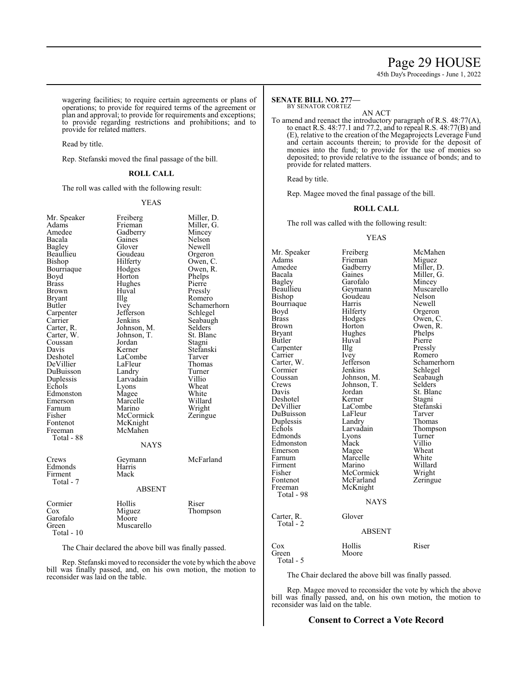# Page 29 HOUSE

45th Day's Proceedings - June 1, 2022

wagering facilities; to require certain agreements or plans of operations; to provide for required terms of the agreement or plan and approval; to provide for requirements and exceptions; to provide regarding restrictions and prohibitions; and to provide for related matters.

Read by title.

Rep. Stefanski moved the final passage of the bill.

#### **ROLL CALL**

The roll was called with the following result:

#### YEAS

| Mr. Speaker<br>Adams<br>Amedee<br>Bacala<br>Bagley<br>Beaullieu<br>Bishop<br>Bourriaque<br>Boyd<br>Brass<br>Brown<br><b>Bryant</b><br>Butler<br>Carpenter<br>Carrier<br>Carter, R.<br>Carter, W.<br>Coussan<br>Davis<br>Deshotel<br>DeVillier<br>DuBuisson<br>Duplessis<br>Echols<br>Edmonston<br>Emerson<br>Farnum<br>Fisher<br>Fontenot<br>Freeman<br>Total - 88 | Freiberg<br>Frieman<br>Gadberry<br>Gaines<br>Glover<br>Goudeau<br>Hilferty<br>Hodges<br>Horton<br>Hughes<br>Huval<br>Illg<br>Ivey<br>Jefferson<br>Jenkins<br>Johnson, M.<br>Johnson, T.<br>Jordan<br>Kerner<br>LaCombe<br>LaFleur<br>Landry<br>Larvadain<br>Lyons<br>Magee<br>Marcelle<br>Marino<br>McCormick<br>McKnight<br>McMahen<br><b>NAYS</b> | Miller, D.<br>Miller, G.<br>Mincey<br>Nelson<br>Newell<br>Orgeron<br>Owen, C.<br>Owen, R.<br>Phelps<br>Pierre<br>Pressly<br>Romero<br>Schamerhorn<br>Schlegel<br>Seabaugh<br>Selders<br>St. Blanc<br>Stagni<br>Stefanski<br>Tarver<br>Thomas<br>Turner<br>Villio<br>Wheat<br>White<br>Willard<br>Wright<br>Zeringue |
|--------------------------------------------------------------------------------------------------------------------------------------------------------------------------------------------------------------------------------------------------------------------------------------------------------------------------------------------------------------------|-----------------------------------------------------------------------------------------------------------------------------------------------------------------------------------------------------------------------------------------------------------------------------------------------------------------------------------------------------|---------------------------------------------------------------------------------------------------------------------------------------------------------------------------------------------------------------------------------------------------------------------------------------------------------------------|
|                                                                                                                                                                                                                                                                                                                                                                    |                                                                                                                                                                                                                                                                                                                                                     | McFarland                                                                                                                                                                                                                                                                                                           |
| Crews<br>Edmonds<br>Firment<br>Total - 7                                                                                                                                                                                                                                                                                                                           | Geymann<br>Harris<br>Mack                                                                                                                                                                                                                                                                                                                           |                                                                                                                                                                                                                                                                                                                     |
|                                                                                                                                                                                                                                                                                                                                                                    | <b>ABSENT</b>                                                                                                                                                                                                                                                                                                                                       |                                                                                                                                                                                                                                                                                                                     |
| Cormier<br>Cox<br>Garofalo<br>Green<br>Total - 10                                                                                                                                                                                                                                                                                                                  | Hollis<br>Miguez<br>Moore<br>Muscarello                                                                                                                                                                                                                                                                                                             | Riser<br>Thompson                                                                                                                                                                                                                                                                                                   |

The Chair declared the above bill was finally passed.

Rep. Stefanski moved to reconsider the vote by which the above bill was finally passed, and, on his own motion, the motion to reconsider was laid on the table.

#### **SENATE BILL NO. 277** BY SENATOR CORTEZ

AN ACT

To amend and reenact the introductory paragraph of R.S. 48:77(A), to enact R.S. 48:77.1 and 77.2, and to repeal R.S. 48:77(B) and (E), relative to the creation of the Megaprojects Leverage Fund and certain accounts therein; to provide for the deposit of monies into the fund; to provide for the use of monies so deposited; to provide relative to the issuance of bonds; and to provide for related matters.

Read by title.

Rep. Magee moved the final passage of the bill.

#### **ROLL CALL**

The roll was called with the following result:

#### YEAS

| Mr. Speaker   | Freiberg      | McMahen     |
|---------------|---------------|-------------|
| Adams         | Frieman       | Miguez      |
| Amedee        | Gadberry      | Miller, D.  |
| Bacala        | Gaines        | Miller, G.  |
| <b>Bagley</b> | Garofalo      | Mincey      |
| Beaullieu     | Geymann       | Muscarello  |
| Bishop        | Goudeau       | Nelson      |
| Bourriaque    | Harris        | Newell      |
| Boyd          | Hilferty      | Orgeron     |
| <b>Brass</b>  | Hodges        | Owen, C.    |
| Brown         | Horton        | Owen, R.    |
| Bryant        | Hughes        | Phelps      |
| Butler        | Huval         | Pierre      |
| Carpenter     | Illg          | Pressly     |
| Carrier       | Ivey          | Romero      |
| Carter, W.    | Jefferson     | Schamerhorn |
| Cormier       | Jenkins       | Schlegel    |
| Coussan       | Johnson, M.   | Seabaugh    |
| Crews         | Johnson, T.   | Selders     |
| Davis         | Jordan        | St. Blanc   |
| Deshotel      | Kerner        | Stagni      |
| DeVillier     | LaCombe       | Stefanski   |
| DuBuisson     | LaFleur       | Tarver      |
| Duplessis     | Landry        | Thomas      |
| Echols        | Larvadain     | Thompson    |
| Edmonds       | Lyons         | Turner      |
| Edmonston     | Mack          | Villio      |
| Emerson       | Magee         | Wheat       |
| Farnum        | Marcelle      | White       |
| Firment       | Marino        | Willard     |
| Fisher        | McCormick     | Wright      |
| Fontenot      | McFarland     | Zeringue    |
| Freeman       | McKnight      |             |
| Total - 98    |               |             |
|               | <b>NAYS</b>   |             |
| Carter, R.    | Glover        |             |
| Total - 2     |               |             |
|               | <b>ABSENT</b> |             |
| Cox           | Hollis        | Riser       |
| Green         | Moore         |             |
| Total - 5     |               |             |

The Chair declared the above bill was finally passed.

Rep. Magee moved to reconsider the vote by which the above bill was finally passed, and, on his own motion, the motion to reconsider was laid on the table.

#### **Consent to Correct a Vote Record**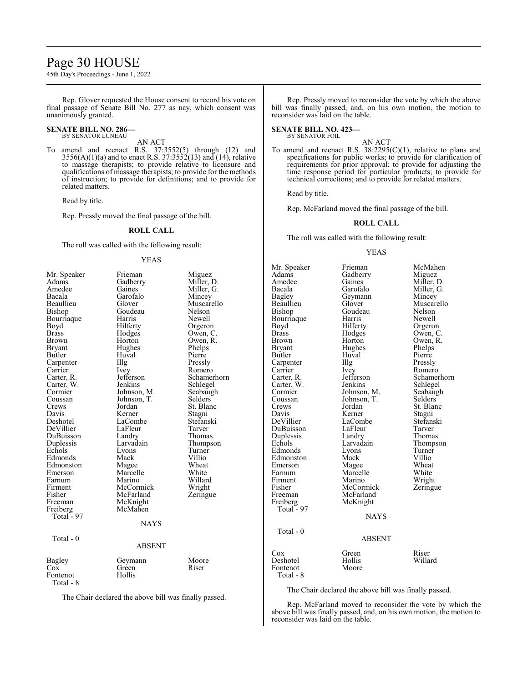# Page 30 HOUSE

45th Day's Proceedings - June 1, 2022

Rep. Glover requested the House consent to record his vote on final passage of Senate Bill No. 277 as nay, which consent was unanimously granted.

#### **SENATE BILL NO. 286—** BY SENATOR LUNEAU

AN ACT

To amend and reenact R.S. 37:3552(5) through (12) and  $3556(A)(1)(a)$  and to enact R.S.  $37:3552(13)$  and  $(14)$ , relative to massage therapists; to provide relative to licensure and qualifications of massage therapists; to provide for the methods of instruction; to provide for definitions; and to provide for related matters.

Read by title.

Rep. Pressly moved the final passage of the bill.

#### **ROLL CALL**

The roll was called with the following result:

#### YEAS

| Mr. Speaker  | Frieman       | Miguez      |
|--------------|---------------|-------------|
| Adams        | Gadberry      | Miller, D.  |
| Amedee       | Gaines        | Miller, G.  |
| Bacala       | Garofalo      | Mincey      |
| Beaullieu    | Glover        | Muscarello  |
| Bishop       | Goudeau       | Nelson      |
| Bourriaque   | Harris        | Newell      |
| Boyd         | Hilferty      | Orgeron     |
| <b>Brass</b> | Hodges        | Owen, C.    |
| Brown        | Horton        | Owen, R.    |
| Bryant       | Hughes        | Phelps      |
| Butler       | Huval         | Pierre      |
| Carpenter    | Illg          | Pressly     |
| Carrier      | <i>lvey</i>   | Romero      |
| Carter, R.   | Jefferson     | Schamerhorn |
| Carter, W.   | Jenkins       | Schlegel    |
| Cormier      | Johnson, M.   | Seabaugh    |
| Coussan      | Johnson, T.   | Selders     |
| Crews        | Jordan        | St. Blanc   |
| Davis        | Kerner        | Stagni      |
| Deshotel     | LaCombe       | Stefanski   |
| DeVillier    | LaFleur       | Tarver      |
| DuBuisson    | Landry        | Thomas      |
| Duplessis    | Larvadain     | Thompson    |
| Echols       | Lyons         | Turner      |
| Edmonds      | Mack          | Villio      |
| Edmonston    | Magee         | Wheat       |
| Emerson      | Marcelle      | White       |
| Farnum       | Marino        | Willard     |
| Firment      | McCormick     | Wright      |
| Fisher       | McFarland     | Zeringue    |
| Freeman      | McKnight      |             |
| Freiberg     | McMahen       |             |
| Total - 97   |               |             |
|              | <b>NAYS</b>   |             |
|              |               |             |
| Total - 0    |               |             |
|              | <b>ABSENT</b> |             |
| Bagley       | Geymann       | Moore       |
| $\cos$       | Green         | Riser       |
| Fontenot     | Hollis        |             |
| Total - 8    |               |             |

The Chair declared the above bill was finally passed.

Rep. Pressly moved to reconsider the vote by which the above bill was finally passed, and, on his own motion, the motion to reconsider was laid on the table.

**SENATE BILL NO. 423—** BY SENATOR FOIL

AN ACT To amend and reenact R.S. 38:2295(C)(1), relative to plans and specifications for public works; to provide for clarification of requirements for prior approval; to provide for adjusting the time response period for particular products; to provide for technical corrections; and to provide for related matters.

Read by title.

Rep. McFarland moved the final passage of the bill.

#### **ROLL CALL**

The roll was called with the following result:

#### YEAS

Mr. Speaker Frieman McMahen<br>Adams Gadberry Miguez Adams Gadberry<br>Amedee Gaines Amedee Gaines Miller, D.<br>Bacala Garofalo Miller, G. Bacala Garofalo Miller, G.<br>Bagley Geymann Mincey Bagley Geymann<br>Beaullieu Glover Beaullieu Glover Muscarello<br>Bishop Goudeau Nelson Goudeau Nelson<br>Harris Newell Bourriaque Harris<br>Boyd Hilferty Boyd Hilferty Orgeron<br>Brass Hodges Owen, C Brass Hodges Owen, C. Brown Horton Owen, R.<br>Bryant Hughes Phelps Hughes Phelps<br>Huval Pierre Butler Huval Pierre<br>
Carpenter IIIg Pressly Carpenter Illg<br>Carrier Ivey Carrier Ivey Romero<br>Carter, R. Jefferson Schame Jefferson Schamerhorn<br>Jenkins Schlegel Carter, W. Jenkins Schlegel<br>Cormier Johnson, M. Seabaugh Cormier Johnson, M. Seabaugh<br>Coussan Johnson, T. Selders Coussan Johnson, T.<br>Crews Jordan Crews Jordan St. Blanc<br>
Davis Kerner Stagni Davis Kerner<br>DeVillier LaCombe LaCombe<br>LaFleur Tarver DuBuisson LaFleur Tarver<br>
Duplessis Landry Thomas Duplessis Landry<br>Echols Larvadain Echols Larvadain Thompson<br>Edmonds Lyons Turner Lyons Turner<br>
Mack Villio Edmonston Mack Villio<br>Emerson Magee Wheat Emerson Magee Wheat<br>
Farnum Marcelle White Marcelle White<br>
Marino Wright Firment Marino Wright<br>
Fisher McCormick Zeringue Fisher McCormick<br>Freeman McFarland McFarland<br>McKnight Freiberg McKnight Total - 97 NAYS Total - 0 ABSENT Cox Green Riser Deshotel Hollis Willard Fontenot Total - 8

The Chair declared the above bill was finally passed.

Rep. McFarland moved to reconsider the vote by which the above bill was finally passed, and, on his own motion, the motion to reconsider was laid on the table.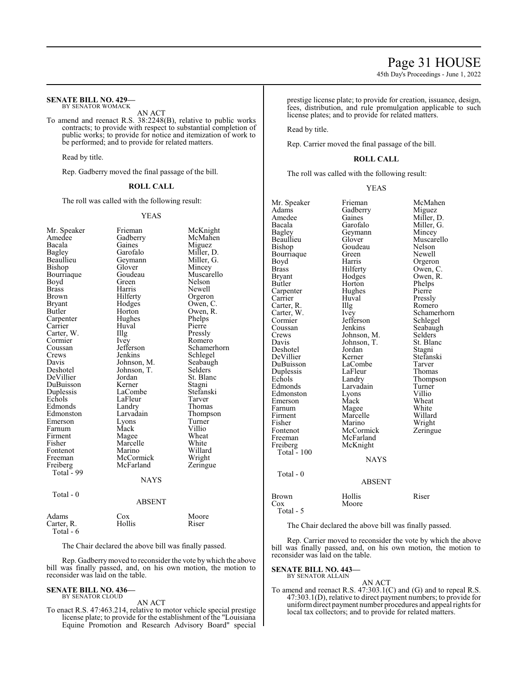#### **SENATE BILL NO. 429—** BY SENATOR WOMACK

AN ACT

To amend and reenact R.S. 38:2248(B), relative to public works contracts; to provide with respect to substantial completion of public works; to provide for notice and itemization of work to be performed; and to provide for related matters.

Read by title.

Rep. Gadberry moved the final passage of the bill.

#### **ROLL CALL**

The roll was called with the following result:

#### YEAS

| Mr. Speaker  | Frieman     | McKnight    |
|--------------|-------------|-------------|
| Amedee       | Gadberry    | McMahen     |
| Bacala       | Gaines      | Miguez      |
| Bagley       | Garofalo    | Miller, D.  |
| Beaullieu    | Geymann     | Miller, G.  |
| Bishop       | Glover      | Mincey      |
| Bourriaque   | Goudeau     | Muscarello  |
| Boyd         | Green       | Nelson      |
| <b>Brass</b> | Harris      | Newell      |
| Brown        | Hilferty    | Orgeron     |
| Bryant       | Hodges      | Owen, C.    |
| Butler       | Horton      | Owen, R.    |
| Carpenter    | Hughes      | Phelps      |
| Carrier      | Huval       | Pierre      |
| Carter, W.   | Illg        | Pressly     |
| Cormier      | <i>lvey</i> | Romero      |
| Coussan      | Jefferson   | Schamerhorn |
| Crews        | Jenkins     | Schlegel    |
| Davis        | Johnson, M. | Seabaugh    |
| Deshotel     | Johnson, T. | Selders     |
| DeVillier    | Jordan      | St. Blanc   |
| DuBuisson    | Kerner      | Stagni      |
| Duplessis    | LaCombe     | Stefanski   |
| Echols       | LaFleur     | Tarver      |
| Edmonds      | Landry      | Thomas      |
| Edmonston    | Larvadain   | Thompson    |
| Emerson      | Lyons       | Turner      |
| Farnum       | Mack        | Villio      |
| Firment      | Magee       | Wheat       |
| Fisher       | Marcelle    | White       |
| Fontenot     | Marino      | Willard     |
| Freeman      | McCormick   | Wright      |
| Freiberg     | McFarland   | Zeringue    |
| Total - 99   |             |             |
|              | <b>NAYS</b> |             |
| Total - 0    |             |             |
|              | ABSENT      |             |
| Adams        | Cox         | Moore       |
| Carter. R.   | Hollis      | Riser       |

The Chair declared the above bill was finally passed.

Rep. Gadberrymoved to reconsider the vote by which the above bill was finally passed, and, on his own motion, the motion to reconsider was laid on the table.

#### **SENATE BILL NO. 436—**

Total - 6

BY SENATOR CLOUD AN ACT

To enact R.S. 47:463.214, relative to motor vehicle special prestige license plate; to provide for the establishment of the "Louisiana Equine Promotion and Research Advisory Board" special

prestige license plate; to provide for creation, issuance, design, fees, distribution, and rule promulgation applicable to such license plates; and to provide for related matters.

Read by title.

Rep. Carrier moved the final passage of the bill.

#### **ROLL CALL**

The roll was called with the following result:

#### YEAS

| Mr. Speaker   | Frieman       | McMahen     |
|---------------|---------------|-------------|
| Adams         | Gadberry      | Miguez      |
| Amedee        | Gaines        | Miller, D.  |
| Bacala        | Garofalo      | Miller, G.  |
| Bagley        | Geymann       | Mincey      |
| Beaullieu     | Glover        | Muscarello  |
| Bishop        | Goudeau       | Nelson      |
| Bourriaque    | Green         | Newell      |
| Boyd          | Harris        | Orgeron     |
| <b>Brass</b>  | Hilferty      | Owen, C.    |
| <b>Bryant</b> | Hodges        | Owen, R.    |
| Butler        | Horton        | Phelps      |
| Carpenter     | Hughes        | Pierre      |
| Carrier       | Huval         | Pressly     |
| Carter, R.    | Illg          | Romero      |
| Carter, W.    | Ivey          | Schamerhorn |
| Cormier       | Jefferson     | Schlegel    |
| Coussan       | Jenkins       | Seabaugh    |
| Crews         | Johnson, M.   | Selders     |
| Davis         | Johnson, T.   | St. Blanc   |
| Deshotel      | Jordan        | Stagni      |
| DeVillier     | Kerner        | Stefanski   |
| DuBuisson     | LaCombe       | Tarver      |
| Duplessis     | LaFleur       | Thomas      |
| Echols        | Landry        | Thompson    |
| Edmonds       | Larvadain     | Turner      |
| Edmonston     | Lyons         | Villio      |
| Emerson       | Mack          | Wheat       |
| Farnum        | Magee         | White       |
| Firment       | Marcelle      | Willard     |
| Fisher        | Marino        | Wright      |
| Fontenot      | McCormick     |             |
|               | McFarland     | Zeringue    |
| Freeman       |               |             |
| Freiberg      | McKnight      |             |
| Total - $100$ |               |             |
|               | <b>NAYS</b>   |             |
| $Total - 0$   |               |             |
|               | <b>ABSENT</b> |             |
|               |               |             |
| Brown         | Hollis        | Riser       |
| Cox           | Moore         |             |
| Total - 5     |               |             |

The Chair declared the above bill was finally passed.

Rep. Carrier moved to reconsider the vote by which the above bill was finally passed, and, on his own motion, the motion to reconsider was laid on the table.

**SENATE BILL NO. 443—** BY SENATOR ALLAIN

AN ACT To amend and reenact R.S. 47:303.1(C) and (G) and to repeal R.S. 47:303.1(D), relative to direct payment numbers; to provide for uniformdirect payment number procedures and appeal rights for local tax collectors; and to provide for related matters.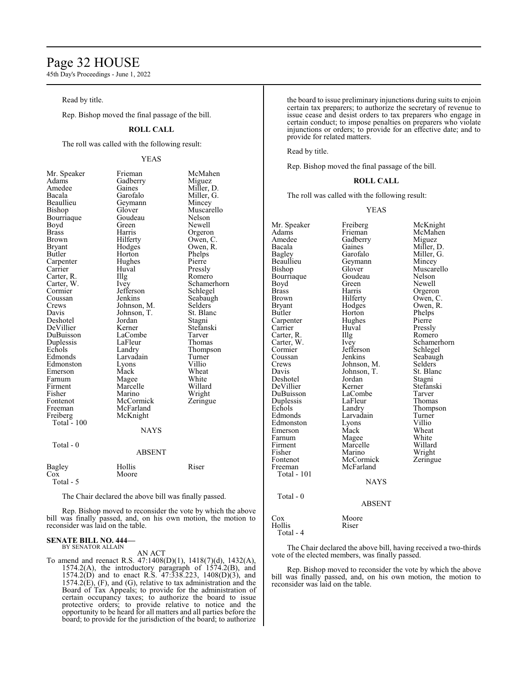# Page 32 HOUSE

45th Day's Proceedings - June 1, 2022

Read by title.

Rep. Bishop moved the final passage of the bill.

### **ROLL CALL**

The roll was called with the following result:

### YEAS

| Mr. Speaker  | Frieman       | McMahen     |
|--------------|---------------|-------------|
| Adams        | Gadberry      | Miguez      |
| Amedee       | Gaines        | Miller, D.  |
| Bacala       | Garofalo      | Miller, G.  |
| Beaullieu    | Geymann       | Mincey      |
| Bishop       | Glover        | Muscarello  |
| Bourriaque   | Goudeau       | Nelson      |
| Boyd         | Green         | Newell      |
| <b>Brass</b> | Harris        | Orgeron     |
| <b>Brown</b> | Hilferty      | Owen, C.    |
| Bryant       | Hodges        | Owen, R.    |
| Butler       | Horton        | Phelps      |
| Carpenter    | Hughes        | Pierre      |
| Carrier      | Huval         | Pressly     |
| Carter, R.   | Illg          | Romero      |
| Carter, W.   | <i>lvey</i>   | Schamerhorn |
| Cormier      | Jefferson     | Schlegel    |
| Coussan      | Jenkins       | Seabaugh    |
| Crews        | Johnson, M.   | Selders     |
| Davis        | Johnson, T.   | St. Blanc   |
| Deshotel     | Jordan        | Stagni      |
| DeVillier    | Kerner        | Stefanski   |
| DuBuisson    | LaCombe       | Tarver      |
| Duplessis    | LaFleur       | Thomas      |
| Echols       | Landry        | Thompson    |
| Edmonds      | Larvadain     | Turner      |
| Edmonston    | Lyons         | Villio      |
| Emerson      | Mack          | Wheat       |
| Farnum       | Magee         | White       |
| Firment      | Marcelle      | Willard     |
| Fisher       | Marino        | Wright      |
| Fontenot     | McCormick     | Zeringue    |
| Freeman      | McFarland     |             |
| Freiberg     | McKnight      |             |
| Total - 100  |               |             |
|              | NAYS          |             |
| Total - 0    |               |             |
|              | <b>ABSENT</b> |             |
| Bagley       | Hollis        | Riser       |
| Cox          | Moore         |             |
| Total - 5    |               |             |

The Chair declared the above bill was finally passed.

Rep. Bishop moved to reconsider the vote by which the above bill was finally passed, and, on his own motion, the motion to reconsider was laid on the table.

#### **SENATE BILL NO. 444—** BY SENATOR ALLAIN

AN ACT

To amend and reenact R.S. 47:1408(D)(1), 1418(7)(d), 1432(A), 1574.2(A), the introductory paragraph of 1574.2(B), and 1574.2(D) and to enact R.S. 47:338.223, 1408(D)(3), and  $1574.2(E)$ , (F), and (G), relative to tax administration and the Board of Tax Appeals; to provide for the administration of certain occupancy taxes; to authorize the board to issue protective orders; to provide relative to notice and the opportunity to be heard for all matters and all parties before the board; to provide for the jurisdiction of the board; to authorize the board to issue preliminary injunctions during suits to enjoin certain tax preparers; to authorize the secretary of revenue to issue cease and desist orders to tax preparers who engage in certain conduct; to impose penalties on preparers who violate injunctions or orders; to provide for an effective date; and to provide for related matters.

Read by title.

Rep. Bishop moved the final passage of the bill.

#### **ROLL CALL**

The roll was called with the following result:

#### YEAS

Mr. Speaker Freiberg McKnight<br>
Adams Frieman McMahen Adams Frieman McMahen<br>Amedee Gadberry Miguez Amedee Gadberry<br>Bacala Gaines Bacala Gaines Miller, D.<br>Bagley Garofalo Miller, G. Bagley Garofalo Miller, G.<br>Beaullieu Geymann Mincey Beaullieu Geymann<br>Bishop Glover Glover Muscarello<br>Goudeau Nelson Bourriaque Goudeau Nelson<br>Boyd Green Newell Boyd Green<br>Brass Harris Brass Harris Orgeron<br>Brown Hilferty Owen, C Brown Hilferty Owen, C.<br>Bryant Hodges Owen, R. Bryant Hodges Owen, R.<br>Butler Horton Phelps Horton Phelps<br>Hughes Pierre Carpenter Hughe<br>Carrier Huval Huval Pressly<br>
Illg Romero Carter, R. Illg<br>Carter, W. Ivey Carter, W. Ivey Schamerhorn<br>
Cormier Jefferson Schlegel Cormier Jefferson<br>Coussan Jenkins Coussan Jenkins Seabaugh<br>Crews Johnson, M. Selders Johnson, M. Selders<br>Johnson, T. St. Blanc Davis Johnson, T. St. Blanck<br>Deshotel Jordan Stagni Deshotel Jordan Stagni DeVillier Kerner Stefans<br>DuBuisson LaCombe Tarver DuBuisson LaCombe Tarver<br>
Duplessis LaFleur Thomas Duplessis LaFleur<br>Echols Landry Echols Landry Thompson<br>Edmonds Larvadain Turner Larvadain Turner<br>
Lyons Villio Edmonston Lyons Villio Emerson Mack Wheat<br>
Farnum Magee White Farnum Magee White<br>
Firment Marcelle Willard Firment Marcelle Willard<br>Fisher Marino Wright Fisher Marino Wright<br>
Fontenot McCormick Zeringue Fontenot McCormick<br>Freeman McFarland McFarland Total - 101 NAYS Total - 0 ABSENT Cox Moore<br>
Hollis Riser Hollis

Total - 4

The Chair declared the above bill, having received a two-thirds vote of the elected members, was finally passed.

Rep. Bishop moved to reconsider the vote by which the above bill was finally passed, and, on his own motion, the motion to reconsider was laid on the table.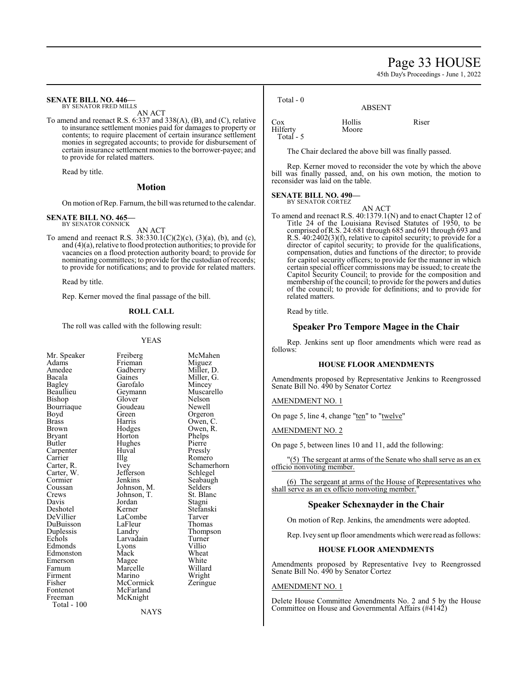# Page 33 HOUSE

45th Day's Proceedings - June 1, 2022

# **SENATE BILL NO. 446—**

BY SENATOR FRED MILLS AN ACT

To amend and reenact R.S. 6:337 and 338(A), (B), and (C), relative to insurance settlement monies paid for damages to property or contents; to require placement of certain insurance settlement monies in segregated accounts; to provide for disbursement of certain insurance settlement monies to the borrower-payee; and to provide for related matters.

Read by title.

#### **Motion**

On motion ofRep. Farnum, the bill was returned to the calendar.

#### **SENATE BILL NO. 465** BY SENATOR CONNICK

AN ACT

To amend and reenact R.S.  $38:330.1(C)(2)(c)$ ,  $(3)(a)$ ,  $(b)$ , and  $(c)$ , and (4)(a), relative to flood protection authorities; to provide for vacancies on a flood protection authority board; to provide for nominating committees; to provide for the custodian ofrecords; to provide for notifications; and to provide for related matters.

Read by title.

Rep. Kerner moved the final passage of the bill.

# **ROLL CALL**

The roll was called with the following result:

Bourriaque Goude<br>Bovd Green Carpenter Huv<br>Carrier Hllg Carter, W. Jefferson<br>Cormier Jenkins Davis Jordan<br>Deshotel Kerner DuBuisson LaFleu<br>
Duplessis Landry Fisher McCormick<br>Fontenot McFarland Fontenot McFarland<br>Freeman McKnight Total - 100

YEAS Mr. Speaker Freiberg McMahen<br>Adams Frieman Miguez Adams Frieman Miguez<br>Amedee Gadberry Miller, l Amedee Gadberry Miller, D.<br>Bacala Gaines Miller, G. Bacala Gaines Miller, G.<br>Bagley Garofalo Mincey Bagley Garofalo Mincey<br>Beaullieu Geymann Muscaro Beaullieu Geymann Muscarello<br>Bishop Glover Nelson Glover Nelson<br>Goudeau Newell Boyd Green Orgeron<br>Brass Harris Owen Brass Harris Owen, C.<br>Brown Hodges Owen, R. Hodges Owen, R.<br>Horton Phelps Bryant Horton Phelps<br>Butler Hughes Pierre Hughes Pierre<br>Huval Pressly Carrier IIIg Romero<br>Carter, R. Ivey Schame Ivey Schamerhorn<br>Jefferson Schlegel Cormier Jenkins Seabaugh<br>
Coussan Johnson, M. Selders Coussan Johnson, M. Selders<br>Crews Johnson, T. St. Blanc Crews Johnson, T. St. Blanch<br>Davis Jordan Stagni Deshotel Kerner Stefanski LaCombe Tarver<br>LaFleur Thomas Duplessis Landry Thompson<br>
Echols Larvadain Turner Larvadain Turner<br>
Lyons Villio Edmonds Lyons Villio<br>Edmonston Mack Wheat Edmonston Mack Wheat<br>
Emerson Magee White Emerson Magee White<br>
Farnum Marcelle Willard Marcelle Willard<br>
Marino Wright Firment Marino Wright<br>
Fisher McCormick Zeringue McKnight

Total - 0

| Cox<br>Hilferty<br>Total - 5 | Hollis<br>Moore | Riser |
|------------------------------|-----------------|-------|
|                              |                 |       |

The Chair declared the above bill was finally passed.

Rep. Kerner moved to reconsider the vote by which the above bill was finally passed, and, on his own motion, the motion to reconsider was laid on the table.

**ABSENT** 

### **SENATE BILL NO. 490—**

BY SENATOR CORTEZ

AN ACT To amend and reenact R.S. 40:1379.1(N) and to enact Chapter 12 of Title 24 of the Louisiana Revised Statutes of 1950, to be comprised ofR.S. 24:681 through 685 and 691 through 693 and R.S. 40:2402(3)(f), relative to capitol security; to provide for a director of capitol security; to provide for the qualifications, compensation, duties and functions of the director; to provide for capitol security officers; to provide for the manner in which certain special officer commissions may be issued; to create the Capitol Security Council; to provide for the composition and membership of the council; to provide for the powers and duties of the council; to provide for definitions; and to provide for related matters.

Read by title.

#### **Speaker Pro Tempore Magee in the Chair**

Rep. Jenkins sent up floor amendments which were read as follows:

### **HOUSE FLOOR AMENDMENTS**

Amendments proposed by Representative Jenkins to Reengrossed Senate Bill No. 490 by Senator Cortez

AMENDMENT NO. 1

On page 5, line 4, change "ten" to "twelve"

AMENDMENT NO. 2

On page 5, between lines 10 and 11, add the following:

(5) The sergeant at arms of the Senate who shall serve as an ex officio nonvoting member.

(6) The sergeant at arms of the House of Representatives who shall serve as an ex officio nonvoting member."

#### **Speaker Schexnayder in the Chair**

On motion of Rep. Jenkins, the amendments were adopted.

Rep. Ivey sent up floor amendments which were read as follows:

#### **HOUSE FLOOR AMENDMENTS**

Amendments proposed by Representative Ivey to Reengrossed Senate Bill No. 490 by Senator Cortez

### AMENDMENT NO. 1

Delete House Committee Amendments No. 2 and 5 by the House Committee on House and Governmental Affairs (#4142)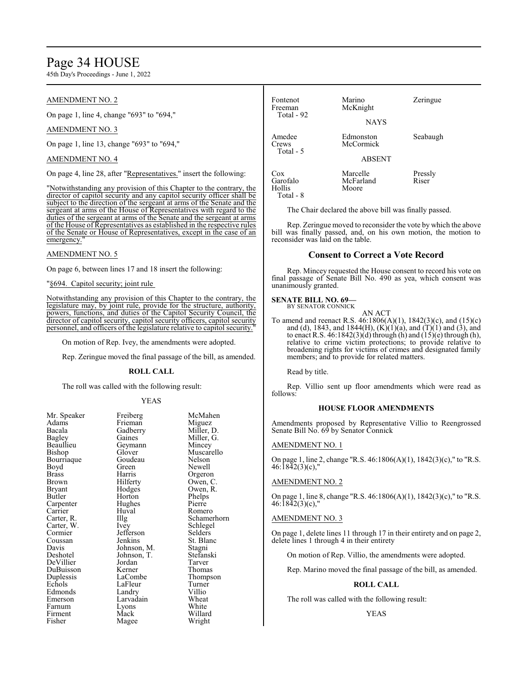# Page 34 HOUSE

45th Day's Proceedings - June 1, 2022

## AMENDMENT NO. 2

On page 1, line 4, change "693" to "694,"

#### AMENDMENT NO. 3

On page 1, line 13, change "693" to "694,"

### AMENDMENT NO. 4

On page 4, line 28, after "Representatives." insert the following:

"Notwithstanding any provision of this Chapter to the contrary, the director of capitol security and any capitol security officer shall be subject to the direction of the sergeant at arms of the Senate and the sergeant at arms of the House of Representatives with regard to the duties of the sergeant at arms of the Senate and the sergeant at arms of the House of Representatives as established in the respective rules of the Senate or House of Representatives, except in the case of an emergency.

#### AMENDMENT NO. 5

On page 6, between lines 17 and 18 insert the following:

"§694. Capitol security; joint rule

Notwithstanding any provision of this Chapter to the contrary, the legislature may, by joint rule, provide for the structure, authority, powers, functions, and duties of the Capitol Security Council, the director of capitol security, capitol security officers, capitol security personnel, and officers of the legislature relative to capitol security."

On motion of Rep. Ivey, the amendments were adopted.

Rep. Zeringue moved the final passage of the bill, as amended.

#### **ROLL CALL**

The roll was called with the following result:

#### YEAS

| мг. Speaker | r reiberg   | мсма     |
|-------------|-------------|----------|
| Adams       | Frieman     | Miguez   |
| Bacala      | Gadberry    | Miller,  |
| Bagley      | Gaines      | Miller,  |
| Beaullieu   | Geymann     | Mincey   |
| Bishop      | Glover      | Muscar   |
| Bourriaque  | Goudeau     | Nelson   |
| Boyd        | Green       | Newell   |
| Brass       | Harris      | Orgero   |
| Brown       | Hilferty    | Owen,    |
| Bryant      | Hodges      | Owen,    |
| Butler      | Horton      | Phelps   |
| Carpenter   | Hughes      | Pierre   |
| Carrier     | Huval       | Romer    |
| Carter, R.  | Illg        | Scham    |
| Carter, W.  | Ivey        | Schlege  |
| Cormier     | Jefferson   | Selders  |
| Coussan     | Jenkins     | St. Blai |
| Davis       | Johnson, M. | Stagni   |
| Deshotel    | Johnson, T. | Stefans  |
| DeVillier   | Jordan      | Tarver   |
| DuBuisson   | Kerner      | Thoma    |
| Duplessis   | LaCombe     | Thomp    |
| Echols      | LaFleur     | Turner   |
| Edmonds     | Landry      | Villio   |
| Emerson     | Larvadain   | Wheat    |
| Farnum      | Lyons       | White    |
| Firment     | Mack        | Willard  |
| Fisher      | Magee       | Wright   |
|             |             |          |

Freiberg McMahen<br>Frieman Miguez Frieman<br>Gadberry Gadberry Miller, D.<br>Gaines Miller, G. Geymann<br>Glover Goudeau Nelson<br>Green Newell Harris Orgeron<br>Hilferty Owen, C Hilferty Owen, C.<br>Hodges Owen, R. Hodges Owen, R.<br>Horton Phelps Huval Romero<br>Illg Schame Ivey Schlegel<br>Jefferson Selders Jefferson<br>Jenkins Johnson, M. Stagni<br>Johnson, T. Stefanski Johnson, T.<br>Jordan Tarver Kerner Thomas<br>LaCombe Thomps LaFleur Turner<br>Landry Villio Landry Villio<br>Larvadain Wheat Larvadain Wheat<br>
Lyons White Magee Wright

Miller, G.<br>Mincey

Muscarello<br>Nelson

Schamerhorn

St. Blanc<br>Stagni

Thompson<br>Turner

Willard

Fontenot Marino Zeringue<br>Freeman McKnight McKnight Total - 92 **NAYS** Amedee Edmonston Seabaugh Crews McCormick Total - 5 ABSENT Cox Marcelle Pressly<br>Garofalo McFarland Riser Garofalo McFarland<br>
Hollis Moore Moore Total - 8

The Chair declared the above bill was finally passed.

Rep. Zeringue moved to reconsider the vote by which the above bill was finally passed, and, on his own motion, the motion to reconsider was laid on the table.

#### **Consent to Correct a Vote Record**

Rep. Mincey requested the House consent to record his vote on final passage of Senate Bill No. 490 as yea, which consent was unanimously granted.

#### **SENATE BILL NO. 69—**

BY SENATOR CONNICK

AN ACT To amend and reenact R.S. 46:1806(A)(1), 1842(3)(c), and (15)(c) and (d), 1843, and 1844(H),  $(K)(1)(a)$ , and  $(T)(1)$  and  $(3)$ , and to enact R.S.  $46:1842(3)(d)$  through (h) and  $(15)(e)$  through (h), relative to crime victim protections; to provide relative to broadening rights for victims of crimes and designated family members; and to provide for related matters.

Read by title.

Rep. Villio sent up floor amendments which were read as follows:

### **HOUSE FLOOR AMENDMENTS**

Amendments proposed by Representative Villio to Reengrossed Senate Bill No. 69 by Senator Connick

### AMENDMENT NO. 1

On page 1, line 2, change "R.S. 46:1806(A)(1), 1842(3)(c)," to "R.S. 46:1842(3)(c),"

### AMENDMENT NO. 2

On page 1, line 8, change "R.S. 46:1806(A)(1), 1842(3)(c)," to "R.S. 46:1842(3)(c),"

#### AMENDMENT NO. 3

On page 1, delete lines 11 through 17 in their entirety and on page 2, delete lines 1 through 4 in their entirety

On motion of Rep. Villio, the amendments were adopted.

Rep. Marino moved the final passage of the bill, as amended.

### **ROLL CALL**

The roll was called with the following result:

#### YEAS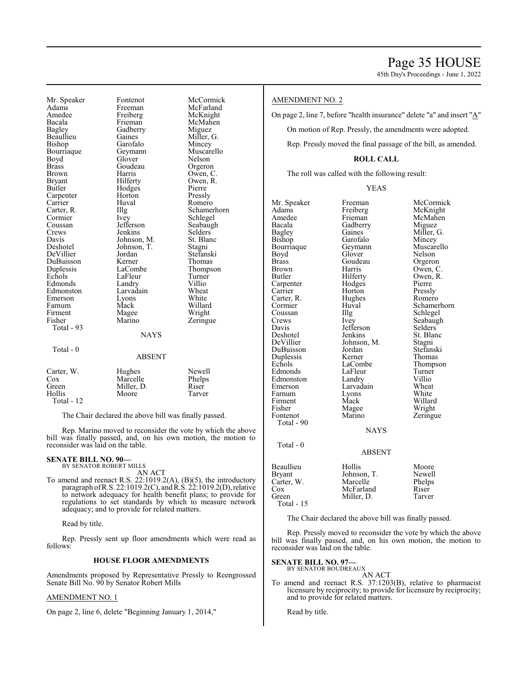45th Day's Proceedings - June 1, 2022

Mr. Speaker Fontenot McCormick<br>Adams Freeman McFarland Adams Freeman McFarland Amedee Freiberg McKnight<br>Bacala Frieman McMahen Bacala Frieman McMahen Bagley Gadberry<br>Beaullieu Gaines Bishop Garofalo Mincey<br>Bourriaque Geymann Muscarello Bourriaque Geymann Muscarello<br>Boyd Glover Nelson Boyd Glover Nelson<br>Brass Goudeau Orgeron Brass Goudeau<br>Brown Harris Brown Harris Owen, C.<br>
Bryant Hilferty Owen, R. Bryant Hilferty Owen, R.<br>Butler Hodges Pierre Hodges Pierre<br>
Horton Pressly Carpenter Horton<br>Carrier Huval Carrier Huval Romero<br>Carter, R. Illg Schame Carter, R. Illg Schamerhorn<br>
Schlegel Schlegel<br>
Schlegel Cormier Ivey Schlegel<br>Coussan Jefferson Seabaug Coussan Jefferson Seabaugh<br>Crews Jenkins Selders Crews Jenkins Selders<br>Davis Johnson, M. St. Blanc Davis Johnson, M. St. Blanck<br>Deshotel Johnson, T. Stagni Johnson, T. Stagni<br>Jordan Stefanski DeVillier Jordan Stefanski DuBuisson Kerner<br>
Duplessis LaCombe Duplessis LaCombe Thompson<br>
Echols LaFleur Turner LaFleur Turne<br>
Landry Villio Edmonds Landry Villio<br>Edmonston Larvadain Wheat Edmonston Larvadain Wheat<br>Emerson Lyons White Emerson Lyons White<br>
Farnum Mack Willard Farnum Mack Willard<br>
Firment Magee Wright Firment Magee<br>Fisher Marino Total - 93 Total - 0 Carter, W. Hughes Newell Cox Marcelle Phelps Green Miller, D. Riser<br>Hollis Moore Tarver

Total - 12

The Chair declared the above bill was finally passed.

Moore

**NAYS** 

ABSENT

Rep. Marino moved to reconsider the vote by which the above bill was finally passed, and, on his own motion, the motion to reconsider was laid on the table.

# **SENATE BILL NO. 90—** BY SENATOR ROBERT MILLS

AN ACT

To amend and reenact R.S. 22:1019.2(A), (B)(5), the introductory paragraph ofR.S. 22:1019.2(C), and R.S. 22:1019.2(D),relative to network adequacy for health benefit plans; to provide for regulations to set standards by which to measure network adequacy; and to provide for related matters.

Read by title.

Rep. Pressly sent up floor amendments which were read as follows:

#### **HOUSE FLOOR AMENDMENTS**

Amendments proposed by Representative Pressly to Reengrossed Senate Bill No. 90 by Senator Robert Mills

## AMENDMENT NO. 1

On page 2, line 6, delete "Beginning January 1, 2014,"

### AMENDMENT NO. 2

Miller, G.

Zeringue

On page 2, line 7, before "health insurance" delete "a" and insert "A"

On motion of Rep. Pressly, the amendments were adopted.

Rep. Pressly moved the final passage of the bill, as amended.

# **ROLL CALL**

The roll was called with the following result:

#### YEAS

| Mr. Speaker | Freeman       | McCormick   |
|-------------|---------------|-------------|
| Adams       | Freiberg      | McKnight    |
| Amedee      | Frieman       | McMahen     |
| Bacala      | Gadberry      | Miguez      |
| Bagley      | Gaines        | Miller, G.  |
| Bishop      | Garofalo      | Mincey      |
| Bourriaque  | Geymann       | Muscarello  |
| Boyd        | Glover        | Nelson      |
| Brass       | Goudeau       | Orgeron     |
| Brown       | Harris        | Owen, C.    |
| Butler      | Hilferty      | Owen, R.    |
| Carpenter   | Hodges        | Pierre      |
| Carrier     | Horton        | Pressly     |
| Carter, R.  | Hughes        | Romero      |
| Cormier     | Huval         | Schamerhorn |
| Coussan     | Illg          | Schlegel    |
| Crews       | Ivey          | Seabaugh    |
| Davis       | Jefferson     | Selders     |
| Deshotel    | Jenkins       | St. Blanc   |
| DeVillier   | Johnson, M.   | Stagni      |
| DuBuisson   | Jordan        | Stefanski   |
| Duplessis   | Kerner        | Thomas      |
| Echols      | LaCombe       | Thompson    |
| Edmonds     | LaFleur       | Turner      |
| Edmonston   | Landry        | Villio      |
| Emerson     | Larvadain     | Wheat       |
| Farnum      | Lyons         | White       |
| Firment     | Mack          | Willard     |
| Fisher      | Magee         | Wright      |
| Fontenot    | Marino        | Zeringue    |
| Total - 90  |               |             |
|             | <b>NAYS</b>   |             |
| Total - 0   |               |             |
|             | <b>ABSENT</b> |             |
| Beaullieu   | Hollis        | Moore       |
| Bryant      | Johnson, T.   | Newell      |
| Carter, W.  | Marcelle      | Phelps      |
| Cox         | McFarland     | Riser       |
| Green       | Miller, D.    | Tarver      |
| Total - 15  |               |             |

The Chair declared the above bill was finally passed.

Rep. Pressly moved to reconsider the vote by which the above bill was finally passed, and, on his own motion, the motion to reconsider was laid on the table.

# **SENATE BILL NO. 97—** BY SENATOR BOUDREAUX

AN ACT To amend and reenact R.S. 37:1203(B), relative to pharmacist licensure by reciprocity; to provide for licensure by reciprocity; and to provide for related matters.

Read by title.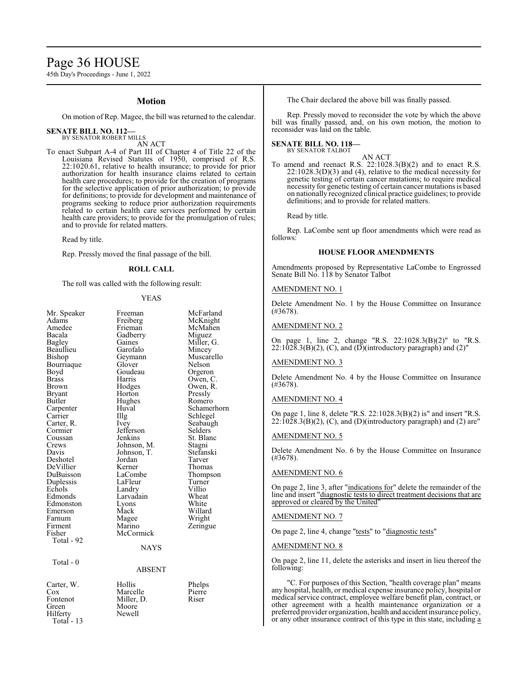# Page 36 HOUSE

45th Day's Proceedings - June 1, 2022

#### **Motion**

On motion of Rep. Magee, the bill was returned to the calendar.

#### **SENATE BILL NO. 112—** BY SENATOR ROBERT MILLS

AN ACT

To enact Subpart A-4 of Part III of Chapter 4 of Title 22 of the Louisiana Revised Statutes of 1950, comprised of R.S. 22:1020.61, relative to health insurance; to provide for prior authorization for health insurance claims related to certain health care procedures; to provide for the creation of programs for the selective application of prior authorization; to provide for definitions; to provide for development and maintenance of programs seeking to reduce prior authorization requirements related to certain health care services performed by certain health care providers; to provide for the promulgation of rules; and to provide for related matters.

Read by title.

Rep. Pressly moved the final passage of the bill.

### **ROLL CALL**

The roll was called with the following result:

#### YEAS

| Mr. Speaker               | Freeman                         | McFar                       |
|---------------------------|---------------------------------|-----------------------------|
| Adams                     | Freiberg                        | McKn                        |
| Amedee                    | Frieman                         | McMa                        |
| Bacala                    | Gadberry                        | Migue                       |
| <b>Bagley</b>             | Gaines                          | Miller.                     |
| Beaullieu                 | Garofalo                        | Mince                       |
| Bishop                    | Geymann                         | Musca                       |
| Bourriaque                | Glover                          | Nelsor                      |
| Boyd                      | Goudeau                         | Orgero                      |
| <b>Brass</b>              | Harris                          | Owen,                       |
| <b>Brown</b>              | Hodges                          | Owen,                       |
| <b>Bryant</b>             | Horton                          | Pressly                     |
| Butler                    | Hughes                          | Romer                       |
| Carpenter                 | Huval                           | Scham                       |
| Carrier                   | Illg                            | Schleg                      |
| Carter, R.                | Ivey                            | Seabai                      |
| Cormier                   | Jefferson                       | Selder                      |
| Coussan<br>Crews<br>Davis | Jenkins<br>Johnson, M.          | St. Bla<br>Stagni<br>Stefan |
| Deshotel<br>DeVillier     | Johnson, T.<br>Jordan<br>Kerner | Tarver<br>Thoma             |
| DuBuisson                 | LaCombe                         | Thomp                       |
| Duplessis                 | LaFleur                         | Turner                      |
| Echols                    | Landry                          | Villio                      |
| Edmonds                   | Larvadain                       | Wheat                       |
| Edmonston                 | Lyons                           | White                       |
| Emerson                   | Mack                            | Willar                      |
| Farnum                    | Magee                           | Wrigh                       |
| Firment                   | Marino                          | Zering                      |
| Fisher<br>Total - 92      | McCormick<br><b>NAYS</b>        |                             |
| Total - 0                 | <b>ABSENT</b>                   |                             |
| Carter, W.                | Hollis                          | Phelps                      |

McFarland McKnight McMahen Miguez Miller, G. Mincey Muscarello Nelson Orgeron Owen, C. Owen, R. Pressly Romero Schamerhorn Schlegel Seabaugh Selders<sup>o</sup> St. Blanc Stagni Stefanski<br>Tarver Thomas Thompson Turner<br>Villio Wheat White Willard Wright Zeringue

Phelps<br>Pierre

Fontenot Miller, D.<br>Green Moore Hilferty

Cox Marcelle Pierre<br>Fontenot Miller, D. Riser Moore<br>Newell

Total - 13

The Chair declared the above bill was finally passed.

Rep. Pressly moved to reconsider the vote by which the above bill was finally passed, and, on his own motion, the motion to reconsider was laid on the table.

#### **SENATE BILL NO. 118—** BY SENATOR TALBOT

AN ACT

To amend and reenact R.S. 22:1028.3(B)(2) and to enact R.S.  $22:1028.3(D)(3)$  and (4), relative to the medical necessity for genetic testing of certain cancer mutations; to require medical necessity for genetic testing of certain cancer mutations is based on nationally recognized clinical practice guidelines; to provide definitions; and to provide for related matters.

Read by title.

Rep. LaCombe sent up floor amendments which were read as follows:

#### **HOUSE FLOOR AMENDMENTS**

Amendments proposed by Representative LaCombe to Engrossed Senate Bill No. 118 by Senator Talbot

#### AMENDMENT NO. 1

Delete Amendment No. 1 by the House Committee on Insurance (#3678).

#### AMENDMENT NO. 2

On page 1, line 2, change "R.S. 22:1028.3(B)(2)" to "R.S.  $22:1028.3(B)(2)$ , (C), and (D)(introductory paragraph) and (2)"

#### AMENDMENT NO. 3

Delete Amendment No. 4 by the House Committee on Insurance (#3678).

#### AMENDMENT NO. 4

On page 1, line 8, delete "R.S. 22:1028.3(B)(2) is" and insert "R.S.  $22:10\overline{28}.3(B)(2)$ , (C), and (D)(introductory paragraph) and (2) are"

#### AMENDMENT NO. 5

Delete Amendment No. 6 by the House Committee on Insurance (#3678).

#### AMENDMENT NO. 6

On page 2, line 3, after "indications for" delete the remainder of the line and insert "diagnostic tests to direct treatment decisions that are approved or cleared by the United"

#### AMENDMENT NO. 7

On page 2, line 4, change "tests" to "diagnostic tests"

#### AMENDMENT NO. 8

On page 2, line 11, delete the asterisks and insert in lieu thereof the following:

'C. For purposes of this Section, "health coverage plan" means any hospital, health, or medical expense insurance policy, hospital or medical service contract, employee welfare benefit plan, contract, or other agreement with a health maintenance organization or a preferred provider organization, health and accident insurance policy, or any other insurance contract of this type in this state, including a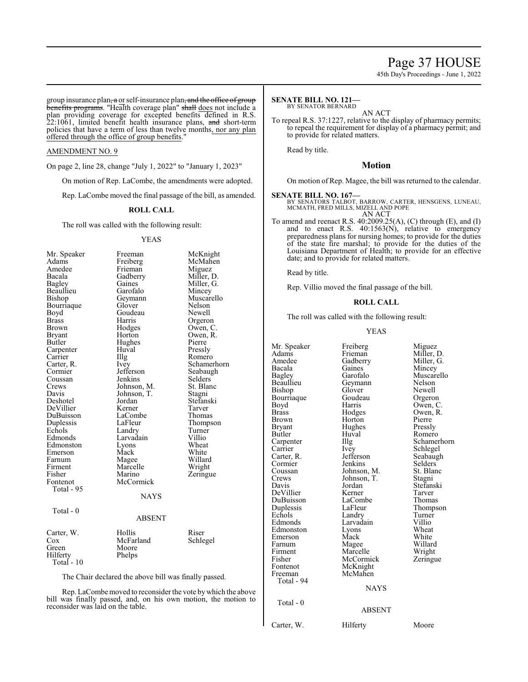45th Day's Proceedings - June 1, 2022

group insurance plan<del>, a</del> or self-insurance plan<del>, and the office of group</del> benefits programs. "Health coverage plan" shall does not include a plan providing coverage for excepted benefits defined in R.S. 22:1061, limited benefit health insurance plans, and short-term policies that have a term of less than twelve months, nor any plan offered through the office of group benefits."

#### AMENDMENT NO. 9

On page 2, line 28, change "July 1, 2022" to "January 1, 2023"

On motion of Rep. LaCombe, the amendments were adopted.

Rep. LaCombe moved the final passage of the bill, as amended.

#### **ROLL CALL**

The roll was called with the following result:

#### YEAS

| Mr. Speaker  | Freeman       | McKnight    |
|--------------|---------------|-------------|
| Adams        | Freiberg      | McMahen     |
| Amedee       | Frieman       | Miguez      |
| Bacala       | Gadberry      | Miller, D.  |
| Bagley       | Gaines        | Miller, G.  |
| Beaullieu    | Garofalo      | Mincey      |
| Bishop       | Geymann       | Muscarello  |
| Bourriaque   | Glover        | Nelson      |
| Boyd         | Goudeau       | Newell      |
| <b>Brass</b> | Harris        | Orgeron     |
| Brown        | Hodges        | Owen, C.    |
| Bryant       | Horton        | Owen, R.    |
| Butler       | Hughes        | Pierre      |
| Carpenter    | Huval         | Pressly     |
| Carrier      | Illg          | Romero      |
| Carter, R.   | Ivey          | Schamerhorn |
| Cormier      | Jefferson     | Seabaugh    |
| Coussan      | Jenkins       | Selders     |
| Crews        | Johnson, M.   | St. Blanc   |
| Davis        | Johnson, T.   | Stagni      |
| Deshotel     | Jordan        | Stefanski   |
| DeVillier    | Kerner        | Tarver      |
| DuBuisson    | LaCombe       | Thomas      |
| Duplessis    | LaFleur       | Thompson    |
| Echols       | Landry        | Turner      |
| Edmonds      | Larvadain     | Villio      |
| Edmonston    | Lyons         | Wheat       |
| Emerson      | Mack          | White       |
| Farnum       | Magee         | Willard     |
| Firment      | Marcelle      | Wright      |
| Fisher       | Marino        | Zeringue    |
| Fontenot     | McCormick     |             |
| Total - 95   |               |             |
|              | NAYS          |             |
| Total - 0    |               |             |
|              | <b>ABSENT</b> |             |
| Carter, W.   | Hollis        | Riser       |
| $\cos$       | McFarland     | Schlegel    |
| Green        | Moore         |             |
| Hilferty     | Phelps        |             |
| Total - 10   |               |             |

The Chair declared the above bill was finally passed.

Rep. LaCombemoved to reconsider the vote bywhich the above bill was finally passed, and, on his own motion, the motion to reconsider was laid on the table.

#### **SENATE BILL NO. 121—** BY SENATOR BERNARD

AN ACT

To repeal R.S. 37:1227, relative to the display of pharmacy permits; to repeal the requirement for display of a pharmacy permit; and to provide for related matters.

Read by title.

#### **Motion**

On motion of Rep. Magee, the bill was returned to the calendar.

#### **SENATE BILL NO. 167—**

BY SENATORS TALBOT, BARROW, CARTER, HENSGENS, LUNEAU, MCMATH, FRED MILLS, MIZELL AND POPE AN ACT

To amend and reenact R.S. 40:2009.25(A), (C) through (E), and (I) and to enact R.S. 40:1563(N), relative to emergency preparedness plans for nursing homes; to provide for the duties of the state fire marshal; to provide for the duties of the Louisiana Department of Health; to provide for an effective date; and to provide for related matters.

Read by title.

Rep. Villio moved the final passage of the bill.

#### **ROLL CALL**

The roll was called with the following result:

#### YEAS

| Mr. Speaker | Freiberg      | Miguez      |
|-------------|---------------|-------------|
| Adams       | Frieman       | Miller, D.  |
| Amedee      | Gadberry      | Miller, G.  |
| Bacala      | Gaines        | Mincey      |
| Bagley      | Garofalo      | Muscarello  |
| Beaullieu   | Geymann       | Nelson      |
| Bishop      | Glover        | Newell      |
| Bourriaque  | Goudeau       | Orgeron     |
| Boyd        | Harris        | Owen, C.    |
| Brass       | Hodges        | Owen, R.    |
| Brown       | Horton        | Pierre      |
| Bryant      | Hughes        | Pressly     |
| Butler      | Huval         | Romero      |
| Carpenter   | Illg          | Schamerhorn |
| Carrier     | Ivey          | Schlegel    |
| Carter, R.  | Jefferson     | Seabaugh    |
| Cormier     | Jenkins       | Selders     |
| Coussan     | Johnson, M.   | St. Blanc   |
| Crews       | Johnson, T.   | Stagni      |
| Davis       | Jordan        | Stefanski   |
| DeVillier   | Kerner        | Tarver      |
| DuBuisson   | LaCombe       | Thomas      |
| Duplessis   | LaFleur       | Thompson    |
| Echols      | Landry        | Turner      |
| Edmonds     | Larvadain     | Villio      |
| Edmonston   | Lyons         | Wheat       |
| Emerson     | Mack          | White       |
| Farnum      | Magee         | Willard     |
| Firment     | Marcelle      | Wright      |
| Fisher      | McCormick     | Zeringue    |
| Fontenot    | McKnight      |             |
| Freeman     | McMahen       |             |
| Total - 94  |               |             |
|             | <b>NAYS</b>   |             |
|             |               |             |
| Total - 0   | <b>ABSENT</b> |             |
|             |               |             |
| Carter, W.  | Hilferty      | Moore       |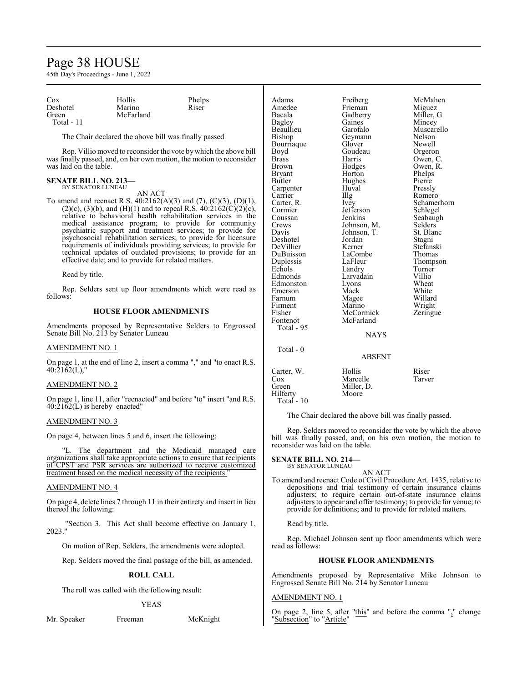# Page 38 HOUSE

45th Day's Proceedings - June 1, 2022

| Cox        | Hollis    | Phelps |  |
|------------|-----------|--------|--|
| Deshotel   | Marino    | Riser  |  |
| Green      | McFarland |        |  |
| Total - 11 |           |        |  |

The Chair declared the above bill was finally passed.

Rep. Villio moved to reconsider the vote by which the above bill was finally passed, and, on her own motion, the motion to reconsider was laid on the table.

#### **SENATE BILL NO. 213—** BY SENATOR LUNEAU

AN ACT

To amend and reenact R.S. 40:2162(A)(3) and (7), (C)(3), (D)(1), (2)(c), (3)(b), and (H)(1) and to repeal R.S.  $40:2162(C)(2)(c)$ , relative to behavioral health rehabilitation services in the medical assistance program; to provide for community psychiatric support and treatment services; to provide for psychosocial rehabilitation services; to provide for licensure requirements of individuals providing services; to provide for technical updates of outdated provisions; to provide for an effective date; and to provide for related matters.

Read by title.

Rep. Selders sent up floor amendments which were read as follows:

# **HOUSE FLOOR AMENDMENTS**

Amendments proposed by Representative Selders to Engrossed Senate Bill No. 213 by Senator Luneau

#### AMENDMENT NO. 1

On page 1, at the end of line 2, insert a comma "," and "to enact R.S.  $40:2162(L)$ ,"

#### AMENDMENT NO. 2

On page 1, line 11, after "reenacted" and before "to" insert "and R.S.  $40:\overline{2}1\overline{6}2(L)$  is hereby enacted"

#### AMENDMENT NO. 3

On page 4, between lines 5 and 6, insert the following:

The department and the Medicaid managed care organizations shall take appropriate actions to ensure that recipients of CPST and PSR services are authorized to receive customized treatment based on the medical necessity of the recipients."

#### AMENDMENT NO. 4

On page 4, delete lines 7 through 11 in their entirety and insert in lieu thereof the following:

"Section 3. This Act shall become effective on January 1, 2023."

On motion of Rep. Selders, the amendments were adopted.

Rep. Selders moved the final passage of the bill, as amended.

#### **ROLL CALL**

The roll was called with the following result:

#### YEAS

Mr. Speaker Freeman McKnight

| Adams<br>Amedee<br>Bacala<br>Bagley<br>Beaullieu<br>Bishop<br>Bourriaque<br>Boyd<br><b>Brass</b><br><b>Brown</b><br><b>Bryant</b><br>Butler<br>Carpenter<br>Carrier<br>Carter, R.<br>Cormier<br>Coussan<br>Crews<br>Davis | Freiberg<br>Frieman<br>Gadberry<br>Gaines<br>Garofalo<br>Geymann<br>Glover<br>Goudeau<br>Harris<br>Hodges<br>Horton<br>Hughes<br>Huval<br>Illg<br>Ivey<br>Jefferson<br>Jenkins<br>Johnson, M.<br>Johnson, T. | McMah<br>Miguez<br>Miller,<br>Mincey<br>Muscar<br>Nelson<br>Newell<br>Orgeror<br>Owen,<br>Owen, l<br>Phelps<br>Pierre<br>Pressly<br>Romerc<br>Schame<br>Schlege<br>Seabau<br>Selders<br>St. Blar |
|---------------------------------------------------------------------------------------------------------------------------------------------------------------------------------------------------------------------------|--------------------------------------------------------------------------------------------------------------------------------------------------------------------------------------------------------------|--------------------------------------------------------------------------------------------------------------------------------------------------------------------------------------------------|
|                                                                                                                                                                                                                           |                                                                                                                                                                                                              |                                                                                                                                                                                                  |
|                                                                                                                                                                                                                           |                                                                                                                                                                                                              |                                                                                                                                                                                                  |
|                                                                                                                                                                                                                           |                                                                                                                                                                                                              |                                                                                                                                                                                                  |
|                                                                                                                                                                                                                           |                                                                                                                                                                                                              |                                                                                                                                                                                                  |
|                                                                                                                                                                                                                           |                                                                                                                                                                                                              |                                                                                                                                                                                                  |
|                                                                                                                                                                                                                           |                                                                                                                                                                                                              |                                                                                                                                                                                                  |
|                                                                                                                                                                                                                           |                                                                                                                                                                                                              |                                                                                                                                                                                                  |
|                                                                                                                                                                                                                           |                                                                                                                                                                                                              |                                                                                                                                                                                                  |
|                                                                                                                                                                                                                           |                                                                                                                                                                                                              |                                                                                                                                                                                                  |
|                                                                                                                                                                                                                           |                                                                                                                                                                                                              |                                                                                                                                                                                                  |
|                                                                                                                                                                                                                           |                                                                                                                                                                                                              |                                                                                                                                                                                                  |
|                                                                                                                                                                                                                           |                                                                                                                                                                                                              |                                                                                                                                                                                                  |
|                                                                                                                                                                                                                           |                                                                                                                                                                                                              |                                                                                                                                                                                                  |
| Deshotel                                                                                                                                                                                                                  | Jordan                                                                                                                                                                                                       | Stagni                                                                                                                                                                                           |
| DeVillier                                                                                                                                                                                                                 | Kerner                                                                                                                                                                                                       | Stefansl                                                                                                                                                                                         |
| DuBuisson                                                                                                                                                                                                                 | LaCombe                                                                                                                                                                                                      | Thomas                                                                                                                                                                                           |
| Duplessis                                                                                                                                                                                                                 | LaFleur                                                                                                                                                                                                      | <b>Thomps</b>                                                                                                                                                                                    |
| Echols                                                                                                                                                                                                                    | Landry                                                                                                                                                                                                       | Turner                                                                                                                                                                                           |
| Edmonds                                                                                                                                                                                                                   | Larvadain                                                                                                                                                                                                    | Villio                                                                                                                                                                                           |
| Edmonston                                                                                                                                                                                                                 | Lyons                                                                                                                                                                                                        | Wheat                                                                                                                                                                                            |
| Emerson                                                                                                                                                                                                                   | Mack                                                                                                                                                                                                         | White                                                                                                                                                                                            |
| Farnum                                                                                                                                                                                                                    | Magee                                                                                                                                                                                                        | Willard                                                                                                                                                                                          |
| Firment                                                                                                                                                                                                                   | Marino                                                                                                                                                                                                       | Wright                                                                                                                                                                                           |
| Fisher                                                                                                                                                                                                                    | McCormick                                                                                                                                                                                                    | Zeringu                                                                                                                                                                                          |
| Fontenot                                                                                                                                                                                                                  | McFarland                                                                                                                                                                                                    |                                                                                                                                                                                                  |
| Total - 95                                                                                                                                                                                                                |                                                                                                                                                                                                              |                                                                                                                                                                                                  |
|                                                                                                                                                                                                                           | <b>NAYS</b>                                                                                                                                                                                                  |                                                                                                                                                                                                  |
| Total - 0                                                                                                                                                                                                                 |                                                                                                                                                                                                              |                                                                                                                                                                                                  |
|                                                                                                                                                                                                                           | <b>ABSENT</b>                                                                                                                                                                                                |                                                                                                                                                                                                  |
| Carter, W.                                                                                                                                                                                                                | Hollis                                                                                                                                                                                                       | Riser                                                                                                                                                                                            |
| Cox                                                                                                                                                                                                                       | Marcelle                                                                                                                                                                                                     | Tarver                                                                                                                                                                                           |
| Green                                                                                                                                                                                                                     | Miller, D.                                                                                                                                                                                                   |                                                                                                                                                                                                  |
| Hilferty                                                                                                                                                                                                                  | Moore                                                                                                                                                                                                        |                                                                                                                                                                                                  |

The Chair declared the above bill was finally passed.

Rep. Selders moved to reconsider the vote by which the above bill was finally passed, and, on his own motion, the motion to reconsider was laid on the table.

McMahen<br>Miguez

Miller, G. **Mincey** Muscarello<br>Nelson

Orgeron Owen, C. Owen, R. Phelps Pierre Pressly Romero Schamerhorn Schlegel Seabaugh Selders<sup>7</sup> St. Blanc<br>Stagni

Stefanski Thomas Thompson<br>Turner

Willard Wright Zeringue

# **SENATE BILL NO. 214—** BY SENATOR LUNEAU

Total - 10

AN ACT To amend and reenact Code of Civil Procedure Art. 1435, relative to depositions and trial testimony of certain insurance claims adjusters; to require certain out-of-state insurance claims adjusters to appear and offer testimony; to provide for venue; to provide for definitions; and to provide for related matters.

Read by title.

Rep. Michael Johnson sent up floor amendments which were read as follows:

#### **HOUSE FLOOR AMENDMENTS**

Amendments proposed by Representative Mike Johnson to Engrossed Senate Bill No. 214 by Senator Luneau

#### AMENDMENT NO. 1

On page 2, line 5, after " $\frac{this}{"}$ " and before the comma "," change "Subsection" to "Article"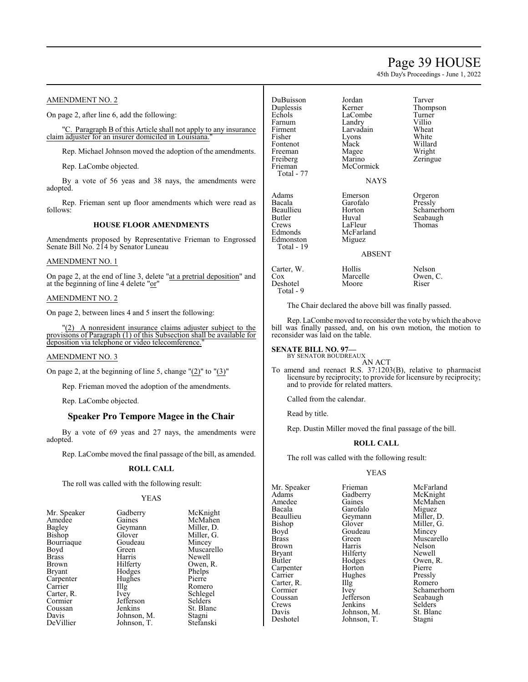# Page 39 HOUSE

45th Day's Proceedings - June 1, 2022

# AMENDMENT NO. 2

On page 2, after line 6, add the following:

"C. Paragraph B of this Article shall not apply to any insurance claim adjuster for an insurer domiciled in Louisiana.

Rep. Michael Johnson moved the adoption of the amendments.

Rep. LaCombe objected.

By a vote of 56 yeas and 38 nays, the amendments were adopted.

Rep. Frieman sent up floor amendments which were read as follows:

#### **HOUSE FLOOR AMENDMENTS**

Amendments proposed by Representative Frieman to Engrossed Senate Bill No. 214 by Senator Luneau

#### AMENDMENT NO. 1

On page 2, at the end of line 3, delete "at a pretrial deposition" and at the beginning of line 4 delete "or"

#### AMENDMENT NO. 2

On page 2, between lines 4 and 5 insert the following:

"(2) A nonresident insurance claims adjuster subject to the provisions of Paragraph (1) of this Subsection shall be available for deposition via telephone or video telecomference."

#### AMENDMENT NO. 3

On page 2, at the beginning of line 5, change  $"(2)"$  to  $"(3)"$ 

Rep. Frieman moved the adoption of the amendments.

Rep. LaCombe objected.

# **Speaker Pro Tempore Magee in the Chair**

By a vote of 69 yeas and 27 nays, the amendments were adopted.

Rep. LaCombe moved the final passage of the bill, as amended.

#### **ROLL CALL**

The roll was called with the following result:

#### YEAS

| Mr. Speaker   | Gadberry    | McKnight   |
|---------------|-------------|------------|
| Amedee        | Gaines      | McMahen    |
| Bagley        | Geymann     | Miller, D. |
| Bishop        | Glover      | Miller, G. |
| Bourriaque    | Goudeau     | Mincey     |
| Boyd          | Green       | Muscarello |
| <b>Brass</b>  | Harris      | Newell     |
| Brown         | Hilferty    | Owen, R.   |
| <b>Bryant</b> | Hodges      | Phelps     |
| Carpenter     | Hughes      | Pierre     |
| Carrier       | Illg        | Romero     |
| Carter, R.    | Ivey        | Schlegel   |
| Cormier       | Jefferson   | Selders    |
| Coussan       | Jenkins     | St. Blanc  |
| Davis         | Johnson, M. | Stagni     |
| DeVillier     | Johnson, T. | Stefanski  |
|               |             |            |

DuBuisson Jordan Tarver Duplessis Kerner Thomp<br>Echols LaCombe Turner Farnum Landry Villio<br>Firment Larvadain Wheat Firment Larvadain Wheat<br>
Fisher Lyons White Fontenot Mack Willard<br>
Freeman Magee Wright Freeman Magee<br>Freiberg Marino Freiberg Marino Zeringue<br>Frieman McCormick Zeringue Total - 77 Adams Emerson Orgeron<br>Bacala Garofalo Pressly Bacala Garofalo Pressly Beaullieu Horton Schamerhorn<br>Butler Huval Seabaugh Butler Huval Seabaugh<br>Crews LaFleur Thomas Crews LaFleur<br>Edmonds McFarla **Edmonston** Total - 19

Deshotel Total - 9 LaCombe Turner<br>
Landry Villio Lyons White<br>Mack Willard McCormick NAYS

### ABSENT

Carter, W. Hollis Nelson<br>
Cox Marcelle Owen, C. Marcelle Owen<br>
Moore Riser

McFarland<br>Miguez

The Chair declared the above bill was finally passed.

Rep. LaCombe moved to reconsider the vote bywhich the above bill was finally passed, and, on his own motion, the motion to reconsider was laid on the table.

# **SENATE BILL NO. 97—**

BY SENATOR BOUDREAUX AN ACT

To amend and reenact R.S. 37:1203(B), relative to pharmacist licensure by reciprocity; to provide for licensure by reciprocity; and to provide for related matters.

Called from the calendar.

Read by title.

Rep. Dustin Miller moved the final passage of the bill.

#### **ROLL CALL**

The roll was called with the following result:

Johnson, T.

### YEAS

Mr. Speaker Frieman McFarland<br>Adams Gadberry McKnight Adams Gadberry McKnight<br>Amedee Gaines McMahen Amedee Gaines McMahen<br>Bacala Garofalo Miguez Bacala Garofalo Miguez<br>Beaullieu Geymann Miller, D. Beaullieu Geymann<br>Bishop Glover Bishop Glover Miller, G.<br>Boyd Goudeau Mincey Boyd Goudeau<br>Brass Green Brass Green Muscarello Brown Harris Nelson<br>Bryant Hilferty Newell Bryant Hilferty<br>Butler Hodges Carpenter Horton Pierre<br>Carrier Hughes Pressly Carter, R. Illg Cormier Cormier Ivey Schamerhorn<br>Coussan Jefferson Seabaugh Coussan Jefferson Seabaugh<br>Crews Jenkins Selders Crews Jenkins Selders <br>Davis Johnson, M. St. Blanc Davis Johnson, M. St. Blanck<br>Deshotel Johnson, T. Stagni

Hodges Owen, R.<br>Horton Pierre Hughes Pressly<br>Illg Romero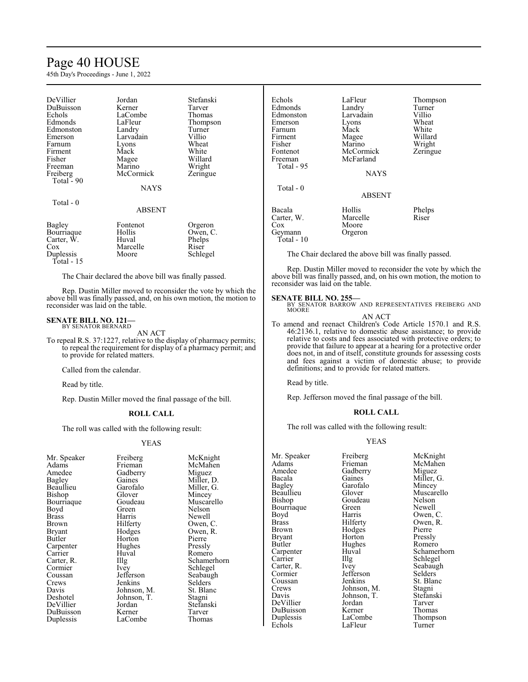# Page 40 HOUSE

45th Day's Proceedings - June 1, 2022

| DeVillier  | Jordan        | Stefanski |
|------------|---------------|-----------|
| DuBuisson  | Kerner        | Tarver    |
| Echols     | LaCombe       | Thomas    |
| Edmonds    | LaFleur       | Thompson  |
|            |               |           |
| Edmonston  | Landry        | Turner    |
| Emerson    | Larvadain     | Villio    |
| Farnum     | Lyons         | Wheat     |
| Firment    | Mack          | White     |
| Fisher     | Magee         | Willard   |
| Freeman    | Marino        | Wright    |
| Freiberg   | McCormick     | Zeringue  |
| Total - 90 |               |           |
|            |               |           |
|            | <b>NAYS</b>   |           |
|            |               |           |
| Total - 0  |               |           |
|            | <b>ABSENT</b> |           |
| Bagley     | Fontenot      | Orgeron   |
|            |               |           |
| Bourriaque | Hollis        | Owen, C.  |
| Carter, W. | Huval         | Phelps    |
| Cox        | Marcelle      | Riser     |
| Duplessis  | Moore         | Schlegel  |
| Total - 15 |               |           |

The Chair declared the above bill was finally passed.

Rep. Dustin Miller moved to reconsider the vote by which the above bill was finally passed, and, on his own motion, the motion to reconsider was laid on the table.

#### **SENATE BILL NO. 121—** BY SENATOR BERNARD

AN ACT

To repeal R.S. 37:1227, relative to the display of pharmacy permits; to repeal the requirement for display of a pharmacy permit; and to provide for related matters.

Called from the calendar.

Read by title.

Rep. Dustin Miller moved the final passage of the bill.

#### **ROLL CALL**

The roll was called with the following result:

#### YEAS

| Mr. Speaker   | Freiberg    | McKni        |
|---------------|-------------|--------------|
| Adams         | Frieman     | McMal        |
| Amedee        | Gadberry    | Miguez       |
| Bagley        | Gaines      | Miller,      |
| Beaullieu     | Garofalo    | Miller,      |
| Bishop        | Glover      | Mincey       |
| Bourriaque    | Goudeau     | Muscar       |
| Boyd          | Green       | Nelson       |
| <b>Brass</b>  | Harris      | Newell       |
| Brown         | Hilferty    | Owen,        |
| <b>Bryant</b> | Hodges      | Owen,        |
| Butler        | Horton      | Pierre       |
| Carpenter     | Hughes      | Pressly      |
| Carrier       | Huval       | <b>Romer</b> |
| Carter, R.    | $\prod$ llg | Scham        |
| Cormier       | Ivey        | Schlege      |
| Coussan       | Jefferson   | Seabau       |
| Crews         | Jenkins     | Selders      |
| Davis         | Johnson, M. | St. Blai     |
| Deshotel      | Johnson, T. | Stagni       |
| DeVillier     | Jordan      | Stefans      |
| DuBuisson     | Kerner      | Tarver       |
| Duplessis     | LaCombe     | Thoma        |
|               |             |              |

McKnight McMahen Miguez Miller, D. Miller, G. Mincey Muscarello<br>Nelson Owen, C. Owen, R. Pierre Pressly Romero Schamerhorn Schlegel Seabaugh Selders<sup>7</sup> St. Blanc Stagni Stefanski<br>Tarver Thomas

| Echols<br>Edmonds<br>Edmonston<br>Emerson<br>Farnum<br>Firment<br>Fisher<br>Fontenot<br>Freeman<br>Total - 95 | LaFleur<br>Landry<br>Larvadain<br>Lyons<br>Mack<br>Magee<br>Marino<br>McCormick<br>McFarland | Thompson<br>Turner<br>Villio<br>Wheat<br>White<br>Willard<br>Wright<br>Zeringue |
|---------------------------------------------------------------------------------------------------------------|----------------------------------------------------------------------------------------------|---------------------------------------------------------------------------------|
|                                                                                                               | <b>NAYS</b>                                                                                  |                                                                                 |
| Total $-0$                                                                                                    | <b>ABSENT</b>                                                                                |                                                                                 |
| Bacala<br>Carter, W.<br>$\cos$<br>Geymann<br>$Total - 10$                                                     | Hollis<br>Marcelle<br>Moore<br>Orgeron                                                       | Phelps<br>Riser                                                                 |

The Chair declared the above bill was finally passed.

Rep. Dustin Miller moved to reconsider the vote by which the above bill was finally passed, and, on his own motion, the motion to reconsider was laid on the table.

**SENATE BILL NO. 255—**<br>BY SENATOR BARROW AND REPRESENTATIVES FREIBERG AND MOORE

AN ACT

To amend and reenact Children's Code Article 1570.1 and R.S. 46:2136.1, relative to domestic abuse assistance; to provide relative to costs and fees associated with protective orders; to provide that failure to appear at a hearing for a protective order does not, in and of itself, constitute grounds for assessing costs and fees against a victim of domestic abuse; to provide definitions; and to provide for related matters.

Read by title.

Rep. Jefferson moved the final passage of the bill.

#### **ROLL CALL**

The roll was called with the following result:

#### YEAS

Mr. Speaker Freiberg McKnight<br>
Adams Frieman McMahen Amedee Gadberry<br>Bacala Gaines Bagley Garofalo<br>Beaullieu Glover Bourriaque Green<br>Boyd Harris Boyd Harris Owen, C.<br>Brass Hilferty Owen, R. Brass Hilferty Owen, R.<br>Brown Hodges Pierre Brown Hodges Pierre<br>Bryant Horton Pressly Bryant Horton Pressly<br>Butler Hughes Romero Butler Hughes<br>Carpenter Huval Carrier Illg Schlegel<br>Carter, R. Ivey Seabaugl Cormier Jefferson<br>Coussan Jenkins Coussan Jenkins St. Blanc<br>Crews Johnson, M. Stagni Crews Johnson, M. Stagni<br>
Davis Johnson, T. Stefanski DeVillier Jordan Tarver DuBuisson Kerner<br>Duplessis LaCombe

Goudeau Nelson<br>Green Newell Johnson, T. Stefans<br>Jordan Tarver LaFleur

Adams Frieman McMahen<br>Amedee Gadberry Miguez Bacala Gaines Miller, G.<br>Bagley Garofalo Mincey Beaulieu Glover Muscarello<br>Bishop Goudeau Nelson Carpenter Huval Schamerhorn<br>
Carrier Huval Schlegel<br>
Schlegel Carter, R. Ivey Seabaugh Duplessis LaCombe Thompson<br>
Echols LaFleur Turner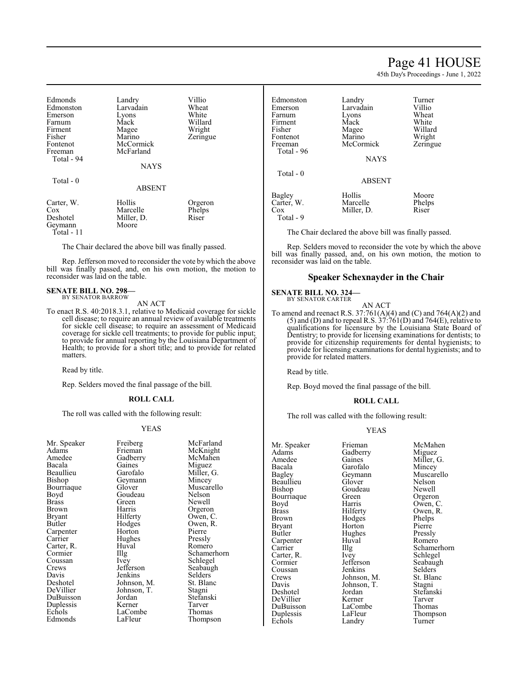# Page 41 HOUSE

45th Day's Proceedings - June 1, 2022

| Edmonds    | Landry        | Villio   |
|------------|---------------|----------|
| Edmonston  | Larvadain     | Wheat    |
| Emerson    | Lyons         | White    |
| Farnum     | Mack          | Willard  |
| Firment    | Magee         | Wright   |
| Fisher     | Marino        | Zeringue |
| Fontenot   | McCormick     |          |
| Freeman    | McFarland     |          |
| Total - 94 |               |          |
|            | <b>NAYS</b>   |          |
| Total - 0  |               |          |
|            | <b>ABSENT</b> |          |
| Carter, W. | Hollis        | Orgeron  |
| Cox        | Marcelle      | Phelps   |
| Deshotel   | Miller, D.    | Riser    |
| Geymann    | Moore         |          |
| Total - 11 |               |          |

The Chair declared the above bill was finally passed.

Rep. Jefferson moved to reconsider the vote by which the above bill was finally passed, and, on his own motion, the motion to reconsider was laid on the table.

#### **SENATE BILL NO. 298—** BY SENATOR BARROW

AN ACT

To enact R.S. 40:2018.3.1, relative to Medicaid coverage for sickle cell disease; to require an annual review of available treatments for sickle cell disease; to require an assessment of Medicaid coverage for sickle cell treatments; to provide for public input; to provide for annual reporting by the Louisiana Department of Health; to provide for a short title; and to provide for related matters.

Read by title.

Rep. Selders moved the final passage of the bill.

#### **ROLL CALL**

The roll was called with the following result:

#### YEAS

| Freiberg    | McFarland  |
|-------------|------------|
| Frieman     | McKnight   |
| Gadberry    | McMahen    |
| Gaines      | Miguez     |
| Garofalo    | Miller, G. |
| Geymann     | Mincey     |
| Glover      | Muscarello |
| Goudeau     | Nelson     |
| Green       | Newell     |
| Harris      | Orgeron    |
| Hilferty    | Owen, C.   |
| Hodges      | Owen, R.   |
| Horton      | Pierre     |
| Hughes      | Pressly    |
| Huval       | Romero     |
|             | Schamerho: |
| Ivey        | Schlegel   |
| Jefferson   | Seabaugh   |
| Jenkins     | Selders    |
| Johnson, M. | St. Blanc  |
| Johnson, T. | Stagni     |
| Jordan      | Stefanski  |
| Kerner      | Tarver     |
| LaCombe     | Thomas     |
| LaFleur     | Thompson   |
|             | Illg       |

Schamerhorn Thompson

| Edmonston<br>Emerson<br>Farnum<br>Firment<br>Fisher<br>Fontenot<br>Freeman<br>Total - 96 | Landry<br>Larvadain<br>Lyons<br>Mack<br>Magee<br>Marino<br>McCormick<br><b>NAYS</b> | Turner<br>Villio<br>Wheat<br>White<br>Willard<br>Wright<br>Zeringue |
|------------------------------------------------------------------------------------------|-------------------------------------------------------------------------------------|---------------------------------------------------------------------|
| Total $-0$                                                                               | <b>ABSENT</b>                                                                       |                                                                     |
| Bagley<br>Carter, W.<br>Cox<br>Total - 9                                                 | Hollis<br>Marcelle<br>Miller, D.                                                    | Moore<br>Phelps<br>Riser                                            |

The Chair declared the above bill was finally passed.

Rep. Selders moved to reconsider the vote by which the above bill was finally passed, and, on his own motion, the motion to reconsider was laid on the table.

#### **Speaker Schexnayder in the Chair**

#### **SENATE BILL NO. 324—**

BY SENATOR CARTER

AN ACT To amend and reenact R.S. 37:761(A)(4) and (C) and 764(A)(2) and  $(5)$  and  $(D)$  and to repeal R.S.  $37:761(D)$  and  $764(E)$ , relative to qualifications for licensure by the Louisiana State Board of Dentistry; to provide for licensing examinations for dentists; to provide for citizenship requirements for dental hygienists; to provide for licensing examinations for dental hygienists; and to provide for related matters.

Read by title.

Rep. Boyd moved the final passage of the bill.

#### **ROLL CALL**

The roll was called with the following result:

#### YEAS

| Mr. Speaker  | Frieman     | McMahen     |
|--------------|-------------|-------------|
| Adams        | Gadberry    | Miguez      |
| Amedee       | Gaines      | Miller, G.  |
| Bacala       | Garofalo    | Mincey      |
| Bagley       | Geymann     | Muscarello  |
| Beaullieu    | Glover      | Nelson      |
| Bishop       | Goudeau     | Newell      |
| Bourriaque   | Green       | Orgeron     |
| Boyd         | Harris      | Owen, C.    |
| <b>Brass</b> | Hilferty    | Owen, R.    |
| Brown        | Hodges      | Phelps      |
| Bryant       | Horton      | Pierre      |
| Butler       | Hughes      | Pressly     |
| Carpenter    | Huval       | Romero      |
| Carrier      | Illg        | Schamerhorn |
| Carter, R.   | Ivey        | Schlegel    |
| Cormier      | Jefferson   | Seabaugh    |
| Coussan      | Jenkins     | Selders     |
| Crews        | Johnson, M. | St. Blanc   |
| Davis        | Johnson, T. | Stagni      |
| Deshotel     | Jordan      | Stefanski   |
| DeVillier    | Kerner      | Tarver      |
| DuBuisson    | LaCombe     | Thomas      |
| Duplessis    | LaFleur     | Thompson    |
| Echols       | Landry      | Turner      |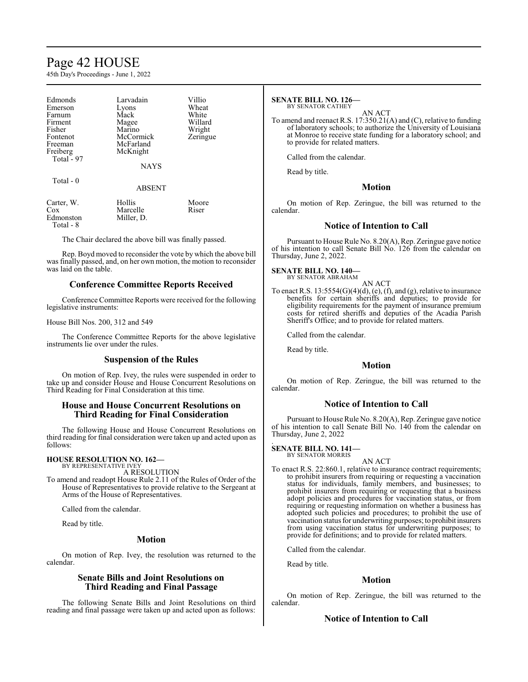# Page 42 HOUSE

45th Day's Proceedings - June 1, 2022

| Edmonds     | Larvadain     | Villio   |
|-------------|---------------|----------|
| Emerson     | Lyons         | Wheat    |
| Farnum      | Mack          | White    |
| Firment     | Magee         | Willard  |
| Fisher      | Marino        | Wright   |
| Fontenot    | McCormick     | Zeringue |
| Freeman     | McFarland     |          |
| Freiberg    | McKnight      |          |
| Total $-97$ |               |          |
|             | <b>NAYS</b>   |          |
| Total $-0$  |               |          |
|             | <b>ABSENT</b> |          |
| Carter, W.  | Hollis        | Moore    |
| Cox         | Marcelle      | Riser    |

Edmonston Miller, D. Total - 8

The Chair declared the above bill was finally passed.

Rep. Boyd moved to reconsider the vote by which the above bill was finally passed, and, on her own motion, the motion to reconsider was laid on the table.

# **Conference Committee Reports Received**

Conference Committee Reports were received for the following legislative instruments:

House Bill Nos. 200, 312 and 549

The Conference Committee Reports for the above legislative instruments lie over under the rules.

### **Suspension of the Rules**

On motion of Rep. Ivey, the rules were suspended in order to take up and consider House and House Concurrent Resolutions on Third Reading for Final Consideration at this time.

# **House and House Concurrent Resolutions on Third Reading for Final Consideration**

The following House and House Concurrent Resolutions on third reading for final consideration were taken up and acted upon as follows:

#### **HOUSE RESOLUTION NO. 162—** BY REPRESENTATIVE IVEY

A RESOLUTION

To amend and readopt House Rule 2.11 of the Rules of Order of the House of Representatives to provide relative to the Sergeant at Arms of the House of Representatives.

Called from the calendar.

Read by title.

### **Motion**

On motion of Rep. Ivey, the resolution was returned to the calendar.

## **Senate Bills and Joint Resolutions on Third Reading and Final Passage**

The following Senate Bills and Joint Resolutions on third reading and final passage were taken up and acted upon as follows:

#### **SENATE BILL NO. 126—** BY SENATOR CATHEY

AN ACT

To amend and reenact R.S. 17:350.21(A) and (C), relative to funding of laboratory schools; to authorize the University of Louisiana at Monroe to receive state funding for a laboratory school; and to provide for related matters.

Called from the calendar.

Read by title.

# **Motion**

On motion of Rep. Zeringue, the bill was returned to the calendar.

# **Notice of Intention to Call**

Pursuant to House Rule No. 8.20(A), Rep. Zeringue gave notice of his intention to call Senate Bill No. 126 from the calendar on Thursday, June 2, 2022.

**SENATE BILL NO. 140—** BY SENATOR ABRAHAM

AN ACT

To enact R.S.  $13:5554(G)(4)(d)$ , (e), (f), and (g), relative to insurance benefits for certain sheriffs and deputies; to provide for eligibility requirements for the payment of insurance premium costs for retired sheriffs and deputies of the Acadia Parish Sheriff's Office; and to provide for related matters.

Called from the calendar.

Read by title.

# **Motion**

On motion of Rep. Zeringue, the bill was returned to the calendar.

# **Notice of Intention to Call**

Pursuant to House Rule No. 8.20(A), Rep. Zeringue gave notice of his intention to call Senate Bill No. 140 from the calendar on Thursday, June 2, 2022 .

**SENATE BILL NO. 141—** BY SENATOR MORRIS

AN ACT

To enact R.S. 22:860.1, relative to insurance contract requirements; to prohibit insurers from requiring or requesting a vaccination status for individuals, family members, and businesses; to prohibit insurers from requiring or requesting that a business adopt policies and procedures for vaccination status, or from requiring or requesting information on whether a business has adopted such policies and procedures; to prohibit the use of vaccination status for underwriting purposes; to prohibit insurers from using vaccination status for underwriting purposes; to provide for definitions; and to provide for related matters.

Called from the calendar.

Read by title.

# **Motion**

On motion of Rep. Zeringue, the bill was returned to the calendar.

# **Notice of Intention to Call**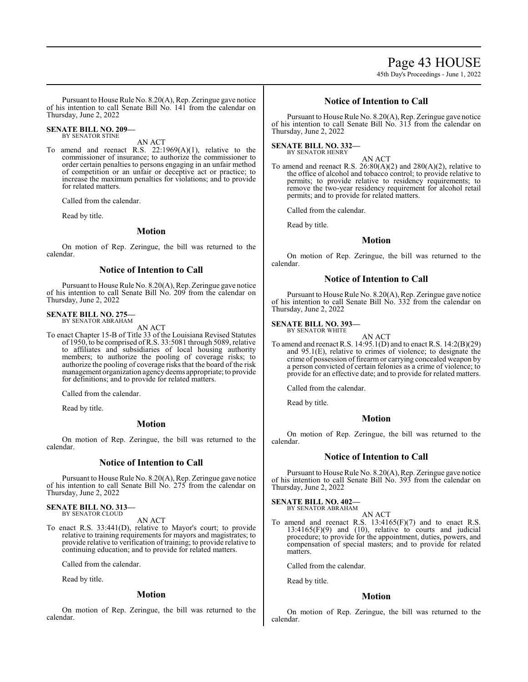Page 43 HOUSE

45th Day's Proceedings - June 1, 2022

Pursuant to House Rule No. 8.20(A), Rep. Zeringue gave notice of his intention to call Senate Bill No. 141 from the calendar on Thursday, June 2, 2022

#### **SENATE BILL NO. 209—** BY SENATOR STINE

AN ACT

To amend and reenact R.S. 22:1969(A)(1), relative to the commissioner of insurance; to authorize the commissioner to order certain penalties to persons engaging in an unfair method of competition or an unfair or deceptive act or practice; to increase the maximum penalties for violations; and to provide for related matters.

Called from the calendar.

Read by title.

#### **Motion**

On motion of Rep. Zeringue, the bill was returned to the calendar.

### **Notice of Intention to Call**

Pursuant to House Rule No. 8.20(A), Rep. Zeringue gave notice of his intention to call Senate Bill No. 209 from the calendar on Thursday, June 2, 2022

# **SENATE BILL NO. 275—** BY SENATOR ABRAHAM

AN ACT

To enact Chapter 15-B of Title 33 of the Louisiana Revised Statutes of 1950, to be comprised ofR.S. 33:5081 through 5089, relative to affiliates and subsidiaries of local housing authority members; to authorize the pooling of coverage risks; to authorize the pooling of coverage risks that the board of the risk management organization agencydeems appropriate; to provide for definitions; and to provide for related matters.

Called from the calendar.

Read by title.

# **Motion**

On motion of Rep. Zeringue, the bill was returned to the calendar.

# **Notice of Intention to Call**

Pursuant to House Rule No. 8.20(A), Rep. Zeringue gave notice of his intention to call Senate Bill No. 275 from the calendar on Thursday, June 2, 2022

#### **SENATE BILL NO. 313—** BY SENATOR CLOUD

AN ACT

To enact R.S. 33:441(D), relative to Mayor's court; to provide relative to training requirements for mayors and magistrates; to provide relative to verification of training; to provide relative to continuing education; and to provide for related matters.

Called from the calendar.

Read by title.

#### **Motion**

On motion of Rep. Zeringue, the bill was returned to the calendar.

## **Notice of Intention to Call**

Pursuant to House Rule No. 8.20(A), Rep. Zeringue gave notice of his intention to call Senate Bill No. 313 from the calendar on Thursday, June 2, 2022

# **SENATE BILL NO. 332—** BY SENATOR HENRY

AN ACT

To amend and reenact R.S.  $26:80(A)(2)$  and  $280(A)(2)$ , relative to the office of alcohol and tobacco control; to provide relative to permits; to provide relative to residency requirements; to remove the two-year residency requirement for alcohol retail permits; and to provide for related matters.

Called from the calendar.

Read by title.

#### **Motion**

On motion of Rep. Zeringue, the bill was returned to the calendar.

#### **Notice of Intention to Call**

Pursuant to House Rule No. 8.20(A), Rep. Zeringue gave notice of his intention to call Senate Bill No. 332 from the calendar on Thursday, June 2, 2022

#### **SENATE BILL NO. 393—**

BY SENATOR WHITE

AN ACT To amend and reenact R.S. 14:95.1(D) and to enact R.S. 14:2(B)(29) and 95.1(E), relative to crimes of violence; to designate the crime of possession of firearm or carrying concealed weapon by a person convicted of certain felonies as a crime of violence; to provide for an effective date; and to provide for related matters.

Called from the calendar.

Read by title.

# **Motion**

On motion of Rep. Zeringue, the bill was returned to the calendar.

#### **Notice of Intention to Call**

Pursuant to House Rule No. 8.20(A), Rep. Zeringue gave notice of his intention to call Senate Bill No. 393 from the calendar on Thursday, June 2, 2022

**SENATE BILL NO. 402—**

BY SENATOR ABRAHAM AN ACT

To amend and reenact R.S.  $13:4165(F)(7)$  and to enact R.S.  $13:4165(F)(9)$  and  $(10)$ , relative to courts and judicial procedure; to provide for the appointment, duties, powers, and compensation of special masters; and to provide for related matters.

Called from the calendar.

Read by title.

#### **Motion**

On motion of Rep. Zeringue, the bill was returned to the calendar.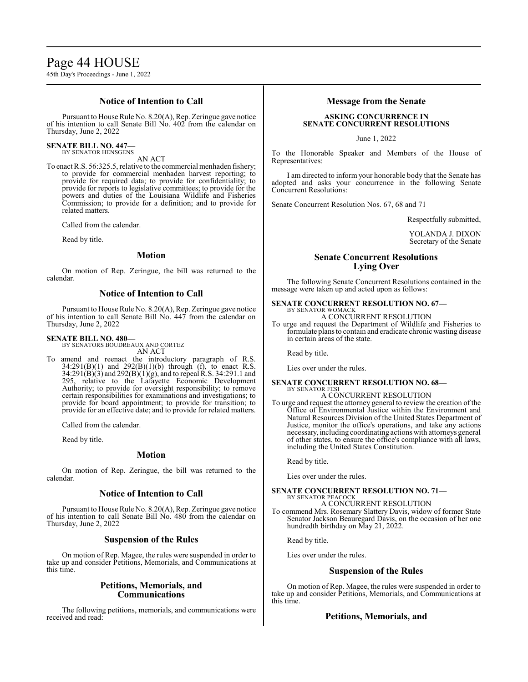# Page 44 HOUSE

45th Day's Proceedings - June 1, 2022

## **Notice of Intention to Call**

Pursuant to House Rule No. 8.20(A), Rep. Zeringue gave notice of his intention to call Senate Bill No. 402 from the calendar on Thursday, June 2, 2022

#### **SENATE BILL NO. 447—** BY SENATOR HENSGENS

AN ACT

To enact R.S. 56:325.5, relative to the commercial menhaden fishery; to provide for commercial menhaden harvest reporting; to provide for required data; to provide for confidentiality; to provide for reports to legislative committees; to provide for the powers and duties of the Louisiana Wildlife and Fisheries Commission; to provide for a definition; and to provide for related matters.

Called from the calendar.

Read by title.

#### **Motion**

On motion of Rep. Zeringue, the bill was returned to the calendar.

## **Notice of Intention to Call**

Pursuant to House Rule No. 8.20(A), Rep. Zeringue gave notice of his intention to call Senate Bill No. 447 from the calendar on Thursday, June 2, 2022

#### **SENATE BILL NO. 480—**

BY SENATORS BOUDREAUX AND CORTEZ AN ACT

To amend and reenact the introductory paragraph of R.S.  $34:291(B)(1)$  and  $292(B)(1)(b)$  through (f), to enact R.S. 34:291(B)(3) and 292(B)(1)(g), and to repeal R.S. 34:291.1 and 295, relative to the Lafayette Economic Development Authority; to provide for oversight responsibility; to remove certain responsibilities for examinations and investigations; to provide for board appointment; to provide for transition; to provide for an effective date; and to provide for related matters.

Called from the calendar.

Read by title.

#### **Motion**

On motion of Rep. Zeringue, the bill was returned to the calendar.

### **Notice of Intention to Call**

Pursuant to House Rule No. 8.20(A), Rep. Zeringue gave notice of his intention to call Senate Bill No. 480 from the calendar on Thursday, June 2, 2022

### **Suspension of the Rules**

On motion of Rep. Magee, the rules were suspended in order to take up and consider Petitions, Memorials, and Communications at this time.

# **Petitions, Memorials, and Communications**

The following petitions, memorials, and communications were received and read:

### **Message from the Senate**

# **ASKING CONCURRENCE IN SENATE CONCURRENT RESOLUTIONS**

June 1, 2022

To the Honorable Speaker and Members of the House of Representatives:

I am directed to inform your honorable body that the Senate has adopted and asks your concurrence in the following Senate Concurrent Resolutions:

Senate Concurrent Resolution Nos. 67, 68 and 71

Respectfully submitted,

YOLANDA J. DIXON Secretary of the Senate

# **Senate Concurrent Resolutions Lying Over**

The following Senate Concurrent Resolutions contained in the message were taken up and acted upon as follows:

#### **SENATE CONCURRENT RESOLUTION NO. 67—** BY SENATOR WOMACK

A CONCURRENT RESOLUTION

To urge and request the Department of Wildlife and Fisheries to formulate plans to contain and eradicate chronic wasting disease in certain areas of the state.

Read by title.

Lies over under the rules.

#### **SENATE CONCURRENT RESOLUTION NO. 68—** BY SENATOR FESI

A CONCURRENT RESOLUTION

To urge and request the attorney general to review the creation of the Office of Environmental Justice within the Environment and Natural Resources Division of the United States Department of Justice, monitor the office's operations, and take any actions necessary,including coordinating actions with attorneys general of other states, to ensure the office's compliance with all laws, including the United States Constitution.

Read by title.

Lies over under the rules.

#### **SENATE CONCURRENT RESOLUTION NO. 71—** BY SENATOR PEACOCK

A CONCURRENT RESOLUTION

To commend Mrs. Rosemary Slattery Davis, widow of former State Senator Jackson Beauregard Davis, on the occasion of her one hundredth birthday on May 21, 2022.

Read by title.

Lies over under the rules.

# **Suspension of the Rules**

On motion of Rep. Magee, the rules were suspended in order to take up and consider Petitions, Memorials, and Communications at this time.

## **Petitions, Memorials, and**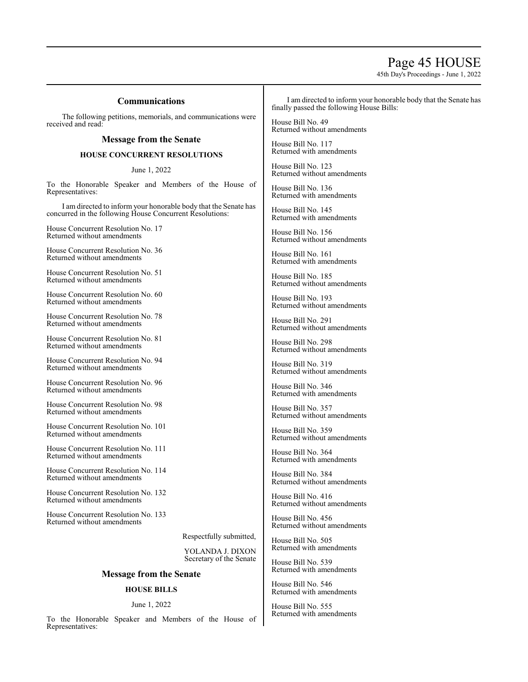# Page 45 HOUSE

45th Day's Proceedings - June 1, 2022

# **Communications**

The following petitions, memorials, and communications were received and read:

### **Message from the Senate**

### **HOUSE CONCURRENT RESOLUTIONS**

June 1, 2022

To the Honorable Speaker and Members of the House of Representatives:

I am directed to inform your honorable body that the Senate has concurred in the following House Concurrent Resolutions:

House Concurrent Resolution No. 17 Returned without amendments

House Concurrent Resolution No. 36 Returned without amendments

House Concurrent Resolution No. 51 Returned without amendments

House Concurrent Resolution No. 60 Returned without amendments

House Concurrent Resolution No. 78 Returned without amendments

House Concurrent Resolution No. 81 Returned without amendments

House Concurrent Resolution No. 94 Returned without amendments

House Concurrent Resolution No. 96 Returned without amendments

House Concurrent Resolution No. 98 Returned without amendments

House Concurrent Resolution No. 101 Returned without amendments

House Concurrent Resolution No. 111 Returned without amendments

House Concurrent Resolution No. 114 Returned without amendments

House Concurrent Resolution No. 132 Returned without amendments

House Concurrent Resolution No. 133 Returned without amendments

Respectfully submitted,

YOLANDA J. DIXON Secretary of the Senate

### **Message from the Senate**

### **HOUSE BILLS**

#### June 1, 2022

To the Honorable Speaker and Members of the House of Representatives:

I am directed to inform your honorable body that the Senate has finally passed the following House Bills:

House Bill No. 49 Returned without amendments

House Bill No. 117 Returned with amendments

House Bill No. 123 Returned without amendments

House Bill No. 136 Returned with amendments

House Bill No. 145 Returned with amendments

House Bill No. 156 Returned without amendments

House Bill No. 161 Returned with amendments

House Bill No. 185 Returned without amendments

House Bill No. 193 Returned without amendments

House Bill No. 291 Returned without amendments

House Bill No. 298 Returned without amendments

House Bill No. 319 Returned without amendments

House Bill No. 346 Returned with amendments

House Bill No. 357 Returned without amendments

House Bill No. 359 Returned without amendments

House Bill No. 364 Returned with amendments

House Bill No. 384 Returned without amendments

House Bill No. 416 Returned without amendments

House Bill No. 456 Returned without amendments

House Bill No. 505 Returned with amendments

House Bill No. 539 Returned with amendments

House Bill No. 546 Returned with amendments

House Bill No. 555 Returned with amendments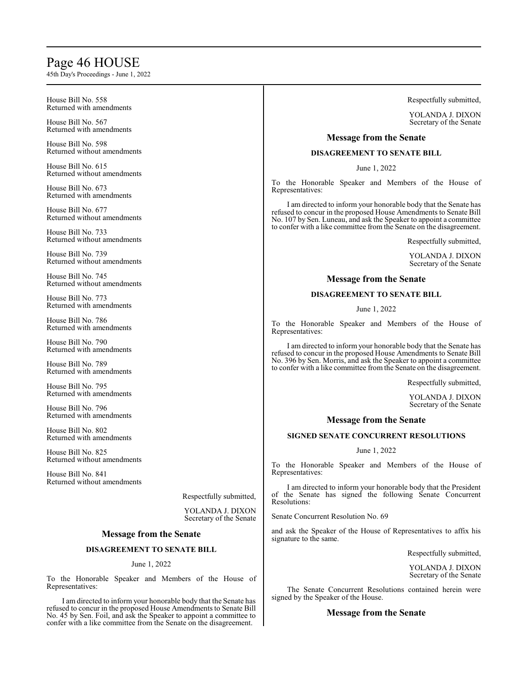# Page 46 HOUSE

45th Day's Proceedings - June 1, 2022

House Bill No. 558 Returned with amendments House Bill No. 567 Returned with amendments House Bill No. 598 Returned without amendments House Bill No. 615 Returned without amendments House Bill No. 673 Returned with amendments House Bill No. 677 Returned without amendments House Bill No. 733 Returned without amendments House Bill No. 739 Returned without amendments House Bill No. 745 Returned without amendments House Bill No. 773 Returned with amendments House Bill No. 786 Returned with amendments House Bill No. 790 Returned with amendments House Bill No. 789 Returned with amendments House Bill No. 795 Returned with amendments House Bill No. 796 Returned with amendments House Bill No. 802 Returned with amendments Representatives: Representatives:

House Bill No. 825 Returned without amendments

House Bill No. 841 Returned without amendments

Respectfully submitted,

YOLANDA J. DIXON Secretary of the Senate

# **Message from the Senate**

# **DISAGREEMENT TO SENATE BILL**

### June 1, 2022

To the Honorable Speaker and Members of the House of Representatives:

I am directed to inform your honorable body that the Senate has refused to concur in the proposed House Amendments to Senate Bill No. 45 by Sen. Foil, and ask the Speaker to appoint a committee to confer with a like committee from the Senate on the disagreement.

Respectfully submitted,

YOLANDA J. DIXON Secretary of the Senate

# **Message from the Senate**

# **DISAGREEMENT TO SENATE BILL**

June 1, 2022

To the Honorable Speaker and Members of the House of

I am directed to inform your honorable body that the Senate has refused to concur in the proposed House Amendments to Senate Bill No. 107 by Sen. Luneau, and ask the Speaker to appoint a committee to confer with a like committee from the Senate on the disagreement.

Respectfully submitted,

YOLANDA J. DIXON Secretary of the Senate

# **Message from the Senate**

# **DISAGREEMENT TO SENATE BILL**

June 1, 2022

To the Honorable Speaker and Members of the House of

I am directed to inform your honorable body that the Senate has refused to concur in the proposed House Amendments to Senate Bill No. 396 by Sen. Morris, and ask the Speaker to appoint a committee to confer with a like committee from the Senate on the disagreement.

Respectfully submitted,

YOLANDA J. DIXON Secretary of the Senate

# **Message from the Senate**

# **SIGNED SENATE CONCURRENT RESOLUTIONS**

#### June 1, 2022

To the Honorable Speaker and Members of the House of Representatives:

I am directed to inform your honorable body that the President of the Senate has signed the following Senate Concurrent Resolutions:

Senate Concurrent Resolution No. 69

and ask the Speaker of the House of Representatives to affix his signature to the same.

Respectfully submitted,

YOLANDA J. DIXON Secretary of the Senate

The Senate Concurrent Resolutions contained herein were signed by the Speaker of the House.

### **Message from the Senate**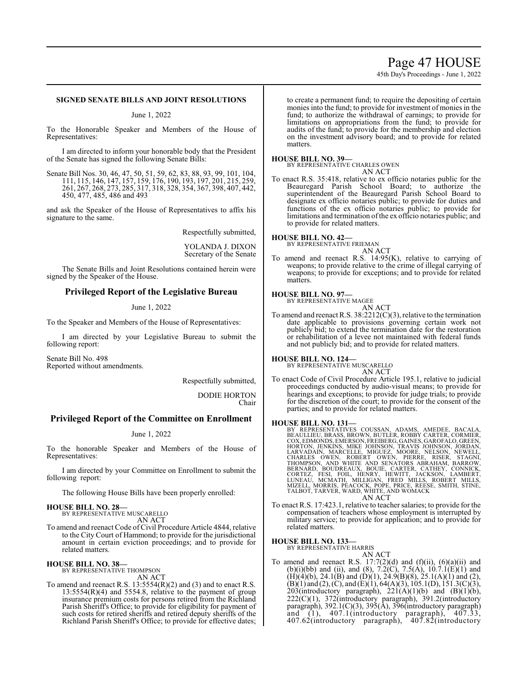# Page 47 HOUSE

45th Day's Proceedings - June 1, 2022

# **SIGNED SENATE BILLS AND JOINT RESOLUTIONS**

June 1, 2022

To the Honorable Speaker and Members of the House of Representatives:

I am directed to inform your honorable body that the President of the Senate has signed the following Senate Bills:

Senate Bill Nos. 30, 46, 47, 50, 51, 59, 62, 83, 88, 93, 99, 101, 104, 111, 115, 146, 147, 157, 159, 176, 190, 193, 197, 201, 215, 259, 261, 267, 268, 273, 285, 317, 318, 328, 354, 367, 398, 407, 442, 450, 477, 485, 486 and 493

and ask the Speaker of the House of Representatives to affix his signature to the same.

Respectfully submitted,

YOLANDA J. DIXON Secretary of the Senate

The Senate Bills and Joint Resolutions contained herein were signed by the Speaker of the House.

### **Privileged Report of the Legislative Bureau**

June 1, 2022

To the Speaker and Members of the House of Representatives:

I am directed by your Legislative Bureau to submit the following report:

Senate Bill No. 498 Reported without amendments.

Respectfully submitted,

DODIE HORTON Chair

# **Privileged Report of the Committee on Enrollment**

#### June 1, 2022

To the honorable Speaker and Members of the House of Representatives:

I am directed by your Committee on Enrollment to submit the following report:

The following House Bills have been properly enrolled:

#### **HOUSE BILL NO. 28—**

BY REPRESENTATIVE MUSCARELLO AN ACT

To amend and reenact Code of Civil Procedure Article 4844, relative to the City Court of Hammond; to provide for the jurisdictional amount in certain eviction proceedings; and to provide for related matters.

#### **HOUSE BILL NO. 38—** BY REPRESENTATIVE THOMPSON

AN ACT

To amend and reenact R.S. 13:5554(R)(2) and (3) and to enact R.S. 13:5554(R)(4) and 5554.8, relative to the payment of group insurance premium costs for persons retired from the Richland Parish Sheriff's Office; to provide for eligibility for payment of such costs for retired sheriffs and retired deputy sheriffs of the Richland Parish Sheriff's Office; to provide for effective dates; to create a permanent fund; to require the depositing of certain monies into the fund; to provide for investment of monies in the fund; to authorize the withdrawal of earnings; to provide for limitations on appropriations from the fund; to provide for audits of the fund; to provide for the membership and election on the investment advisory board; and to provide for related matters.

#### **HOUSE BILL NO. 39—**

BY REPRESENTATIVE CHARLES OWEN AN ACT

To enact R.S. 35:418, relative to ex officio notaries public for the Beauregard Parish School Board; to authorize the superintendent of the Beauregard Parish School Board to designate ex officio notaries public; to provide for duties and functions of the ex officio notaries public; to provide for limitations and termination of the ex officio notaries public; and to provide for related matters.

**HOUSE BILL NO. 42—** BY REPRESENTATIVE FRIEMAN AN ACT

To amend and reenact R.S. 14:95(K), relative to carrying of weapons; to provide relative to the crime of illegal carrying of weapons; to provide for exceptions; and to provide for related matters.

#### **HOUSE BILL NO. 97—**

BY REPRESENTATIVE MAGEE AN ACT

To amend and reenact R.S. 38:2212(C)(3), relative to the termination date applicable to provisions governing certain work not publicly bid; to extend the termination date for the restoration or rehabilitation of a levee not maintained with federal funds and not publicly bid; and to provide for related matters.

**HOUSE BILL NO. 124—**

#### BY REPRESENTATIVE MUSCARELLO AN ACT

To enact Code of Civil Procedure Article 195.1, relative to judicial proceedings conducted by audio-visual means; to provide for hearings and exceptions; to provide for judge trials; to provide for the discretion of the court; to provide for the consent of the parties; and to provide for related matters.

HOUSE BILL NO. 131—<br>
BY REPRESENTATIVES COUSSAN, ADAMS, AMEDEE, BACALA,<br>
BEAULLIEU, BRASS, BROWN, BUTLER, ROBBY CARTER, CORMIER,<br>
COX, EDMONDS, EMERSON, FREIBERG, GAINES, GAROFALO, GREEN,<br>
HORTON, JENKINS, MIKE JOHNSON, TR

To enact R.S. 17:423.1, relative to teacher salaries; to provide for the compensation of teachers whose employment is interrupted by military service; to provide for application; and to provide for related matters.

# **HOUSE BILL NO. 133—** BY REPRESENTATIVE HARRIS

AN ACT To amend and reenact R.S.  $17:7(2)(d)$  and  $(f)(ii)$ ,  $(6)(a)(ii)$  and (b)(i)(bb) and (ii), and (8), 7.2(C), 7.5(A), 10.7.1(E)(1) and  $(H)(4)(b)$ , 24.1 $(B)$  and  $(D)(1)$ , 24.9 $(B)(8)$ , 25.1 $(A)(1)$  and  $(2)$ ,  $(B)(1)$  and  $(2)$ ,  $(C)$ , and  $(E)(1)$ , 64(A)(3), 105.1(D), 151.3(C)(3), 203(introductory paragraph),  $221(A)(1)(b)$  and  $(B)(1)(b)$ , 222(C)(1), 372(introductory paragraph), 391.2(introductory paragraph), 392.1(C)(3), 395(A), 396(introductory paragraph) and (1), 407.1(introductory paragraph), 407.33, 407.62(introductory paragraph), 407.82(introductory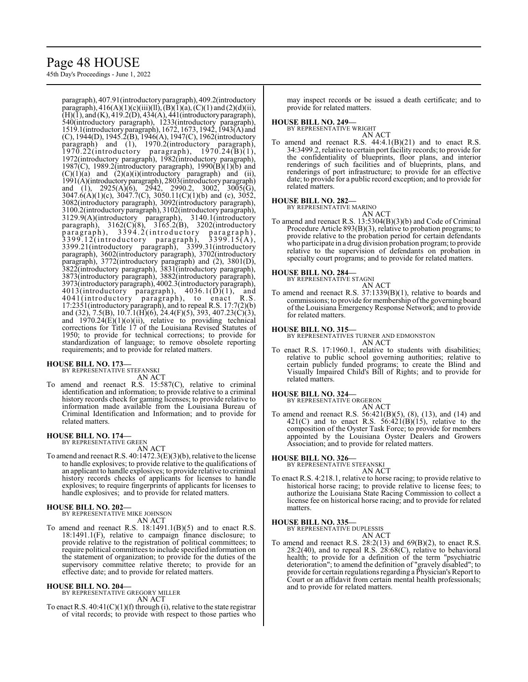# Page 48 HOUSE

45th Day's Proceedings - June 1, 2022

paragraph), 407.91(introductory paragraph), 409.2(introductory paragraph),  $416(A)(1)(c)(iii)(ll), (B)(1)(a), (C)(1)$  and  $(2)(d)(ii),$  $(H)(\overline{1})$ , and  $(K)$ , 419.2(D), 434(A), 441(introductory paragraph), 540(introductory paragraph), 1233(introductory paragraph), 1519.1(introductory paragraph), 1672, 1673, 1942, 1943(A) and (C), 1944(D), 1945.2(B), 1946(A), 1947(C), 1962(introductory paragraph) and (1), 1970.2(introductory paragraph),  $1970.22$ (introductory paragraph),  $1970.24(B)(1)$ , 1972(introductory paragraph), 1982(introductory paragraph), 1987(C), 1989.2(introductory paragraph), 1990( $\overline{B}(1)$ ( $\overline{b}$ ) and  $(C)(1)(a)$  and  $(2)(a)(i)(introducing) paragnaph)$  and  $(ii)$ , 1991(A)(introductoryparagraph), 2803(introductory paragraph) and (1), 2925(A)(6), 2942, 2990.2, 3002, 3005(G), 3047.6(A)(1)(c), 3047.7(C), 3050.11(C)(1)(b) and (c), 3052, 3082(introductory paragraph), 3092(introductory paragraph), 3100.2(introductory paragraph), 3102(introductory paragraph), 3129.9(A)(introductory paragraph), 3140.1(introductory paragraph), 3162(C)(8), 3165.2(B), 3202(introductory paragraph), 3394.2(introductory paragraph),  $3399.12$ (introductory paragraph),  $3399.15(A)$ , 3399.21(introductory paragraph), 3399.31(introductory paragraph), 3602(introductory paragraph), 3702(introductory paragraph), 3772(introductory paragraph) and (2), 3801(D), 3822(introductory paragraph), 3831(introductory paragraph), 3873(introductory paragraph), 3882(introductory paragraph), 3973(introductory paragraph), 4002.3(introductory paragraph),  $4013$ (introductory paragraph),  $4036.1(\overline{D})(1)$ , and 4041(introductory paragraph), to enact R.S. 17:2351(introductory paragraph), and to repeal R.S. 17:7(2)(b) and (32), 7.5(B), 10.7.1(H)(6), 24.4(F)(5), 393, 407.23(C)(3), and  $1970.24(E)(1)(o)(ii)$ , relative to providing technical corrections for Title 17 of the Louisiana Revised Statutes of 1950; to provide for technical corrections; to provide for standardization of language; to remove obsolete reporting requirements; and to provide for related matters.

#### **HOUSE BILL NO. 173—**

BY REPRESENTATIVE STEFANSKI AN ACT

To amend and reenact R.S. 15:587(C), relative to criminal identification and information; to provide relative to a criminal history records check for gaming licenses; to provide relative to information made available from the Louisiana Bureau of Criminal Identification and Information; and to provide for related matters.

#### **HOUSE BILL NO. 174—** BY REPRESENTATIVE GREEN

AN ACT

To amend and reenact R.S. 40:1472.3(E)(3)(b), relative to the license to handle explosives; to provide relative to the qualifications of an applicant to handle explosives; to provide relative to criminal history records checks of applicants for licenses to handle explosives; to require fingerprints of applicants for licenses to handle explosives; and to provide for related matters.

#### **HOUSE BILL NO. 202—** BY REPRESENTATIVE MIKE JOHNSON

AN ACT

To amend and reenact R.S.  $18:1491.1(B)(5)$  and to enact R.S. 18:1491.1(F), relative to campaign finance disclosure; to provide relative to the registration of political committees; to require political committees to include specified information on the statement of organization; to provide for the duties of the supervisory committee relative thereto; to provide for an effective date; and to provide for related matters.

### **HOUSE BILL NO. 204—**

BY REPRESENTATIVE GREGORY MILLER AN ACT

To enact R.S. 40:41(C)(1)(f) through (i), relative to the state registrar of vital records; to provide with respect to those parties who may inspect records or be issued a death certificate; and to provide for related matters.

# **HOUSE BILL NO. 249—**

BY REPRESENTATIVE WRIGHT AN ACT

To amend and reenact R.S.  $44:4.1(B)(21)$  and to enact R.S. 34:3499.2, relative to certain port facility records; to provide for the confidentiality of blueprints, floor plans, and interior renderings of such facilities and of blueprints, plans, and renderings of port infrastructure; to provide for an effective date; to provide for a public record exception; and to provide for related matters.

#### **HOUSE BILL NO. 282—**

BY REPRESENTATIVE MARINO

AN ACT To amend and reenact R.S. 13:5304(B)(3)(b) and Code of Criminal Procedure Article 893(B)(3), relative to probation programs; to provide relative to the probation period for certain defendants who participate in a drug division probation program; to provide relative to the supervision of defendants on probation in specialty court programs; and to provide for related matters.

#### **HOUSE BILL NO. 284—**

BY REPRESENTATIVE STAGNI

AN ACT

To amend and reenact R.S. 37:1339(B)(1), relative to boards and commissions; to provide for membership ofthe governing board of the Louisiana Emergency Response Network; and to provide for related matters.

#### **HOUSE BILL NO. 315—**

BY REPRESENTATIVES TURNER AND EDMONSTON AN ACT

To enact R.S. 17:1960.1, relative to students with disabilities; relative to public school governing authorities; relative to certain publicly funded programs; to create the Blind and Visually Impaired Child's Bill of Rights; and to provide for related matters.

# **HOUSE BILL NO. 324—** BY REPRESENTATIVE ORGERON

AN ACT

To amend and reenact R.S. 56:421(B)(5), (8), (13), and (14) and 421(C) and to enact R.S.  $56:421(B)(15)$ , relative to the composition of the Oyster Task Force; to provide for members appointed by the Louisiana Oyster Dealers and Growers Association; and to provide for related matters.

**HOUSE BILL NO. 326—** BY REPRESENTATIVE STEFANSKI AN ACT

To enact R.S. 4:218.1, relative to horse racing; to provide relative to historical horse racing; to provide relative to license fees; to authorize the Louisiana State Racing Commission to collect a license fee on historical horse racing; and to provide for related matters.

# **HOUSE BILL NO. 335—** BY REPRESENTATIVE DUPLESSIS

AN ACT

To amend and reenact R.S. 28:2(13) and 69(B)(2), to enact R.S. 28:2(40), and to repeal R.S. 28:68(C), relative to behavioral health; to provide for a definition of the term "psychiatric deterioration"; to amend the definition of "gravely disabled"; to provide for certain regulations regarding a Physician's Report to Court or an affidavit from certain mental health professionals; and to provide for related matters.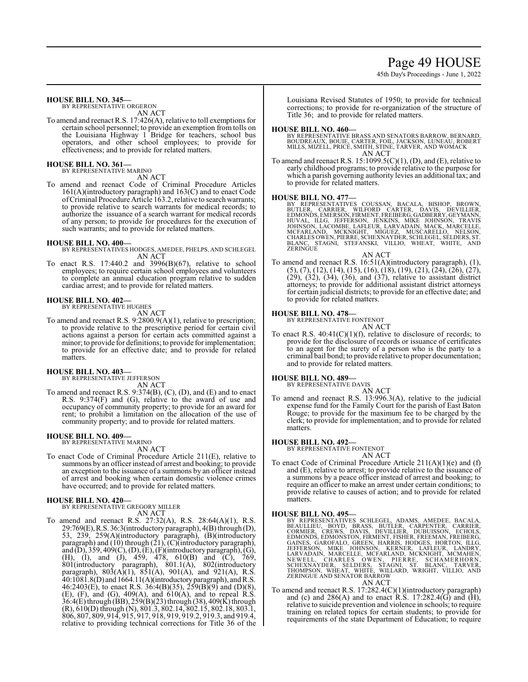# Page 49 HOUSE

45th Day's Proceedings - June 1, 2022

#### **HOUSE BILL NO. 345—**

BY REPRESENTATIVE ORGERON AN ACT

To amend and reenact R.S. 17:426(A), relative to toll exemptions for certain school personnel; to provide an exemption from tolls on the Louisiana Highway 1 Bridge for teachers, school bus operators, and other school employees; to provide for effectiveness; and to provide for related matters.

# **HOUSE BILL NO. 361—** BY REPRESENTATIVE MARINO

AN ACT

To amend and reenact Code of Criminal Procedure Articles 161(A)(introductory paragraph) and 163(C) and to enact Code ofCriminal Procedure Article 163.2, relative to search warrants; to provide relative to search warrants for medical records; to authorize the issuance of a search warrant for medical records of any person; to provide for procedures for the execution of such warrants; and to provide for related matters.

### **HOUSE BILL NO. 400—**

BY REPRESENTATIVES HODGES, AMEDEE, PHELPS, AND SCHLEGEL AN ACT

To enact R.S. 17:440.2 and 3996(B)(67), relative to school employees; to require certain school employees and volunteers to complete an annual education program relative to sudden cardiac arrest; and to provide for related matters.

#### **HOUSE BILL NO. 402—**

BY REPRESENTATIVE HUGHES

- AN ACT
- To amend and reenact R.S. 9:2800.9(A)(1), relative to prescription; to provide relative to the prescriptive period for certain civil actions against a person for certain acts committed against a minor; to provide for definitions; to provide for implementation; to provide for an effective date; and to provide for related matters.

#### **HOUSE BILL NO. 403—**

BY REPRESENTATIVE JEFFERSON AN ACT

To amend and reenact R.S. 9:374(B), (C), (D), and (E) and to enact R.S. 9:374(F) and (G), relative to the award of use and occupancy of community property; to provide for an award for rent; to prohibit a limitation on the allocation of the use of community property; and to provide for related matters.

#### **HOUSE BILL NO. 409—** BY REPRESENTATIVE MARINO

AN ACT

To enact Code of Criminal Procedure Article 211(E), relative to summons by an officer instead of arrest and booking; to provide an exception to the issuance of a summons by an officer instead of arrest and booking when certain domestic violence crimes have occurred; and to provide for related matters.

#### **HOUSE BILL NO. 420—**

BY REPRESENTATIVE GREGORY MILLER AN ACT

To amend and reenact R.S. 27:32(A), R.S. 28:64(A)(1), R.S. 29:769(E),R.S. 36:3(introductory paragraph), 4(B) through (D), 53, 239, 259(A)(introductory paragraph), (B)(introductory paragraph) and (10) through (21), (C)(introductory paragraph), and (D), 359, 409(C), (D), (E), (F)(introductory paragraph), (G), (H), (I), and (J), 459, 478, 610(B) and (C), 769, 801(introductory paragraph), 801.1(A), 802(introductory paragraph),  $803(A)(1)$ ,  $851(A)$ ,  $901(A)$ , and  $921(A)$ , R.S. 40:1081.8(D) and 1664.11(A)(introductoryparagraph), andR.S. 46:2403(E), to enact R.S. 36:4(B)(35), 259(B)(9) and (D)(8),  $(E)$ ,  $(F)$ , and  $(G)$ ,  $409(A)$ , and  $610(A)$ , and to repeal R.S. 36:4(E) through (BB), 259(B)(23) through (38), 409(K) through (R), 610(D) through (N), 801.3, 802.14, 802.15, 802.18, 803.1, 806, 807, 809, 914, 915, 917, 918, 919, 919.2, 919.3, and 919.4, relative to providing technical corrections for Title 36 of the Louisiana Revised Statutes of 1950; to provide for technical corrections; to provide for re-organization of the structure of Title 36; and to provide for related matters.

#### **HOUSE BILL NO. 460—**

BY REPRESENTATIVE BRASS AND SENATORS BARROW, BERNARD,<br>BOUDREAUX, BOUIE, CARTER, FOIL, JACKSON, LUNEAU, ROBERT<br>MILLS, MIZELL, PRICE, SMITH, STINE, TARVER, AND WOMACK AN ACT

To amend and reenact R.S.  $15:1099.5(C)(1)$ , (D), and (E), relative to early childhood programs; to provide relative to the purpose for which a parish governing authority levies an additional tax; and to provide for related matters.

HOUSE BILL NO. 477—<br>BY REPRESENTATIVES COUSSAN, BACALA, BISHOP, BROWN,<br>BUTLER, CARRIER, WILFORD CARTER, DAVIS, DEVILLIER,<br>EDMONDS,EMERSON,FIRMENT,FREIBERG,GADBERRY,GEYMANN,<br>HUVAL, ILLG, JEFFERSON, JENKINS, MIKE JOHNSON, TR

AN ACT To amend and reenact R.S. 16:51(A)(introductory paragraph), (1), (5), (7), (12), (14), (15), (16), (18), (19), (21), (24), (26), (27), (29), (32), (34), (36), and (37), relative to assistant district attorneys; to provide for additional assistant district attorneys for certain judicial districts; to provide for an effective date; and to provide for related matters.

#### **HOUSE BILL NO. 478—**

BY REPRESENTATIVE FONTENOT AN ACT

To enact R.S.  $40:41(C)(1)(f)$ , relative to disclosure of records; to provide for the disclosure of records or issuance of certificates to an agent for the surety of a person who is the party to a criminal bail bond; to provide relative to proper documentation; and to provide for related matters.

### **HOUSE BILL NO. 489—**

BY REPRESENTATIVE DAVIS AN ACT

To amend and reenact R.S. 13:996.3(A), relative to the judicial expense fund for the Family Court for the parish of East Baton Rouge; to provide for the maximum fee to be charged by the clerk; to provide for implementation; and to provide for related matters.

#### **HOUSE BILL NO. 492—**

BY REPRESENTATIVE FONTENOT

AN ACT

To enact Code of Criminal Procedure Article 211(A)(1)(e) and (f) and (E), relative to arrest; to provide relative to the issuance of a summons by a peace officer instead of arrest and booking; to require an officer to make an arrest under certain conditions; to provide relative to causes of action; and to provide for related matters.

- HOUSE BILL NO. 495—<br>BY REPRESENTATIVES SCHLEGEL, ADAMS, AMEDEE, BACALA,<br>BEAULLIEU, BOYD, BRASS, BUTLER, CARPENTER, CARRIER,<br>CORMIER, CREWS, DAVIS, DEVILLIER, DUBUISSON, ECHOLS,<br>EDMONDS, EDMONSTON, FIRMENT, FISHER, FREEMAN, AN ACT
- To amend and reenact R.S. 17:282.4(C)(1)(introductory paragraph) and (c) and  $286(A)$  and to enact R.S. 17:282.4(G) and (H), relative to suicide prevention and violence in schools; to require training on related topics for certain students; to provide for requirements of the state Department of Education; to require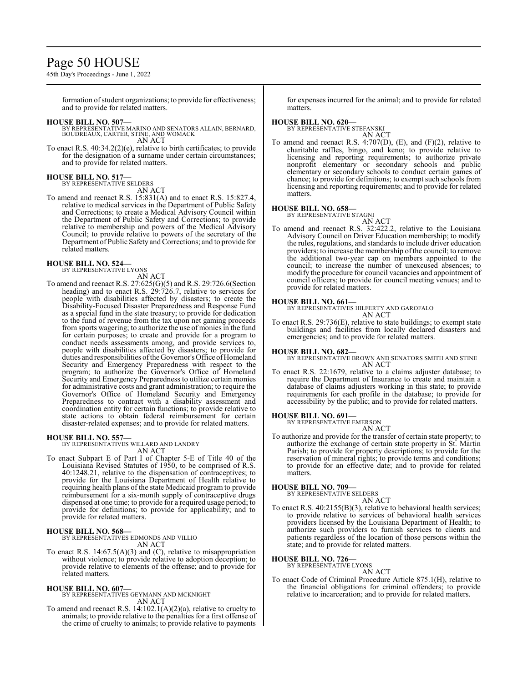# Page 50 HOUSE

45th Day's Proceedings - June 1, 2022

formation of student organizations; to provide for effectiveness; and to provide for related matters.

**HOUSE BILL NO. 507—** BY REPRESENTATIVE MARINO AND SENATORS ALLAIN, BERNARD, BOUDREAUX, CARTER, STINE, AND WOMACK AN ACT

To enact R.S. 40:34.2(2)(e), relative to birth certificates; to provide for the designation of a surname under certain circumstances; and to provide for related matters.

#### **HOUSE BILL NO. 517—** BY REPRESENTATIVE SELDERS

AN ACT

To amend and reenact R.S. 15:831(A) and to enact R.S. 15:827.4, relative to medical services in the Department of Public Safety and Corrections; to create a Medical Advisory Council within the Department of Public Safety and Corrections; to provide relative to membership and powers of the Medical Advisory Council; to provide relative to powers of the secretary of the Department of Public Safety and Corrections; and to provide for related matters.

#### **HOUSE BILL NO. 524—** BY REPRESENTATIVE LYONS

AN ACT To amend and reenact R.S. 27:625(G)(5) and R.S. 29:726.6(Section heading) and to enact R.S. 29:726.7, relative to services for people with disabilities affected by disasters; to create the Disability-Focused Disaster Preparedness and Response Fund as a special fund in the state treasury; to provide for dedication to the fund of revenue from the tax upon net gaming proceeds from sports wagering; to authorize the use of monies in the fund for certain purposes; to create and provide for a program to conduct needs assessments among, and provide services to, people with disabilities affected by disasters; to provide for duties and responsibilities of the Governor's Office of Homeland Security and Emergency Preparedness with respect to the program; to authorize the Governor's Office of Homeland Security and Emergency Preparedness to utilize certain monies for administrative costs and grant administration; to require the Governor's Office of Homeland Security and Emergency Preparedness to contract with a disability assessment and coordination entity for certain functions; to provide relative to state actions to obtain federal reimbursement for certain disaster-related expenses; and to provide for related matters.

#### **HOUSE BILL NO. 557—**

BY REPRESENTATIVES WILLARD AND LANDRY AN ACT

To enact Subpart E of Part I of Chapter 5-E of Title 40 of the Louisiana Revised Statutes of 1950, to be comprised of R.S. 40:1248.21, relative to the dispensation of contraceptives; to provide for the Louisiana Department of Health relative to requiring health plans of the state Medicaid program to provide reimbursement for a six-month supply of contraceptive drugs dispensed at one time; to provide for a required usage period; to provide for definitions; to provide for applicability; and to provide for related matters.

**HOUSE BILL NO. 568—** BY REPRESENTATIVES EDMONDS AND VILLIO AN ACT

To enact R.S.  $14:67.5(A)(3)$  and (C), relative to misappropriation without violence; to provide relative to adoption deception; to provide relative to elements of the offense; and to provide for related matters.

**HOUSE BILL NO. 607—**

#### BY REPRESENTATIVES GEYMANN AND MCKNIGHT AN ACT

To amend and reenact R.S. 14:102.1(A)(2)(a), relative to cruelty to animals; to provide relative to the penalties for a first offense of the crime of cruelty to animals; to provide relative to payments

for expenses incurred for the animal; and to provide for related matters.

# **HOUSE BILL NO. 620—** BY REPRESENTATIVE STEFANSKI

AN ACT

To amend and reenact R.S. 4:707(D), (E), and (F)(2), relative to charitable raffles, bingo, and keno; to provide relative to licensing and reporting requirements; to authorize private nonprofit elementary or secondary schools and public elementary or secondary schools to conduct certain games of chance; to provide for definitions; to exempt such schools from licensing and reporting requirements; and to provide for related matters.

### **HOUSE BILL NO. 658—**

BY REPRESENTATIVE STAGNI AN ACT

To amend and reenact R.S. 32:422.2, relative to the Louisiana Advisory Council on Driver Education membership; to modify the rules, regulations, and standards to include driver education providers; to increase the membership of the council; to remove the additional two-year cap on members appointed to the council; to increase the number of unexcused absences; to modify the procedure for council vacancies and appointment of council officers; to provide for council meeting venues; and to provide for related matters.

#### **HOUSE BILL NO. 661—**

BY REPRESENTATIVES HILFERTY AND GAROFALO AN ACT

To enact R.S. 29:736(E), relative to state buildings; to exempt state buildings and facilities from locally declared disasters and emergencies; and to provide for related matters.

#### **HOUSE BILL NO. 682—**

BY REPRESENTATIVE BROWN AND SENATORS SMITH AND STINE AN ACT

To enact R.S. 22:1679, relative to a claims adjuster database; to require the Department of Insurance to create and maintain a database of claims adjusters working in this state; to provide requirements for each profile in the database; to provide for accessibility by the public; and to provide for related matters.

#### **HOUSE BILL NO. 691—**

BY REPRESENTATIVE EMERSON

AN ACT

To authorize and provide for the transfer of certain state property; to authorize the exchange of certain state property in St. Martin Parish; to provide for property descriptions; to provide for the reservation of mineral rights; to provide terms and conditions; to provide for an effective date; and to provide for related matters.

# **HOUSE BILL NO. 709—** BY REPRESENTATIVE SELDERS

AN ACT To enact R.S. 40:2155(B)(3), relative to behavioral health services; to provide relative to services of behavioral health services providers licensed by the Louisiana Department of Health; to authorize such providers to furnish services to clients and patients regardless of the location of those persons within the state; and to provide for related matters.

#### **HOUSE BILL NO. 726—**

BY REPRESENTATIVE LYONS

AN ACT To enact Code of Criminal Procedure Article 875.1(H), relative to the financial obligations for criminal offenders; to provide relative to incarceration; and to provide for related matters.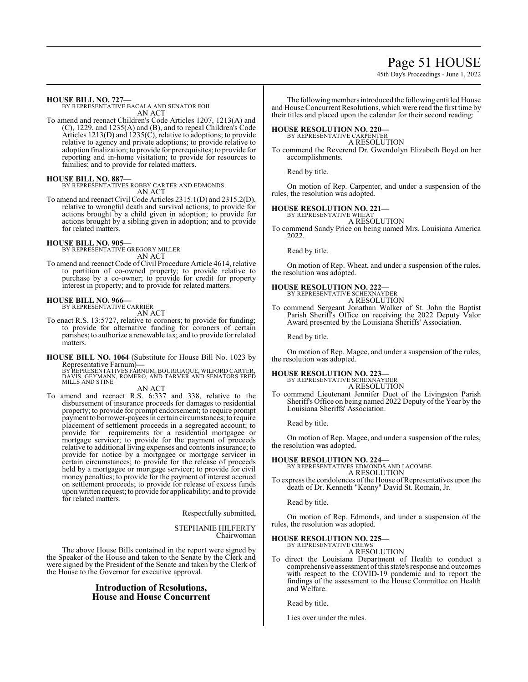# Page 51 HOUSE

45th Day's Proceedings - June 1, 2022

**HOUSE BILL NO. 727—**

BY REPRESENTATIVE BACALA AND SENATOR FOIL AN ACT

To amend and reenact Children's Code Articles 1207, 1213(A) and (C), 1229, and 1235(A) and (B), and to repeal Children's Code Articles 1213(D) and 1235(C), relative to adoptions; to provide relative to agency and private adoptions; to provide relative to adoption finalization; to provide for prerequisites; to provide for reporting and in-home visitation; to provide for resources to families; and to provide for related matters.

### **HOUSE BILL NO. 887—**

BY REPRESENTATIVES ROBBY CARTER AND EDMONDS AN ACT

To amend and reenact Civil Code Articles 2315.1(D) and 2315.2(D), relative to wrongful death and survival actions; to provide for actions brought by a child given in adoption; to provide for actions brought by a sibling given in adoption; and to provide for related matters.

#### **HOUSE BILL NO. 905—**

BY REPRESENTATIVE GREGORY MILLER AN ACT

To amend and reenact Code of Civil Procedure Article 4614, relative to partition of co-owned property; to provide relative to purchase by a co-owner; to provide for credit for property interest in property; and to provide for related matters.

#### **HOUSE BILL NO. 966—**

BY REPRESENTATIVE CARRIER

AN ACT

To enact R.S. 13:5727, relative to coroners; to provide for funding; to provide for alternative funding for coroners of certain parishes; to authorize a renewable tax; and to provide for related matters.

**HOUSE BILL NO. 1064** (Substitute for House Bill No. 1023 by Representative Farnum)—

Representative Farnum)—<br>BY REPRESENTATIVES FARNUM, BOURRIAQUE, WILFORD CARTER,<br>DAVIS, GEYMANN, ROMERO, AND TARVER AND SENATORS FRED<br>MILLS AND STINE

AN ACT

To amend and reenact R.S. 6:337 and 338, relative to the disbursement of insurance proceeds for damages to residential property; to provide for prompt endorsement; to require prompt payment to borrower-payees in certain circumstances; to require placement of settlement proceeds in a segregated account; to provide for requirements for a residential mortgagee or mortgage servicer; to provide for the payment of proceeds relative to additional living expenses and contents insurance; to provide for notice by a mortgagee or mortgage servicer in certain circumstances; to provide for the release of proceeds held by a mortgagee or mortgage servicer; to provide for civil money penalties; to provide for the payment of interest accrued on settlement proceeds; to provide for release of excess funds upon written request; to provide for applicability; and to provide for related matters.

Respectfully submitted,

STEPHANIE HILFERTY Chairwoman

The above House Bills contained in the report were signed by the Speaker of the House and taken to the Senate by the Clerk and were signed by the President of the Senate and taken by the Clerk of the House to the Governor for executive approval.

# **Introduction of Resolutions, House and House Concurrent**

The following members introduced the following entitled House and House Concurrent Resolutions, which were read the first time by their titles and placed upon the calendar for their second reading:

## **HOUSE RESOLUTION NO. 220—**

BY REPRESENTATIVE CARPENTER A RESOLUTION

To commend the Reverend Dr. Gwendolyn Elizabeth Boyd on her accomplishments.

Read by title.

On motion of Rep. Carpenter, and under a suspension of the rules, the resolution was adopted.

### **HOUSE RESOLUTION NO. 221—**

BY REPRESENTATIVE WHEAT A RESOLUTION

To commend Sandy Price on being named Mrs. Louisiana America 2022.

Read by title.

On motion of Rep. Wheat, and under a suspension of the rules, the resolution was adopted.

# **HOUSE RESOLUTION NO. 222—** BY REPRESENTATIVE SCHEXNAYDER

A RESOLUTION

To commend Sergeant Jonathan Walker of St. John the Baptist Parish Sheriff's Office on receiving the 2022 Deputy Valor Award presented by the Louisiana Sheriffs' Association.

Read by title.

On motion of Rep. Magee, and under a suspension of the rules, the resolution was adopted.

# **HOUSE RESOLUTION NO. 223—** BY REPRESENTATIVE SCHEXNAYDER

A RESOLUTION

To commend Lieutenant Jennifer Duet of the Livingston Parish Sheriff's Office on being named 2022 Deputy of the Year by the Louisiana Sheriffs' Association.

Read by title.

On motion of Rep. Magee, and under a suspension of the rules, the resolution was adopted.

**HOUSE RESOLUTION NO. 224—** BY REPRESENTATIVES EDMONDS AND LACOMBE A RESOLUTION

To express the condolences of the House of Representatives upon the death of Dr. Kenneth "Kenny" David St. Romain, Jr.

Read by title.

On motion of Rep. Edmonds, and under a suspension of the rules, the resolution was adopted.

#### **HOUSE RESOLUTION NO. 225—** BY REPRESENTATIVE CREWS

A RESOLUTION

To direct the Louisiana Department of Health to conduct a comprehensive assessment ofthis state's response and outcomes with respect to the COVID-19 pandemic and to report the findings of the assessment to the House Committee on Health and Welfare.

Read by title.

Lies over under the rules.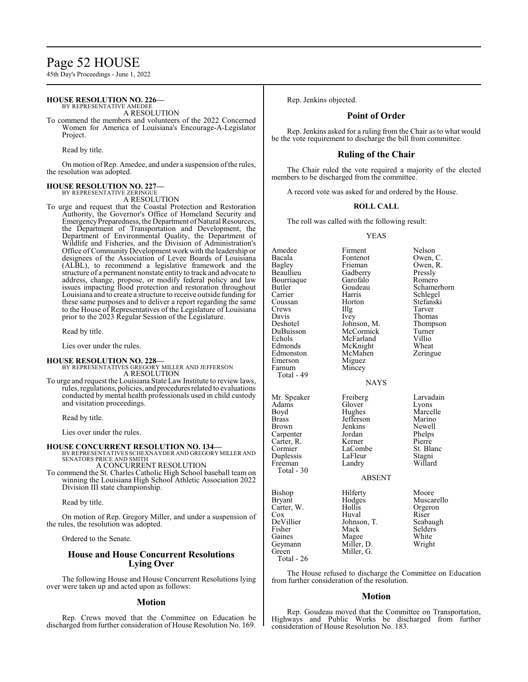# Page 52 HOUSE

45th Day's Proceedings - June 1, 2022

#### **HOUSE RESOLUTION NO. 226—** BY REPRESENTATIVE AMEDEE

A RESOLUTION

To commend the members and volunteers of the 2022 Concerned Women for America of Louisiana's Encourage-A-Legislator Project.

Read by title.

On motion ofRep. Amedee, and under a suspension ofthe rules, the resolution was adopted.

#### **HOUSE RESOLUTION NO. 227—**

BY REPRESENTATIVE ZERINGUE A RESOLUTION

To urge and request that the Coastal Protection and Restoration Authority, the Governor's Office of Homeland Security and Emergency Preparedness, the Department of Natural Resources, the Department of Transportation and Development, the Department of Environmental Quality, the Department of Wildlife and Fisheries, and the Division of Administration's Office of Community Development work with the leadership or designees of the Association of Levee Boards of Louisiana (ALBL), to recommend a legislative framework and the structure of a permanent nonstate entity to track and advocate to address, change, propose, or modify federal policy and law issues impacting flood protection and restoration throughout Louisiana and to create a structure to receive outside funding for these same purposes and to deliver a report regarding the same to the House of Representatives of the Legislature of Louisiana prior to the 2023 Regular Session of the Legislature.

Read by title.

Lies over under the rules.

#### **HOUSE RESOLUTION NO. 228—**

BY REPRESENTATIVES GREGORY MILLER AND JEFFERSON A RESOLUTION

To urge and request the Louisiana State Law Institute to review laws, rules, regulations, policies, and proceduresrelated to evaluations conducted by mental health professionals used in child custody and visitation proceedings.

Read by title.

Lies over under the rules.

# **HOUSE CONCURRENT RESOLUTION NO. 134—** BY REPRESENTATIVES SCHEXNAYDER AND GREGORY MILLER AND

SENATORS PRICE AND SMITH A CONCURRENT RESOLUTION

To commend the St. Charles Catholic High School baseball team on winning the Louisiana High School Athletic Association 2022 Division III state championship.

Read by title.

On motion of Rep. Gregory Miller, and under a suspension of the rules, the resolution was adopted.

Ordered to the Senate.

# **House and House Concurrent Resolutions Lying Over**

The following House and House Concurrent Resolutions lying over were taken up and acted upon as follows:

#### **Motion**

Rep. Crews moved that the Committee on Education be discharged from further consideration of House Resolution No. 169. Rep. Jenkins objected.

## **Point of Order**

Rep. Jenkins asked for a ruling from the Chair as to what would be the vote requirement to discharge the bill from committee.

### **Ruling of the Chair**

The Chair ruled the vote required a majority of the elected members to be discharged from the committee.

A record vote was asked for and ordered by the House.

#### **ROLL CALL**

The roll was called with the following result:

#### YEAS

| Amedee        | Firment     | Nelson      |  |
|---------------|-------------|-------------|--|
| Bacala        | Fontenot    | Owen, C.    |  |
| Bagley        | Frieman     | Owen, R.    |  |
| Beaullieu     | Gadberry    | Pressly     |  |
| Bourriaque    | Garofalo    | Romero      |  |
| Butler        | Goudeau     | Schamerhorn |  |
| Carrier       | Harris      | Schlegel    |  |
| Coussan       | Horton      | Stefanski   |  |
| Crews         | Illg        | Tarver      |  |
| Davis         | Ivey        | Thomas      |  |
| Deshotel      | Johnson, M. | Thompson    |  |
| DuBuisson     | McCormick   | Turner      |  |
| Echols        | McFarland   | Villio      |  |
| Edmonds       | McKnight    | Wheat       |  |
| Edmonston     | McMahen     | Zeringue    |  |
| Emerson       | Miguez      |             |  |
| Farnum        | Mincey      |             |  |
| Total - 49    |             |             |  |
|               | NAYS        |             |  |
|               |             |             |  |
| Mr. Speaker   | Freiberg    | Larvadain   |  |
| Adams         | Glover      | Lyons       |  |
| Boyd          | Hughes      | Marcelle    |  |
| <b>Brass</b>  | Jefferson   | Marino      |  |
| <b>Brown</b>  | Jenkins     | Newell      |  |
| Carpenter     | Jordan      | Phelps      |  |
| Carter, R.    | Kerner      | Pierre      |  |
| Cormier       | LaCombe     | St. Blanc   |  |
| Duplessis     | LaFleur     | Stagni      |  |
| Freeman       | Landry      | Willard     |  |
| Total - 30    |             |             |  |
| <b>ABSENT</b> |             |             |  |
| Bishop        | Hilferty    | Moore       |  |
| Bryant        | Hodges      | Muscarello  |  |
| Carter, W.    | Hollis      | Orgeron     |  |
| Cox           | Huval       | Riser       |  |
| DeVillier     | Johnson, T. | Seabaugh    |  |
| Fisher        | Mack        | Selders     |  |
| Gaines        | Magee       | White       |  |
| Geymann       | Miller, D.  | Wright      |  |
| Green         | Miller, G.  |             |  |

Total - 26

The House refused to discharge the Committee on Education from further consideration of the resolution.

#### **Motion**

Rep. Goudeau moved that the Committee on Transportation, Highways and Public Works be discharged from further consideration of House Resolution No. 183.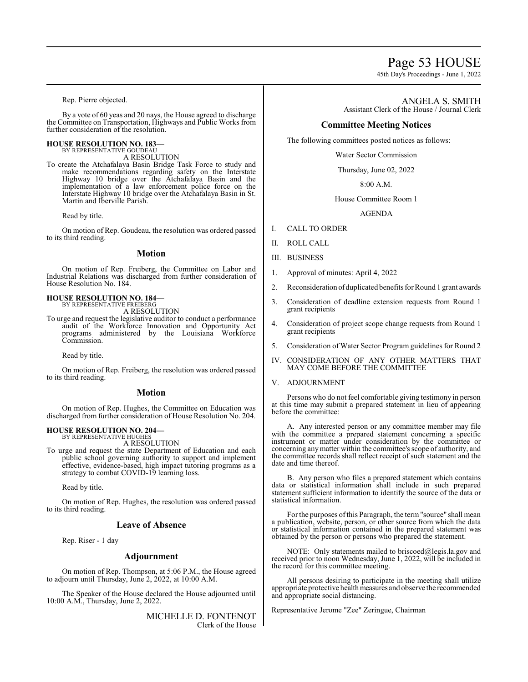# Page 53 HOUSE

45th Day's Proceedings - June 1, 2022

Rep. Pierre objected.

By a vote of 60 yeas and 20 nays, the House agreed to discharge the Committee on Transportation, Highways and Public Works from further consideration of the resolution.

# **HOUSE RESOLUTION NO. 183—** BY REPRESENTATIVE GOUDEAU

A RESOLUTION

To create the Atchafalaya Basin Bridge Task Force to study and make recommendations regarding safety on the Interstate Highway 10 bridge over the Atchafalaya Basin and the implementation of a law enforcement police force on the Interstate Highway 10 bridge over the Atchafalaya Basin in St. Martin and Iberville Parish.

Read by title.

On motion of Rep. Goudeau, the resolution was ordered passed to its third reading.

#### **Motion**

On motion of Rep. Freiberg, the Committee on Labor and Industrial Relations was discharged from further consideration of House Resolution No. 184.

**HOUSE RESOLUTION NO. 184—** BY REPRESENTATIVE FREIBERG

A RESOLUTION

To urge and request the legislative auditor to conduct a performance audit of the Workforce Innovation and Opportunity Act programs administered by the Louisiana Workforce Commission.

Read by title.

On motion of Rep. Freiberg, the resolution was ordered passed to its third reading.

#### **Motion**

On motion of Rep. Hughes, the Committee on Education was discharged from further consideration of House Resolution No. 204.

#### **HOUSE RESOLUTION NO. 204—** BY REPRESENTATIVE HUGHES

A RESOLUTION

To urge and request the state Department of Education and each public school governing authority to support and implement effective, evidence-based, high impact tutoring programs as a strategy to combat COVID-19 learning loss.

Read by title.

On motion of Rep. Hughes, the resolution was ordered passed to its third reading.

#### **Leave of Absence**

Rep. Riser - 1 day

#### **Adjournment**

On motion of Rep. Thompson, at 5:06 P.M., the House agreed to adjourn until Thursday, June 2, 2022, at 10:00 A.M.

The Speaker of the House declared the House adjourned until 10:00 A.M., Thursday, June 2, 2022.

> MICHELLE D. FONTENOT Clerk of the House

ANGELA S. SMITH Assistant Clerk of the House / Journal Clerk

## **Committee Meeting Notices**

The following committees posted notices as follows:

Water Sector Commission

Thursday, June 02, 2022

8:00 A.M.

#### House Committee Room 1

AGENDA

- I. CALL TO ORDER
- II. ROLL CALL
- III. BUSINESS
- 1. Approval of minutes: April 4, 2022
- 2. Reconsideration ofduplicated benefits for Round 1 grant awards
- 3. Consideration of deadline extension requests from Round 1 grant recipients
- 4. Consideration of project scope change requests from Round 1 grant recipients
- 5. Consideration of Water Sector Program guidelines for Round 2
- IV. CONSIDERATION OF ANY OTHER MATTERS THAT MAY COME BEFORE THE COMMITTEE

## V. ADJOURNMENT

Persons who do not feel comfortable giving testimony in person at this time may submit a prepared statement in lieu of appearing before the committee:

A. Any interested person or any committee member may file with the committee a prepared statement concerning a specific instrument or matter under consideration by the committee or concerning anymatter within the committee's scope of authority, and the committee records shall reflect receipt of such statement and the date and time thereof.

B. Any person who files a prepared statement which contains data or statistical information shall include in such prepared statement sufficient information to identify the source of the data or statistical information.

Forthe purposes ofthis Paragraph, the term"source" shall mean a publication, website, person, or other source from which the data or statistical information contained in the prepared statement was obtained by the person or persons who prepared the statement.

NOTE: Only statements mailed to briscoed@legis.la.gov and received prior to noon Wednesday, June 1, 2022, will be included in the record for this committee meeting.

All persons desiring to participate in the meeting shall utilize appropriate protective health measures and observe the recommended and appropriate social distancing.

Representative Jerome "Zee" Zeringue, Chairman